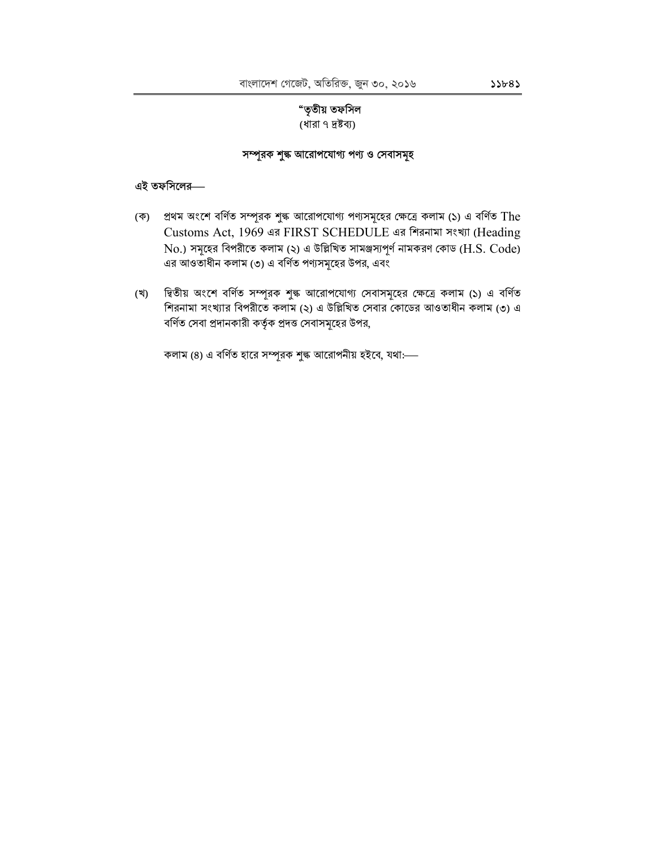# "তৃতীয় তফসিল

(ধারা ৭ দ্রষ্টব্য)

## সম্পূরক শুল্ক আরোপযোগ্য পণ্য ও সেবাসমূহ

#### এই তফসিলের—

- (ক) প্রথম অংশে বর্ণিত সম্পূরক শুল্ক আরোপযোগ্য পণ্যসমূহের ক্ষেত্রে কলাম (১) এ বর্ণিত The Customs Act, 1969 এর FIRST SCHEDULE এর শিরনামা সংখ্যা (Heading  $\rm No$ .) সমূহের বিপরীতে কলাম (২) এ উল্লিখিত সামঞ্জস্যপূর্ণ নামকরণ কোড ( $\rm H.S.~Code$ ) এর আওতাধীন কলাম (৩) এ বর্ণিত পণ্যসমূহের উপর, এবং
- দ্বিতীয় অংশে বর্ণিত সম্পূরক শুল্ক আরোপযোগ্য সেবাসমূহের ক্ষেত্রে কলাম (১) এ বর্ণিত (খ) শিরনামা সংখ্যার বিপরীতে কলাম (২) এ উল্লিখিত সেবার কোডের আওতাধীন কলাম (৩) এ বর্ণিত সেবা প্রদানকারী কর্তৃক প্রদত্ত সেবাসমূহের উপর,

কলাম (8) এ বর্ণিত হারে সম্পূরক শুল্ক আরোপনীয় হইবে, যথা:--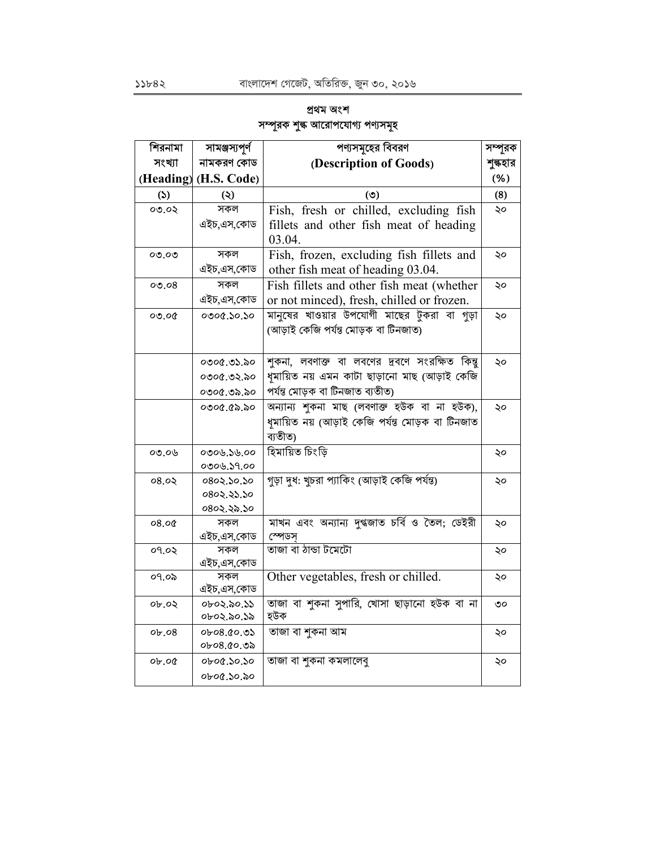# প্ৰথম অংশ সম্পূরক শুল্ক আরোপযোগ্য পণ্যসমূহ

| শিরনামা  | সামঞ্জস্যপূর্ণ        | পণ্যসমূহের বিবরণ                                | সম্পূরক  |
|----------|-----------------------|-------------------------------------------------|----------|
| সংখ্যা   | নামকরণ কোড            | (Description of Goods)                          | শুল্কহার |
|          | (Heading) (H.S. Code) |                                                 | (% )     |
| (5)      | (5)                   | (৩)                                             | (8)      |
| 0.00     | সকল                   | Fish, fresh or chilled, excluding fish          | ২০       |
|          | এইচ,এস,কোড            | fillets and other fish meat of heading          |          |
|          |                       | 03.04.                                          |          |
| ೦೦.೦೦    | সকল                   | Fish, frozen, excluding fish fillets and        | ২০       |
|          | এইচ,এস,কোড            | other fish meat of heading 03.04.               |          |
| 00.08    | সকল                   | Fish fillets and other fish meat (whether       | ২০       |
|          | এইচ,এস,কোড            | or not minced), fresh, chilled or frozen.       |          |
| 00.00    | 0.0003000             | মানুষের খাওয়ার উপযোগী মাছের টুকরা বা গুড়া     | ২০       |
|          |                       | (আড়াই কেজি পৰ্যন্ত মোড়ক বা টিনজাত)            |          |
|          |                       |                                                 |          |
|          | ০৩০৫.৩১.৯০            | শুকনা, লবণাক্ত বা লবণের দ্রবণে সংরক্ষিত কিন্তু  | ২০       |
|          | ०७०৫.७২.৯०            | ধুমায়িত নয় এমন কাটা ছাড়ানো মাছ (আড়াই কেজি   |          |
|          | ०७०৫.७৯.৯०            | পৰ্যন্ত মোড়ক বা টিনজাত ব্যতীত)                 |          |
|          | ০৩০৫.৫৯.৯০            | অন্যান্য শুকনা মাছ (লবণাক্ত হউক বা না হউক),     | ২০       |
|          |                       | ধমায়িত নয় (আড়াই কেজি পৰ্যন্ত মোড়ক বা টিনজাত |          |
|          |                       | ব্যতীত)                                         |          |
| 00.06    | ০৩০৬.১৬.০০            | হিমায়িত চিংড়ি                                 | ২০       |
|          | 0006.59.00            |                                                 |          |
| 08.05    | 0802.50.50            | গড়া দুধ: খুচরা প্যাকিং (আড়াই কেজি পর্যন্ত)    | ২০       |
|          | 0802.25.50            |                                                 |          |
|          | ०८०२.२৯.১०            |                                                 |          |
| 08.00    | সকল                   | মাখন এবং অন্যান্য দুগ্ধজাত চর্বি ও তৈল; ডেইরী   | ২০       |
|          | এইচ,এস,কোড            | স্পেডস                                          |          |
| ०१.०२    | সকল                   | তাজা বা ঠান্ডা টমেটো                            | ২০       |
|          | এইচ,এস,কোড<br>সকল     | Other vegetables, fresh or chilled.             |          |
| ०१.०৯    | এইচ,এস,কোড            |                                                 | ২০       |
| $ob.$ 02 | ০৮০২.৯০.১১            | তাজা বা শুকনা সুপারি, খোসা ছাড়ানো হউক বা না    | ৩০       |
|          | ০৮০২.৯০.১৯            | হউক                                             |          |
| ob.08    | 0.05.80               | তাজা বা শুকনা আম                                | ২০       |
|          | ০৮০৪.৫০.৩৯            |                                                 |          |
| 0.50     | 0.06.30.30            | তাজা বা শুকনা কমলালেবু                          | ২০       |
|          | ০৮০৫.১০.৯০            |                                                 |          |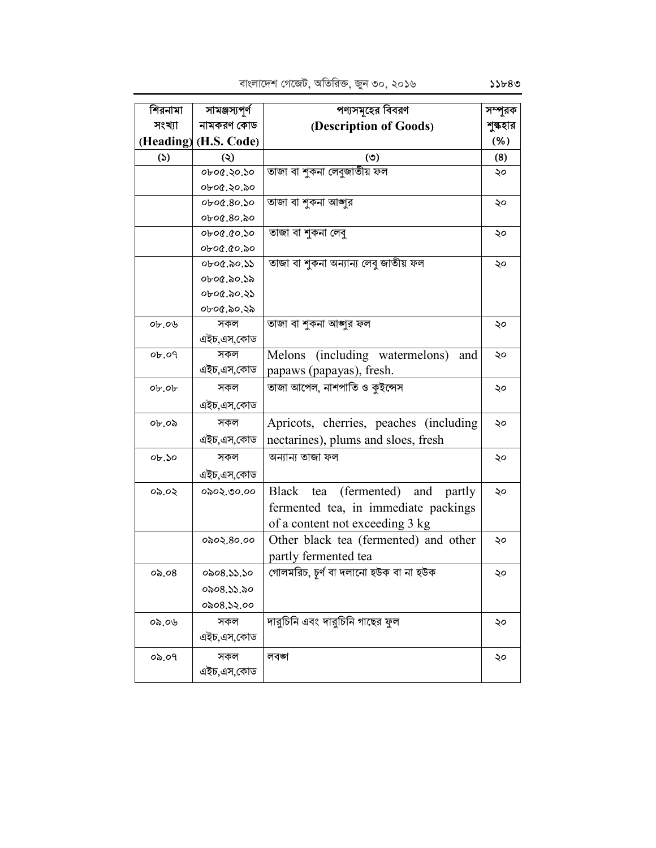| শিরনামা           | সামঞ্জস্যপূর্ণ        | পণ্যসমূহের বিবরণ                       | সম্পূরক  |
|-------------------|-----------------------|----------------------------------------|----------|
| সংখ্যা            | নামকরণ কোড            | (Description of Goods)                 | শুল্কহার |
|                   | (Heading) (H.S. Code) |                                        | (% )     |
| (5)               | $\ddot{\bm{\omega}}$  | (৩)                                    | (8)      |
|                   | ০৮০৫.২০.১০            | তাজা বা শুকনা লেবুজাতীয় ফল            | ২০       |
|                   | ০৮০৫.২০.৯০            |                                        |          |
|                   | 06.80.50              | তাজা বা শুকনা আজুর                     | ২০       |
|                   | 06.80.20              |                                        |          |
|                   | 06.00.000             | তাজা বা শুকনা লেবু                     | ২০       |
|                   | ०৮०৫.৫०.৯०            |                                        |          |
|                   | ০৮০৫.৯০.১১            | তাজা বা শুকনা অন্যান্য লেবু জাতীয় ফল  | ২০       |
|                   | ০৮০৫.৯০.১৯            |                                        |          |
|                   | ০৮০৫.৯০.২১            |                                        |          |
|                   | ০৮০৫.৯০.২৯            |                                        |          |
| $0b$ .0           | সকল                   | তাজা বা শুকনা আজুর ফল                  | ২০       |
|                   | এইচ,এস,কোড            |                                        |          |
| $0b$ .09          | সকল                   | Melons (including watermelons)<br>and  | ২০       |
|                   | এইচ,এস,কোড            | papaws (papayas), fresh.               |          |
| $o_{b}$ . $o_{b}$ | সকল                   | তাজা আপেল, নাশপাতি ও কুইন্সেস          | ২০       |
|                   | এইচ,এস,কোড            |                                        |          |
| ০৮.০৯             | সকল                   | Apricots, cherries, peaches (including | ২০       |
|                   | এইচ,এস,কোড            | nectarines), plums and sloes, fresh    |          |
| ob.50             | সকল                   | অন্যান্য তাজা ফল                       | ২০       |
|                   | এইচ,এস,কোড            |                                        |          |
| ০৯.০২             | ०৯०২.৩০.০০            | Black tea<br>(fermented) and<br>partly | ২০       |
|                   |                       | fermented tea, in immediate packings   |          |
|                   |                       | of a content not exceeding 3 kg        |          |
|                   | ०৯०২.৪০.০০            | Other black tea (fermented) and other  | ২০       |
|                   |                       | partly fermented tea                   |          |
| 0.08              | 0008.55.50            | গোলমরিচ, চূর্ণ বা দলানো হউক বা না হউক  | ২০       |
|                   | ০৯০৪.১১.৯০            |                                        |          |
|                   | 0208.52.00            |                                        |          |
| ০৯.০৬             | সকল                   | দারুচিনি এবং দারুচিনি গাছের ফুল        | ২০       |
|                   | এইচ,এস,কোড            |                                        |          |
| ०৯.०१             | সকল                   | লবঙ্গ                                  | ২০       |
|                   | এইচ,এস,কোড            |                                        |          |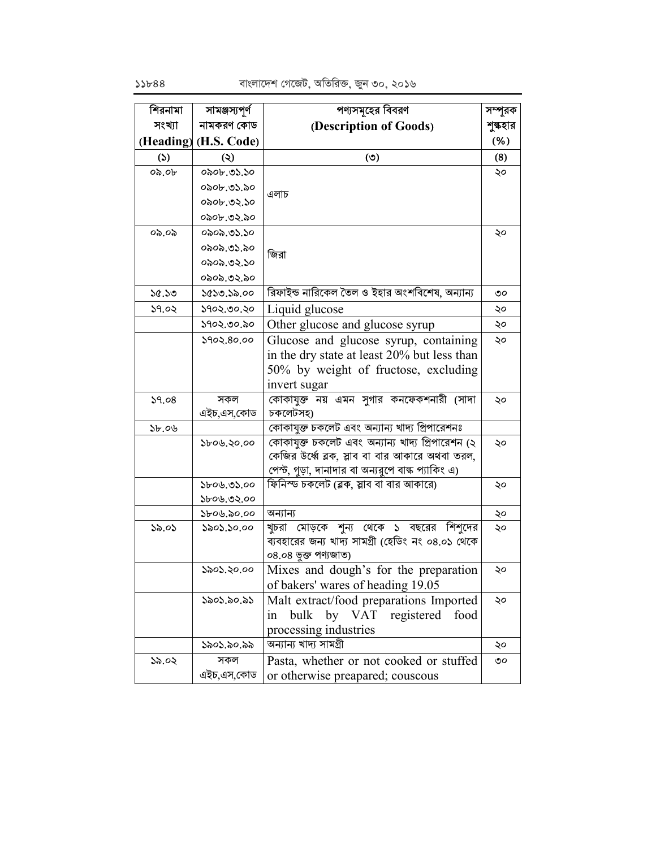| নামকরণ কোড<br>সংখ্যা<br>(Description of Goods)<br>শুল্কহার<br>(Heading) (H.S. Code)<br>(% )<br>(8)<br>(5)<br>(5)<br>(২)<br>0.06<br>০৯০৮.৩১.১০<br>২০<br>০৯০৮.৩১.৯০<br>এলাচ<br>০৯০৮.৩২.১০<br>০৯০৮.৩২.৯০<br>০৯.০৯<br>০৯০৯.৩১.১০<br>২০<br>০৯০৯.৩১.৯০<br>জিরা<br>০৯০৯.৩২.১০<br>০৯০৯.৩২.৯০<br>রিফাইন্ড নারিকেল তৈল ও ইহার অংশবিশেষ, অন্যান্য<br>১৫.১৩<br>১৫১৩.১৯.০০<br>৩০<br>১৭০২.৩০.২০<br>Liquid glucose<br>১৭.০২<br>২০<br>Other glucose and glucose syrup<br>১৭০২.৩০.৯০<br>২০<br>Glucose and glucose syrup, containing<br>১৭০২.৪০.০০<br>২০<br>in the dry state at least 20% but less than<br>50% by weight of fructose, excluding<br>invert sugar<br>কোকাযুক্ত নয় এমন সুগার কনফেকশনারী (সাদা<br>39.08<br>সকল<br>২০<br>চকলেটসহ)<br>এইচ,এস,কোড<br>কোকাযুক্ত চকলেট এবং অন্যান্য খাদ্য প্রিপারেশনঃ<br>55.06<br>কোকাযুক্ত চকলেট এবং অন্যান্য খাদ্য প্রিপারেশন (২<br>১৮০৬.২০.০০<br>২০<br>কেজির উর্ধ্বে ব্লক, স্লাব বা বার আকারে অথবা তরল,<br>পেস্ট, গুড়া, দানাদার বা অন্যরুপে বান্ধ প্যাকিং এ)<br>ফিনিস্ড চকলেট (ব্লক, স্লাব বা বার আকারে)<br>\$b0b.05.00<br>২০<br>১৮০৬.৩২.০০<br>অন্যান্য<br>১৮০৬.৯০.০০<br>২০<br>খুচরা মোড়কে শুন্য থেকে ১ বছরের<br>শিশদের<br>১৯.০১<br>১৯০১.১০.০০<br>২০ | শিরনামা | সামঞ্জস্যপূর্ণ | পণ্যসমূহের বিবরণ                                  | সম্পূরক |
|---------------------------------------------------------------------------------------------------------------------------------------------------------------------------------------------------------------------------------------------------------------------------------------------------------------------------------------------------------------------------------------------------------------------------------------------------------------------------------------------------------------------------------------------------------------------------------------------------------------------------------------------------------------------------------------------------------------------------------------------------------------------------------------------------------------------------------------------------------------------------------------------------------------------------------------------------------------------------------------------------------------------------------------------------------------------------------------------------------------------------------------------------------------------------------|---------|----------------|---------------------------------------------------|---------|
|                                                                                                                                                                                                                                                                                                                                                                                                                                                                                                                                                                                                                                                                                                                                                                                                                                                                                                                                                                                                                                                                                                                                                                                 |         |                |                                                   |         |
|                                                                                                                                                                                                                                                                                                                                                                                                                                                                                                                                                                                                                                                                                                                                                                                                                                                                                                                                                                                                                                                                                                                                                                                 |         |                |                                                   |         |
|                                                                                                                                                                                                                                                                                                                                                                                                                                                                                                                                                                                                                                                                                                                                                                                                                                                                                                                                                                                                                                                                                                                                                                                 |         |                |                                                   |         |
|                                                                                                                                                                                                                                                                                                                                                                                                                                                                                                                                                                                                                                                                                                                                                                                                                                                                                                                                                                                                                                                                                                                                                                                 |         |                |                                                   |         |
|                                                                                                                                                                                                                                                                                                                                                                                                                                                                                                                                                                                                                                                                                                                                                                                                                                                                                                                                                                                                                                                                                                                                                                                 |         |                |                                                   |         |
|                                                                                                                                                                                                                                                                                                                                                                                                                                                                                                                                                                                                                                                                                                                                                                                                                                                                                                                                                                                                                                                                                                                                                                                 |         |                |                                                   |         |
|                                                                                                                                                                                                                                                                                                                                                                                                                                                                                                                                                                                                                                                                                                                                                                                                                                                                                                                                                                                                                                                                                                                                                                                 |         |                |                                                   |         |
|                                                                                                                                                                                                                                                                                                                                                                                                                                                                                                                                                                                                                                                                                                                                                                                                                                                                                                                                                                                                                                                                                                                                                                                 |         |                |                                                   |         |
|                                                                                                                                                                                                                                                                                                                                                                                                                                                                                                                                                                                                                                                                                                                                                                                                                                                                                                                                                                                                                                                                                                                                                                                 |         |                |                                                   |         |
|                                                                                                                                                                                                                                                                                                                                                                                                                                                                                                                                                                                                                                                                                                                                                                                                                                                                                                                                                                                                                                                                                                                                                                                 |         |                |                                                   |         |
|                                                                                                                                                                                                                                                                                                                                                                                                                                                                                                                                                                                                                                                                                                                                                                                                                                                                                                                                                                                                                                                                                                                                                                                 |         |                |                                                   |         |
|                                                                                                                                                                                                                                                                                                                                                                                                                                                                                                                                                                                                                                                                                                                                                                                                                                                                                                                                                                                                                                                                                                                                                                                 |         |                |                                                   |         |
|                                                                                                                                                                                                                                                                                                                                                                                                                                                                                                                                                                                                                                                                                                                                                                                                                                                                                                                                                                                                                                                                                                                                                                                 |         |                |                                                   |         |
|                                                                                                                                                                                                                                                                                                                                                                                                                                                                                                                                                                                                                                                                                                                                                                                                                                                                                                                                                                                                                                                                                                                                                                                 |         |                |                                                   |         |
|                                                                                                                                                                                                                                                                                                                                                                                                                                                                                                                                                                                                                                                                                                                                                                                                                                                                                                                                                                                                                                                                                                                                                                                 |         |                |                                                   |         |
|                                                                                                                                                                                                                                                                                                                                                                                                                                                                                                                                                                                                                                                                                                                                                                                                                                                                                                                                                                                                                                                                                                                                                                                 |         |                |                                                   |         |
|                                                                                                                                                                                                                                                                                                                                                                                                                                                                                                                                                                                                                                                                                                                                                                                                                                                                                                                                                                                                                                                                                                                                                                                 |         |                |                                                   |         |
|                                                                                                                                                                                                                                                                                                                                                                                                                                                                                                                                                                                                                                                                                                                                                                                                                                                                                                                                                                                                                                                                                                                                                                                 |         |                |                                                   |         |
|                                                                                                                                                                                                                                                                                                                                                                                                                                                                                                                                                                                                                                                                                                                                                                                                                                                                                                                                                                                                                                                                                                                                                                                 |         |                |                                                   |         |
|                                                                                                                                                                                                                                                                                                                                                                                                                                                                                                                                                                                                                                                                                                                                                                                                                                                                                                                                                                                                                                                                                                                                                                                 |         |                |                                                   |         |
|                                                                                                                                                                                                                                                                                                                                                                                                                                                                                                                                                                                                                                                                                                                                                                                                                                                                                                                                                                                                                                                                                                                                                                                 |         |                |                                                   |         |
|                                                                                                                                                                                                                                                                                                                                                                                                                                                                                                                                                                                                                                                                                                                                                                                                                                                                                                                                                                                                                                                                                                                                                                                 |         |                |                                                   |         |
|                                                                                                                                                                                                                                                                                                                                                                                                                                                                                                                                                                                                                                                                                                                                                                                                                                                                                                                                                                                                                                                                                                                                                                                 |         |                |                                                   |         |
|                                                                                                                                                                                                                                                                                                                                                                                                                                                                                                                                                                                                                                                                                                                                                                                                                                                                                                                                                                                                                                                                                                                                                                                 |         |                |                                                   |         |
|                                                                                                                                                                                                                                                                                                                                                                                                                                                                                                                                                                                                                                                                                                                                                                                                                                                                                                                                                                                                                                                                                                                                                                                 |         |                |                                                   |         |
|                                                                                                                                                                                                                                                                                                                                                                                                                                                                                                                                                                                                                                                                                                                                                                                                                                                                                                                                                                                                                                                                                                                                                                                 |         |                |                                                   |         |
|                                                                                                                                                                                                                                                                                                                                                                                                                                                                                                                                                                                                                                                                                                                                                                                                                                                                                                                                                                                                                                                                                                                                                                                 |         |                |                                                   |         |
|                                                                                                                                                                                                                                                                                                                                                                                                                                                                                                                                                                                                                                                                                                                                                                                                                                                                                                                                                                                                                                                                                                                                                                                 |         |                | ব্যবহারের জন্য খাদ্য সামগ্রী (হেডিং নং ০৪.০১ থেকে |         |
| ০৪.০৪ ভুক্ত পণ্যজাত)                                                                                                                                                                                                                                                                                                                                                                                                                                                                                                                                                                                                                                                                                                                                                                                                                                                                                                                                                                                                                                                                                                                                                            |         |                |                                                   |         |
| Mixes and dough's for the preparation<br>১৯০১.২০.০০<br>২০                                                                                                                                                                                                                                                                                                                                                                                                                                                                                                                                                                                                                                                                                                                                                                                                                                                                                                                                                                                                                                                                                                                       |         |                |                                                   |         |
| of bakers' wares of heading 19.05                                                                                                                                                                                                                                                                                                                                                                                                                                                                                                                                                                                                                                                                                                                                                                                                                                                                                                                                                                                                                                                                                                                                               |         |                |                                                   |         |
| Malt extract/food preparations Imported<br>১৯০১.৯০.৯১<br>২০                                                                                                                                                                                                                                                                                                                                                                                                                                                                                                                                                                                                                                                                                                                                                                                                                                                                                                                                                                                                                                                                                                                     |         |                |                                                   |         |
| by VAT<br>food<br>bulk<br>registered<br>1n                                                                                                                                                                                                                                                                                                                                                                                                                                                                                                                                                                                                                                                                                                                                                                                                                                                                                                                                                                                                                                                                                                                                      |         |                |                                                   |         |
| processing industries                                                                                                                                                                                                                                                                                                                                                                                                                                                                                                                                                                                                                                                                                                                                                                                                                                                                                                                                                                                                                                                                                                                                                           |         |                |                                                   |         |
| অন্যান্য খাদ্য সামগ্ৰী<br>১৯০১.৯০.৯৯<br>২০                                                                                                                                                                                                                                                                                                                                                                                                                                                                                                                                                                                                                                                                                                                                                                                                                                                                                                                                                                                                                                                                                                                                      |         |                |                                                   |         |
| সকল<br>১৯.০২<br>৩০                                                                                                                                                                                                                                                                                                                                                                                                                                                                                                                                                                                                                                                                                                                                                                                                                                                                                                                                                                                                                                                                                                                                                              |         |                |                                                   |         |
| Pasta, whether or not cooked or stuffed<br>এইচ,এস,কোড<br>or otherwise preapared; couscous                                                                                                                                                                                                                                                                                                                                                                                                                                                                                                                                                                                                                                                                                                                                                                                                                                                                                                                                                                                                                                                                                       |         |                |                                                   |         |

 $55b88$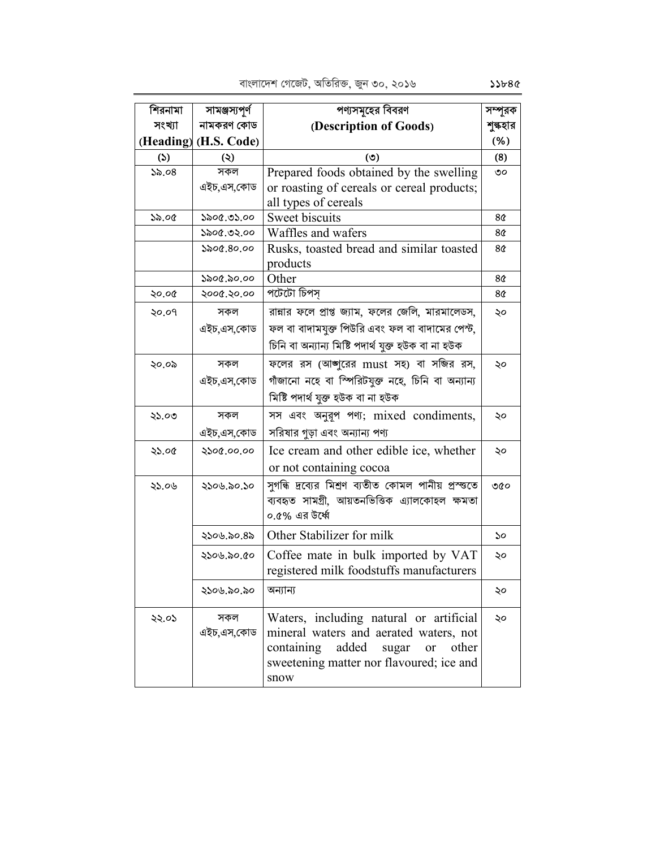| শিরনামা             | সামঞ্জস্যপূৰ্ণ        | পণ্যসমূহের বিবরণ                                     | সম্পূরক  |
|---------------------|-----------------------|------------------------------------------------------|----------|
| সংখ্যা              | নামকরণ কোড            | (Description of Goods)                               | শুল্কহার |
|                     | (Heading) (H.S. Code) |                                                      | (% )     |
| $\mathcal{L}$       | $\circledcirc$        | (5)                                                  | (8)      |
| $\mathcal{S}_0$ .08 | সকল                   | Prepared foods obtained by the swelling              | ৩০       |
|                     | এইচ,এস,কোড            | or roasting of cereals or cereal products;           |          |
|                     |                       | all types of cereals                                 |          |
| ১৯.০৫               | ১৯০৫.৩১.০০            | Sweet biscuits                                       | 8¢       |
|                     | ১৯০৫.৩২.০০            | Waffles and wafers                                   | 8¢       |
|                     | ১৯০৫.৪০.০০            | Rusks, toasted bread and similar toasted<br>products | 8¢       |
|                     | ১৯০৫.৯০.০০            | Other                                                | 8¢       |
| ২০.০৫               | ২০০৫.২০.০০            | পটেটো চিপস                                           | 8¢       |
| ২০.০৭               | সকল                   | রান্নার ফলে প্রাপ্ত জ্যাম, ফলের জেলি, মারমালেডস,     | ২০       |
|                     | এইচ,এস,কোড            | ফল বা বাদামযুক্ত পিউরি এবং ফল বা বাদামের পেস্ট,      |          |
|                     |                       |                                                      |          |
|                     |                       | চিনি বা অন্যান্য মিষ্টি পদাৰ্থ যুক্ত হউক বা না হউক   |          |
| ২০.০৯               | সকল                   | ফলের রস (আঙ্গুরের must সহ) বা সজির রস,               | ২০       |
|                     | এইচ,এস,কোড            | গাঁজানো নহে বা স্পিরিটযুক্ত নহে, চিনি বা অন্যান্য    |          |
|                     |                       | মিষ্টি পদাৰ্থ যুক্ত হউক বা না হউক                    |          |
| ২১.০৩               | সকল                   | সস এবং অনুরূপ পণ্য; mixed condiments,                | ২০       |
|                     | এইচ,এস,কোড            | সরিষার গুড়া এবং অন্যান্য পণ্য                       |          |
| ২১.০৫               | ২১০৫.০০.০০            | Ice cream and other edible ice, whether              | ২০       |
|                     |                       | or not containing cocoa                              |          |
| ২১.০৬               | ২১০৬.৯০.১০            | সুগন্ধি দ্রব্যের মিশ্রণ ব্যতীত কোমল পানীয় প্রস্ত্তে | ৩৫০      |
|                     |                       | ব্যবহৃত সামগ্ৰী, আয়তনভিত্তিক এ্যালকোহল ক্ষমতা       |          |
|                     |                       | ০.৫% এর উর্ধ্বে                                      |          |
|                     | ২১০৬.৯০.৪৯            | Other Stabilizer for milk                            | ১০       |
|                     | ২১০৬.৯০.৫০            | Coffee mate in bulk imported by VAT                  | ২০       |
|                     |                       | registered milk foodstuffs manufacturers             |          |
|                     | ২১০৬.৯০.৯০            | অন্যান্য                                             | ২০       |
| ২২.০১               | সকল                   | Waters, including natural or artificial              | ২০       |
|                     | এইচ,এস,কোড            | mineral waters and aerated waters, not               |          |
|                     |                       | added<br>other<br>containing<br>sugar<br>or          |          |
|                     |                       | sweetening matter nor flavoured; ice and             |          |
|                     |                       | snow                                                 |          |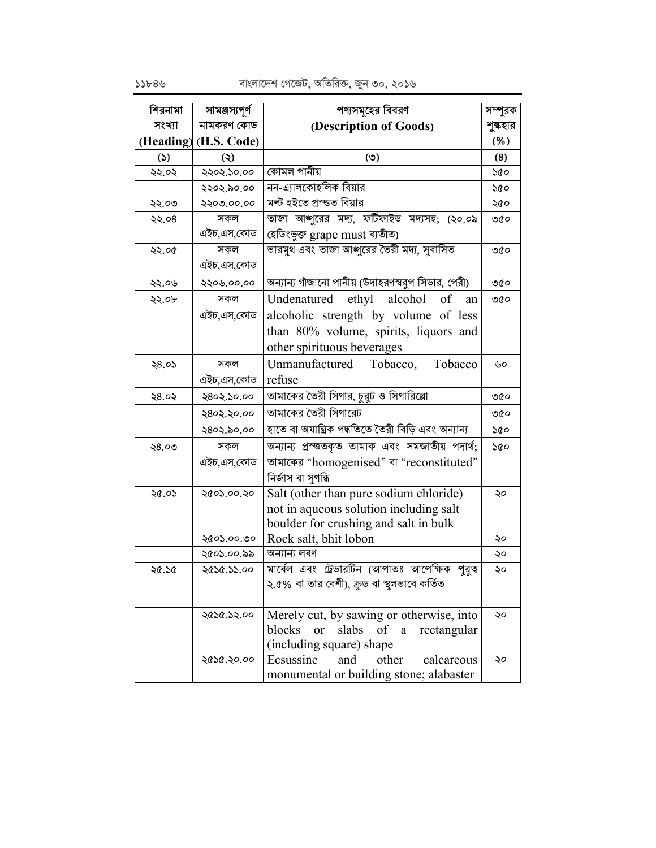| শিরনামা | সামঞ্জস্যপূর্ণ        | পণ্যসমূহের বিবরণ                                     | সম্পূরক  |
|---------|-----------------------|------------------------------------------------------|----------|
| সংখ্যা  | নামকরণ কোড            | (Description of Goods)                               | শুল্কহার |
|         | (Heading) (H.S. Code) |                                                      | (% )     |
| (5)     | (২)                   | (5)                                                  | (8)      |
| ২২.০২   | ২২০২.১০.০০            | কোমল পানীয়                                          | ১৫০      |
|         | ২২০২.৯০.০০            | নন-এ্যালকোহলিক বিয়ার                                | ১৫০      |
| ২২.০৩   | ২২০৩.০০.০০            | মল্ট হইতে প্ৰস্ত্ত বিয়ার                            | ২৫০      |
| ২২.০৪   | সকল                   | তাজা আজাুরের মদ্য, ফটিফাইড মদ্যসহ; (২০.০৯            | ৩৫০      |
|         | এইচ,এস,কোড            | হেডিংভুক্ত grape must ব্যতীত)                        |          |
| ২২.০৫   | সকল                   | ভারমুথ এবং তাজা আঙ্গুরের তৈরী মদ্য, সুবাসিত          | ৩৫০      |
|         | এইচ,এস,কোড            |                                                      |          |
| ২২.০৬   | ২২০৬.০০.০০            | অন্যান্য গাঁজানো পানীয় (উদাহরণস্বরুপ সিডার, পেরী)   | ৩৫০      |
| ২২.০৮   | সকল                   | ethyl<br>alcohol<br>of<br>Undenatured<br>an          | ৩৫০      |
|         | এইচ,এস,কোড            | alcoholic strength by volume of less                 |          |
|         |                       | than 80% volume, spirits, liquors and                |          |
|         |                       | other spirituous beverages                           |          |
| ২৪.০১   | সকল                   | Unmanufactured Tobacco,<br>Tobacco                   | ৬০       |
|         | এইচ,এস,কোড            | refuse                                               |          |
| ২৪.০২   | ২৪০২.১০.০০            | তামাকের তৈরী সিগার, চুরুট ও সিগারিল্লো               | ৩৫০      |
|         | २८०२.२०.००            | তামাকের তৈরী সিগারেট                                 | ৩৫০      |
|         | ২৪০২.৯০.০০            | হাতে বা অযান্ত্ৰিক পদ্ধতিতে তৈরী বিড়ি এবং অন্যান্য  | ১৫০      |
| ২৪.০৩   | সকল                   | অন্যান্য প্ৰস্ততকৃত তামাক এবং সমজাতীয় পদাৰ্থ;       | ১৫০      |
|         | এইচ,এস,কোড            | তামাকের "homogenised" বা "reconstituted"             |          |
|         |                       | নিৰ্জাস বা সুগন্ধি                                   |          |
| ২৫.০১   | ২৫০১.০০.২০            | Salt (other than pure sodium chloride)               | ২০       |
|         |                       | not in aqueous solution including salt               |          |
|         |                       | boulder for crushing and salt in bulk                |          |
|         | ২৫০১.০০.৩০            | Rock salt, bhit lobon                                | ২০       |
|         | ২৫০১.০০.৯৯            | অন্যান্য লবণ                                         | ২০       |
| ২৫.১৫   | ২৫১৫.১১.০০            | মার্বেল এবং ট্রেভারটিন (আপাতঃ আপেক্ষিক পুরুত্ব       | ২০       |
|         |                       | ২.৫% বা তার বেশী), ক্রুড বা স্থলভাবে কর্তিত          |          |
|         |                       |                                                      |          |
|         | ২৫১৫.১২.০০            | Merely cut, by sawing or otherwise, into             | ২০       |
|         |                       | blocks<br>slabs of a<br><sub>or</sub><br>rectangular |          |
|         |                       | (including square) shape                             |          |
|         | ২৫১৫.২০.০০            | other<br>Ecsussine<br>and<br>calcareous              | ২০       |
|         |                       | monumental or building stone; alabaster              |          |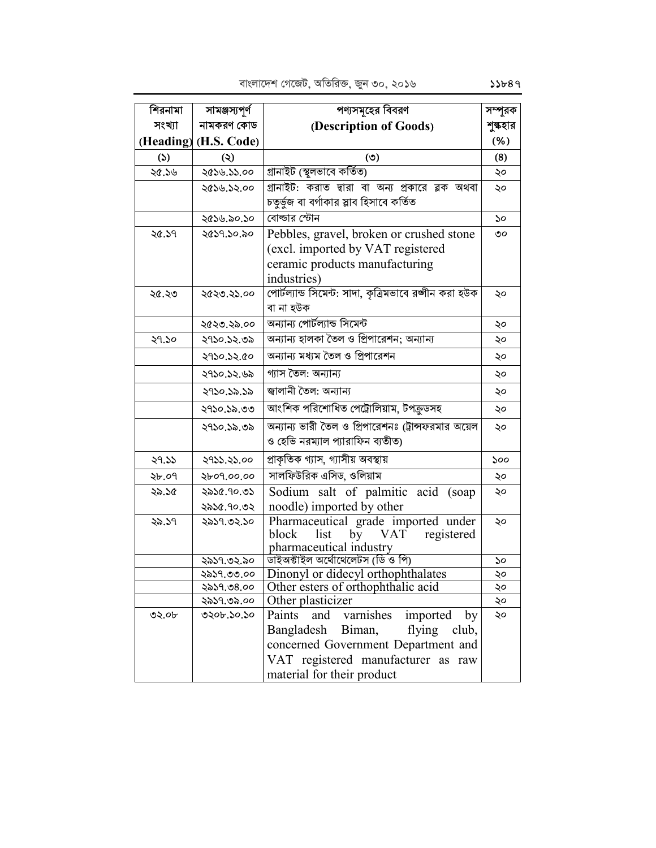| শিরনামা               | সামঞ্জস্যপূর্ণ           | পণ্যসমূহের বিবরণ                                            | সম্পূরক  |
|-----------------------|--------------------------|-------------------------------------------------------------|----------|
| সংখ্যা                | নামকরণ কোড               | (Description of Goods)                                      | শুল্কহার |
|                       | (Heading) (H.S. Code)    |                                                             | (% )     |
| $\boldsymbol{\omega}$ | $\circledcirc$           | (5)                                                         | (8)      |
| ২৫.১৬                 | ২৫১৬.১১.০০               | গ্ৰানাইট (স্থুলভাবে কৰ্তিত)                                 | ২০       |
|                       | ২৫১৬.১২.০০               | গ্রানাইট: করাত দ্বারা বা অন্য প্রকারে ব্লক অথবা             | ২০       |
|                       |                          | চতুৰ্ভুজ বা বৰ্গাকার স্লাব হিসাবে কর্তিত                    |          |
|                       | ২৫১৬.৯০.১০               | বোল্ডার স্টোন                                               | ১০       |
| 20.59                 | ২৫১৭.১০.৯০               | Pebbles, gravel, broken or crushed stone                    | ৩০       |
|                       |                          | (excl. imported by VAT registered                           |          |
|                       |                          | ceramic products manufacturing                              |          |
|                       |                          | industries)                                                 |          |
| ২৫.২৩                 | ২৫২৩.২১.০০               | পোৰ্টল্যান্ড সিমেন্ট: সাদা, কৃত্ৰিমভাবে রঙ্গীন করা হউক      | ২০       |
|                       |                          | বা না হউক                                                   |          |
|                       | ২৫২৩.২৯.০০               | অন্যান্য পোৰ্টল্যান্ড সিমেন্ট                               | ২০       |
| ২৭.১০                 | ২৭১০.১২.৩৯               | অন্যান্য হালকা তৈল ও প্রিপারেশন; অন্যান্য                   | ২০       |
|                       | ২৭১০.১২.৫০               | অন্যান্য মধ্যম তৈল ও প্রিপারেশন                             | ২০       |
|                       | ২৭১০.১২.৬৯               | গ্যাস তৈল: অন্যান্য                                         | ২০       |
|                       | ২৭১০.১৯.১৯               | জ্বালানী তৈল: অন্যান্য                                      | ২০       |
|                       | ২৭১০.১৯.৩৩               | আংশিক পরিশোধিত পেট্রোলিয়াম, টপক্রডসহ                       | ২০       |
|                       | ২৭১০.১৯.৩৯               | অন্যান্য ভারী তৈল ও প্রিপারেশনঃ (ট্রান্সফরমার অয়েল         | ২০       |
|                       |                          | ও হেভি নরম্যাল প্যারাফিন ব্যতীত)                            |          |
| 29.55                 | ২৭১১.২১.০০               | প্রাকৃতিক গ্যাস, গ্যাসীয় অবস্থায়                          | ১০০      |
| ২৮.০৭                 | 2609.00.00               | সালফিউরিক এসিড, ওলিয়াম                                     | ২০       |
| ২৯.১৫                 | ২৯১৫.৭০.৩১               | Sodium salt of palmitic acid (soap                          | ২০       |
|                       | ২৯১৫.৭০.৩২               | noodle) imported by other                                   |          |
| ২৯.১৭                 | ২৯১৭.৩২.১০               | Pharmaceutical grade imported under                         | ২০       |
|                       |                          | VAT registered<br>block<br>list<br>by                       |          |
|                       |                          | pharmaceutical industry<br>ডাইঅক্টাইল অৰ্থোথেলেটস (ডি ও পি) |          |
|                       | ২৯১৭.৩২.৯০<br>২৯১৭.৩৩.০০ | Dinonyl or didecyl orthophthalates                          | ১০<br>২০ |
|                       | ২৯১৭.৩৪.০০               | Other esters of orthophthalic acid                          | ২০       |
|                       | ২৯১৭.৩৯.০০               | Other plasticizer                                           | ২০       |
| ৩২.০৮                 | ৩২০৮.১০.১০               | Paints<br>varnishes<br>imported<br>and<br>by                | ২০       |
|                       |                          | Bangladesh<br>Biman,<br>flying<br>club,                     |          |
|                       |                          | concerned Government Department and                         |          |
|                       |                          | VAT registered manufacturer as raw                          |          |
|                       |                          | material for their product                                  |          |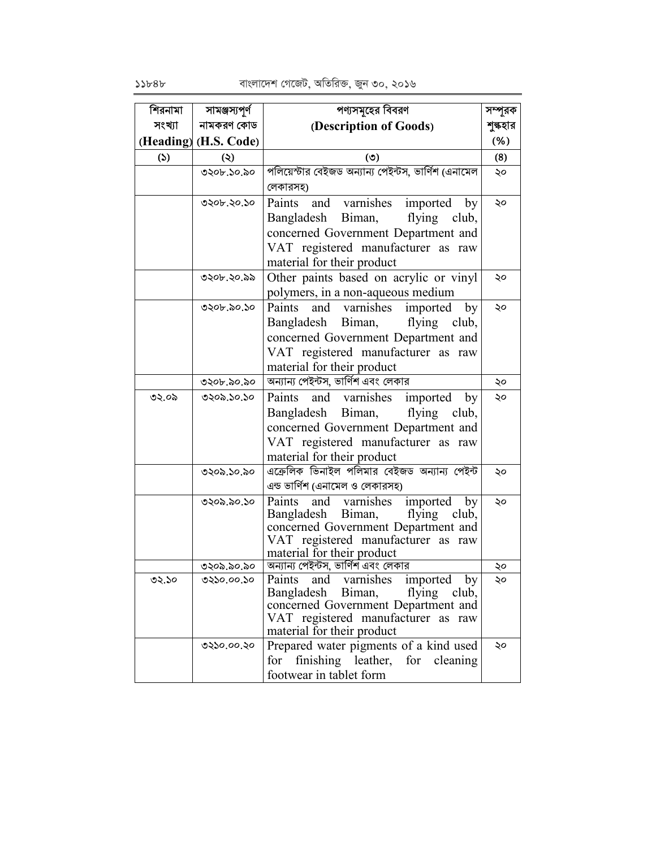| শিরনামা | সামঞ্জস্যপূর্ণ        | পণ্যসমূহের বিবরণ                                                                     | সম্পূরক  |
|---------|-----------------------|--------------------------------------------------------------------------------------|----------|
| সংখ্যা  | নামকরণ কোড            | (Description of Goods)                                                               | শুল্কহার |
|         | (Heading) (H.S. Code) |                                                                                      | $(\% )$  |
| (5)     | $\ddot{\bm{\omega}}$  | (5)                                                                                  | (8)      |
|         | ৩২০৮.১০.৯০            | পলিয়েস্টার বেইজড অন্যান্য পেইন্টস, ভার্ণিশ (এনামেল                                  | ২০       |
|         |                       | লেকারসহ)                                                                             |          |
|         | ৩২০৮.২০.১০            | and varnishes<br>Paints<br>imported<br>by                                            | ২০       |
|         |                       | Biman,<br>Bangladesh<br>flying<br>club,                                              |          |
|         |                       | concerned Government Department and                                                  |          |
|         |                       | VAT registered manufacturer as raw                                                   |          |
|         |                       | material for their product                                                           |          |
|         | ৩২০৮.২০.৯৯            | Other paints based on acrylic or vinyl                                               | ২০       |
|         |                       | polymers, in a non-aqueous medium                                                    |          |
|         | ৩২০৮.৯০.১০            | Paints<br>varnishes<br>and<br>imported<br>by                                         | ২০       |
|         |                       | Bangladesh Biman,<br>flying club,                                                    |          |
|         |                       | concerned Government Department and                                                  |          |
|         |                       | VAT registered manufacturer as raw                                                   |          |
|         |                       | material for their product                                                           |          |
|         | ৩২০৮.৯০.৯০            | অন্যান্য পেইন্টস, ভার্ণিশ এবং লেকার                                                  | ২০       |
| ৩২.০৯   | ৩২০৯.১০.১০            | varnishes<br>Paints<br>and<br>imported<br>by                                         | ২০       |
|         |                       | Bangladesh Biman,<br>flying<br>club,                                                 |          |
|         |                       | concerned Government Department and                                                  |          |
|         |                       | VAT registered manufacturer as raw                                                   |          |
|         |                       | material for their product                                                           |          |
|         | ৩২০৯.১০.৯০            | এক্রেলিক ভিনাইল পলিমার বেইজড অন্যান্য পেইন্ট                                         | ২০       |
|         |                       | এন্ড ভার্ণিশ (এনামেল ও লেকারসহ)                                                      |          |
|         | ৩২০৯.৯০.১০            | Paints<br>and varnishes<br>imported<br>by<br>Bangladesh<br>Biman,<br>flying<br>club, | ২০       |
|         |                       | concerned Government Department and                                                  |          |
|         |                       | VAT registered manufacturer as raw                                                   |          |
|         |                       | material for their product                                                           |          |
|         | ৩২০৯.৯০.৯০            | অন্যান্য পেইন্টস, ভার্ণিশ এবং লেকার                                                  | ২০       |
| ৩২.১০   | ৩২১০.০০.১০            | Paints and varnishes imported by<br>Bangladesh Biman,                                |          |
|         |                       | flying club,<br>concerned Government Department and                                  |          |
|         |                       | VAT registered manufacturer as raw                                                   |          |
|         |                       | material for their product                                                           |          |
|         | ৩২১০.০০.২০            | Prepared water pigments of a kind used                                               | ২০       |
|         |                       | finishing leather, for<br>for<br>cleaning                                            |          |
|         |                       | footwear in tablet form                                                              |          |

 $55b8b$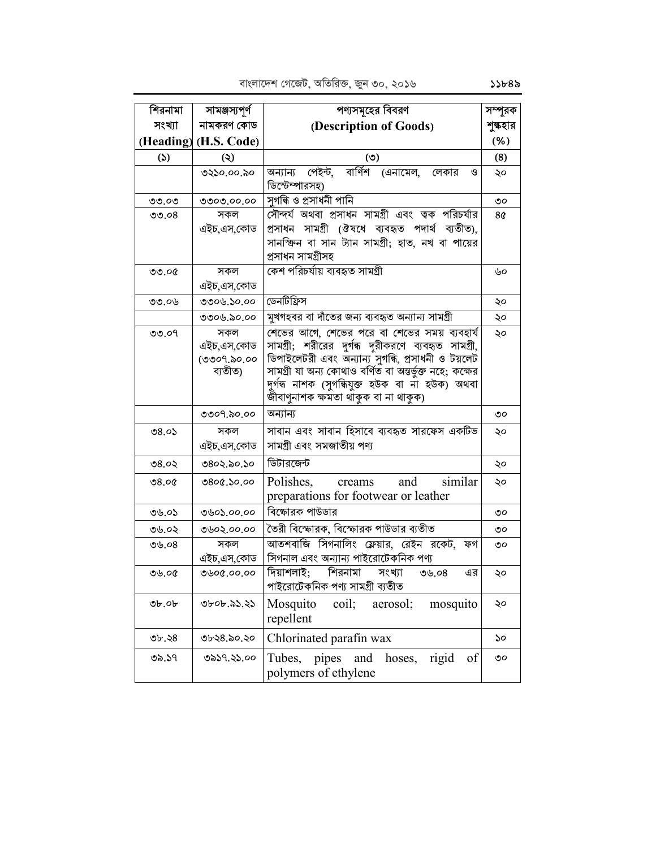| শিরনামা    | সামঞ্জস্যপূৰ্ণ        | পণ্যসমূহের বিবরণ                                                                                        | সম্পূরক  |
|------------|-----------------------|---------------------------------------------------------------------------------------------------------|----------|
| সংখ্যা     | নামকরণ কোড            | (Description of Goods)                                                                                  | শুল্কহার |
|            | (Heading) (H.S. Code) |                                                                                                         | (% )     |
| (5)        | $\circledcirc$        | (5)                                                                                                     | (8)      |
|            | ৩২১০.০০.৯০            | বার্ণিশ (এনামেল, লেকার<br>অন্যান্য পেইন্ট,<br>ও                                                         | ২০       |
|            |                       | ডিস্টেম্পারসহ)                                                                                          |          |
| ৩৩.০৩      | ৩৩০৩.০০.০০            | সুগন্ধি ও প্ৰসাধনী পানি                                                                                 | ৩০       |
| ಲಿಲಿ. $08$ | সকল                   | সৌন্দর্য অথবা প্রসাধন সামগ্রী এবং ত্বক পরিচর্যার                                                        | 8¢       |
|            | এইচ,এস,কোড            | প্ৰসাধন সামগ্ৰী (ঔষধে ব্যবহৃত পদাৰ্থ ব্যতীত),                                                           |          |
|            |                       | সানক্ষিন বা সান ট্যান সামগ্রী; হাত, নখ বা পায়ের                                                        |          |
|            |                       | প্ৰসাধন সামগ্ৰীসহ                                                                                       |          |
| ৩৩.০৫      | সকল                   | কেশ পরিচর্যায় ব্যবহৃত সামগ্রী                                                                          | ৬০       |
|            | এইচ,এস,কোড            |                                                                                                         |          |
| ৩৩.০৬      | ৩৩০৬.১০.০০            | ডেনটিফ্রিস                                                                                              | ২০       |
|            | ৩৩০৬.৯০.০০            | মুখগহবর বা দাঁতের জন্য ব্যবহৃত অন্যান্য সামগ্রী                                                         | ২০       |
| ಲಿಲಿ. $O9$ | সকল                   | শেভের আগে, শেভের পরে বা শেভের সময় ব্যবহার্য                                                            | ২০       |
|            | এইচ,এস,কোড            | সামগ্রী; শরীরের দুর্গন্ধ দূরীকরণে ব্যবহৃত সামগ্রী,                                                      |          |
|            | (৩৩০৭.৯০.০০           | ডিপাইলেটরী এবং অন্যান্য সুগন্ধি, প্রসাধনী ও টয়লেট                                                      |          |
|            | ব্যতীত)               | সামগ্ৰী যা অন্য কোথাও বৰ্ণিত বা অন্তৰ্ভুক্ত নহে; কক্ষের<br>দুৰ্গৰূ নাশক (সুগৰিযুক্ত হউক বা না হউক) অথবা |          |
|            |                       | জীবাণুনাশক ক্ষমতা থাকুক বা না থাকুক)                                                                    |          |
|            | ৩৩০৭.৯০.০০            | অন্যান্য                                                                                                | ৩০       |
| ৩ $8.0$ ১  | সকল                   | সাবান এবং সাবান হিসাবে ব্যবহৃত সারফেস একটিভ                                                             | ২০       |
|            | এইচ,এস,কোড            | সামগ্ৰী এবং সমজাতীয় পণ্য                                                                               |          |
|            |                       |                                                                                                         |          |
| ৩৪.০২      | ৩৪০২.৯০.১০            | ডিটারজেন্ট                                                                                              | ২০       |
| 08.00      | 0.06, 0.00            | Polishes,<br>similar<br>and<br>creams                                                                   | ২০       |
|            |                       | preparations for footwear or leather                                                                    |          |
| ৩৬.০১      | ৩৬০১.০০.০০            | বিক্ষোরক পাউডার                                                                                         | ৩০       |
| ৩৬.০২      | ৩৬০২.০০.০০            | তৈরী বিস্ফোরক, বিস্ফোরক পাউডার ব্যতীত                                                                   | ৩০       |
| 0.08       | সকল                   | আতশবাজি সিগনালিং ফ্লেয়ার, রেইন রকেট, ফগ                                                                | ৩০       |
|            | এইচ,এস,কোড            | সিগনাল এবং অন্যান্য পাইরোটেকনিক পণ্য                                                                    |          |
| ৩৬.০৫      | ৩৬০৫.০০.০০            | দিয়াশলাই; শিরনামা সংখ্যা<br>এর<br>৩৬.০ $8$                                                             | ২০       |
|            |                       | পাইরোটেকনিক পণ্য সামগ্রী ব্যতীত                                                                         |          |
| Ob.        | ৩৮০৮.৯১.২১            | Mosquito<br>coil;<br>aerosol:<br>mosquito                                                               | ২০       |
|            |                       | repellent                                                                                               |          |
| ৩৮.২৪      | ৩৮২৪.৯০.২০            | Chlorinated parafin wax                                                                                 | ১০       |
|            |                       |                                                                                                         |          |
| ৩৯.১৭      | ৩৯১৭.২১.০০            | pipes and<br>Tubes,<br>hoses,<br>rigid<br>of                                                            | ৩০       |
|            |                       | polymers of ethylene                                                                                    |          |

 $55b8$ ৯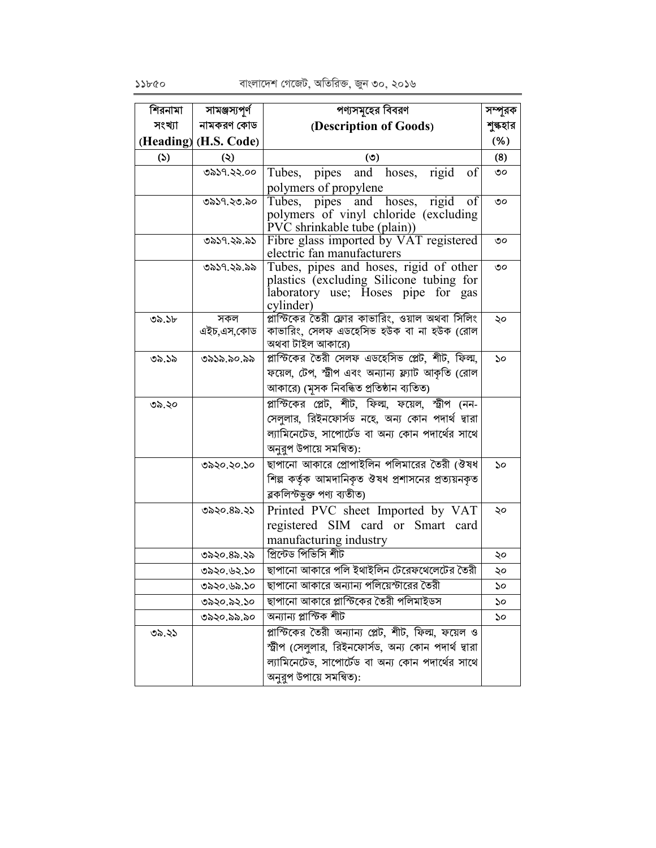| শিরনামা       | সামঞ্জস্যপূর্ণ        | পণ্যসমূহের বিবরণ                                                                 | সম্পূরক  |
|---------------|-----------------------|----------------------------------------------------------------------------------|----------|
| সংখ্যা        | নামকরণ কোড            | (Description of Goods)                                                           | শুল্কহার |
|               | (Heading) (H.S. Code) |                                                                                  | (% )     |
| $\mathcal{L}$ | $\ddot{\bm{\omega}}$  | (5)                                                                              | (8)      |
|               | ৩৯১৭.২২.০০            | Tubes, pipes and hoses,<br>rigid<br>of                                           | ৩০       |
|               |                       | polymers of propylene                                                            |          |
|               | ৩৯১৭.২৩.৯০            | Tubes, pipes and hoses, rigid<br>of<br>polymers of vinyl chloride (excluding     | ৩০       |
|               |                       | PVC shrinkable tube (plain))                                                     |          |
|               | ৩৯১৭.২৯.৯১            | Fibre glass imported by VAT registered<br>electric fan manufacturers             | ৩০       |
|               | ৩৯১৭.২৯.৯৯            | Tubes, pipes and hoses, rigid of other                                           | ৩০       |
|               |                       | plastics (excluding Silicone tubing for<br>laboratory use; Hoses pipe<br>for gas |          |
|               |                       | cylinder)                                                                        |          |
| ৩৯.১৮         | সকল                   | প্লাস্টিকের তৈরী ফ্লোর কাভারিং, ওয়াল অথবা সিলিং                                 | ২০       |
|               | এইচ,এস,কোড            | কাভারিং, সেলফ এডহেসিভ হউক বা না হউক (রোল                                         |          |
|               |                       | অথবা টাইল আকারে)                                                                 |          |
| ৩৯.১৯         | ৩৯১৯.৯০.৯৯            | প্লাস্টিকের তৈরী সেলফ এডহেসিভ প্লেট, শীট, ফিল্ম,                                 | ১০       |
|               |                       | ফয়েল, টেপ, স্ট্রীপ এবং অন্যান্য ফ্ল্যাট আকৃতি (রোল                              |          |
|               |                       | আকারে) (মুসক নিবন্ধিত প্রতিষ্ঠান ব্যতিত)                                         |          |
| ৩৯.২০         |                       | প্লাস্টিকের প্লেট, শীট, ফিল্ম, ফয়েল, স্ট্রীপ (নন-                               |          |
|               |                       | সেলুলার, রিইনফোর্সড নহে, অন্য কোন পদার্থ দ্বারা                                  |          |
|               |                       | ল্যামিনেটেড, সাপোর্টেড বা অন্য কোন পদার্থের সাথে                                 |          |
|               |                       | অনুরুপ উপায়ে সমন্বিত):                                                          |          |
|               | ৩৯২০.২০.১০            | ছাপানো আকারে প্রোপাইলিন পলিমারের তৈরী (ঔষধ                                       | ১০       |
|               |                       | শিল্প কর্তৃক আমদানিকৃত ঔষধ প্রশাসনের প্রত্যয়নকৃত                                |          |
|               |                       | ব্লকলিস্টভূক্ত পণ্য ব্যতীত)                                                      |          |
|               | ৩৯২০.৪৯.২১            | Printed PVC sheet Imported by VAT                                                | ২০       |
|               |                       | registered SIM card or Smart card                                                |          |
|               |                       | manufacturing industry                                                           |          |
|               | ৩৯২০.৪৯.২৯            | প্ৰিন্টেড পিভিসি শীট                                                             | ২০       |
|               | ৩৯২০.৬২.১০            | ছাপানো আকারে পলি ইথাইলিন টেরেফথেলেটের তৈরী                                       | ২০       |
|               | ৩৯২০.৬৯.১০            | ছাপানো আকারে অন্যান্য পলিয়েস্টারের তৈরী                                         | ১০       |
|               | ৩৯২০.৯২.১০            | ছাপানো আকারে প্লাস্টিকের তৈরী পলিমাইডস                                           | ১০       |
|               | ৩৯২০.৯৯.৯০            | অন্যান্য প্লাস্টিক শীট                                                           | ১০       |
| ৩৯.২১         |                       | প্লাস্টিকের তৈরী অন্যান্য প্লেট, শীট, ফিল্ম, ফয়েল ও                             |          |
|               |                       | স্ট্রীপ (সেলুলার, রিইনফোর্সড, অন্য কোন পদার্থ দ্বারা                             |          |
|               |                       | ল্যামিনেটেড, সাপোর্টেড বা অন্য কোন পদার্থের সাথে                                 |          |
|               |                       | অনুরুপ উপায়ে সমন্বিত):                                                          |          |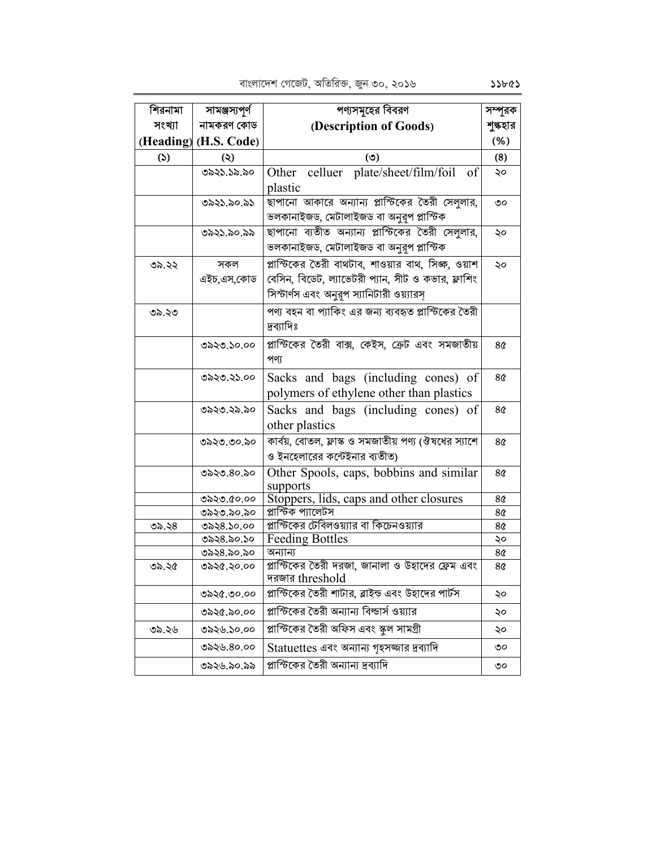| শিরনামা       | সামঞ্জস্যপূর্ণ        | পণ্যসমূহের বিবরণ                                                    | সম্পূরক        |
|---------------|-----------------------|---------------------------------------------------------------------|----------------|
| সংখ্যা        | নামকরণ কোড            | (Description of Goods)                                              | শুল্কহার       |
|               | (Heading) (H.S. Code) |                                                                     | (% )           |
| $\mathcal{L}$ | $\circledcirc$        | (5)                                                                 | (8)            |
|               | ৩৯২১.১৯.৯০            | celluer plate/sheet/film/foil<br>Other<br>of                        | ২০             |
|               |                       | plastic                                                             |                |
|               | ৩৯২১.৯০.৯১            | ছাপানো আকারে অন্যান্য প্লাস্টিকের তৈরী সেলুলার,                     | ৩০             |
|               |                       | ভলকানাইজড, মেটালাইজড বা অনুরূপ প্লাস্টিক                            |                |
|               | ৩৯২১.৯০.৯৯            | ছাপানো ব্যতীত অন্যান্য প্লাস্টিকের তৈরী সেলুলার,                    | ২০             |
|               |                       | ভলকানাইজড, মেটালাইজড বা অনুরূপ প্লাস্টিক                            |                |
| ৩৯.২২         | সকল                   | স্লাস্টিকের তৈরী বাথটাব, শাওয়ার বাথ, সিজ্ঞ, ওয়াশ                  | ২০             |
|               | এইচ,এস,কোড            | বেসিন, বিডেট, ল্যাভেটরী প্যান, সীট ও কভার, ফ্লাশিং                  |                |
|               |                       | সিস্টার্ণস এবং অনুরূপ স্যানিটারী ওয়্যারস্                          |                |
| ৩৯.২৩         |                       | পণ্য বহন বা প্যাকিং এর জন্য ব্যবহৃত প্লাস্টিকের তৈরী                |                |
|               |                       | দ্ৰব্যাদিঃ                                                          |                |
|               | ৩৯২৩.১০.০০            | প্লাস্টিকের তৈরী বাক্স, কেইস, ক্রেট এবং সমজাতীয়                    | 8 <sub>0</sub> |
|               |                       | পণ্য                                                                |                |
|               | ৩৯২৩.২১.০০            | Sacks and bags (including cones) of                                 | 8¢             |
|               |                       | polymers of ethylene other than plastics                            |                |
|               | ৩৯২৩.২৯.৯০            |                                                                     | 8৫             |
|               |                       | Sacks and bags (including cones) of<br>other plastics               |                |
|               |                       |                                                                     |                |
|               | ৩৯২৩.৩০.৯০            | কার্বয়, বোতল, ফ্লাস্ক ও সমজাতীয় পণ্য (ঔষধের স্যাশে                | 8 <sub>0</sub> |
|               |                       | ও ইনহেলারের কন্টেইনার ব্যতীত)                                       |                |
|               | ৩৯২৩.৪০.৯০            | Other Spools, caps, bobbins and similar<br>supports                 | 8¢             |
|               | ৩৯২৩.৫০.০০            | Stoppers, lids, caps and other closures                             | 8¢             |
|               | ৩৯২৩.৯০.৯০            | প্লাস্টিক প্যালেটস                                                  | 8¢             |
| ৩৯.২৪         | ৩৯২৪.১০.০০            | প্লাস্টিকের টেবিলওয়্যার বা কিচেনওয়্যার                            | 8¢             |
|               | ৩৯২৪.৯০.১০            | Feeding Bottles                                                     | ২০             |
|               | ৩৯২৪.৯০.৯০            | অন্যান্য                                                            | 8¢             |
| ৩৯.২৫         | ৩৯২৫.২০.০০            | প্লাস্টিকের তৈরী দরজা, জানালা ও উহাদের ফ্রেম এবং<br>দরজার threshold | 8¢             |
|               |                       | প্লাস্টিকের তৈরী শাটার, ব্লাইন্ড এবং উহাদের পার্টস                  |                |
|               | ৩৯২৫.৩০.০০            |                                                                     | ২০             |
|               | ৩৯২৫.৯০.০০            | প্লাস্টিকের তৈরী অন্যান্য বিল্ডার্স ওয়্যার                         | ২০             |
| ৩৯.২৬         | ৩৯২৬.১০.০০            | প্লাস্টিকের তৈরী অফিস এবং স্কুল সামগ্রী                             | ২০             |
|               | ৩৯২৬.৪০.০০            | Statuettes এবং অন্যান্য গৃহসজ্জার দ্রব্যাদি                         | ৩০             |
|               | ৩৯২৬.৯০.৯৯            | প্লাস্টিকের তৈরী অন্যান্য দ্রব্যাদি                                 | ৩০             |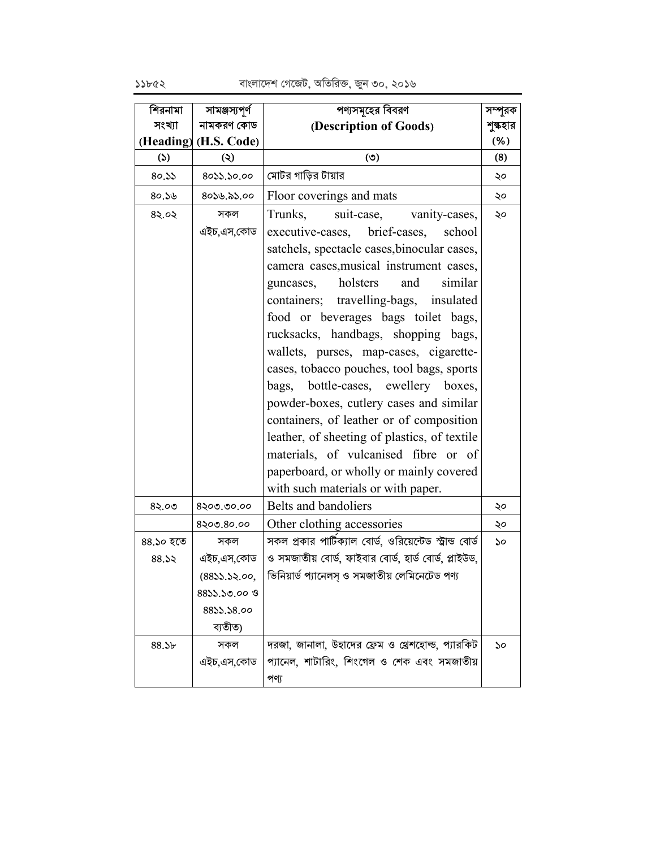বাংলাদেশ গেজেট, অতিরিক্ত, জুন ৩০, ২০১৬

| শিরনামা           | সামঞ্জস্যপূর্ণ        | পণ্যসমূহের বিবরণ                                                                                 | সম্পূরক  |
|-------------------|-----------------------|--------------------------------------------------------------------------------------------------|----------|
| সংখ্যা            | নামকরণ কোড            | (Description of Goods)                                                                           | শুল্কহার |
|                   | (Heading) (H.S. Code) |                                                                                                  | $(\% )$  |
| (5)               | $\ddot{\bm{\omega}}$  | (5)                                                                                              | (8)      |
| 80.55             | 80১১.১০.০০            | মোটর গাড়ির টায়ার                                                                               | ২০       |
| 80.56             | 80১৬.৯১.০০            | Floor coverings and mats                                                                         | ২০       |
| 85.05             | সকল                   | Trunks,<br>suit-case, vanity-cases,                                                              | ২০       |
|                   | এইচ,এস,কোড            | executive-cases, brief-cases,<br>school                                                          |          |
|                   |                       | satchels, spectacle cases, binocular cases,                                                      |          |
|                   |                       | camera cases, musical instrument cases,                                                          |          |
|                   |                       | holsters<br>and<br>similar<br>guncases,                                                          |          |
|                   |                       | containers; travelling-bags, insulated                                                           |          |
|                   |                       | food or beverages bags toilet bags,                                                              |          |
|                   |                       | rucksacks, handbags, shopping bags,                                                              |          |
|                   |                       | wallets, purses, map-cases, cigarette-                                                           |          |
|                   |                       | cases, tobacco pouches, tool bags, sports                                                        |          |
|                   |                       | bags, bottle-cases, ewellery boxes,                                                              |          |
|                   |                       | powder-boxes, cutlery cases and similar                                                          |          |
|                   |                       | containers, of leather or of composition                                                         |          |
|                   |                       | leather, of sheeting of plastics, of textile                                                     |          |
|                   |                       | materials, of vulcanised fibre or of                                                             |          |
|                   |                       | paperboard, or wholly or mainly covered                                                          |          |
|                   |                       | with such materials or with paper.                                                               |          |
| 85.00             | 8২०७.७०.००            | Belts and bandoliers                                                                             | ২০       |
|                   | 8২০৩.8০.০০            | Other clothing accessories                                                                       | ২০       |
| ৪৪.১০ হতে         | সকল                   | সকল প্রকার পার্টিক্যাল বোর্ড, ওরিয়েন্টেড স্ট্রান্ড বোর্ড                                        | ১০       |
| 88.52             | এইচ,এস,কোড            | ও সমজাতীয় বোর্ড, ফাইবার বোর্ড, হার্ড বোর্ড, প্লাইউড,                                            |          |
|                   | (8833.52.00,          | ভিনিয়ার্ড প্যানেলস্ ও সমজাতীয় লেমিনেটেড পণ্য                                                   |          |
|                   | $88$ ১১.১৩.০০ ও       |                                                                                                  |          |
|                   | 8855.58.00<br>ব্যতীত) |                                                                                                  |          |
|                   |                       |                                                                                                  |          |
| 88.5 <sub>b</sub> | সকল<br>এইচ,এস,কোড     | দরজা, জানালা, উহাদের ফ্রেম ও থ্রেশহোল্ড, প্যারকিট<br>প্যানেল, শাটারিং, শিংগেল ও শেক এবং সমজাতীয় | ১০       |
|                   |                       |                                                                                                  |          |
|                   |                       | পণ্য                                                                                             |          |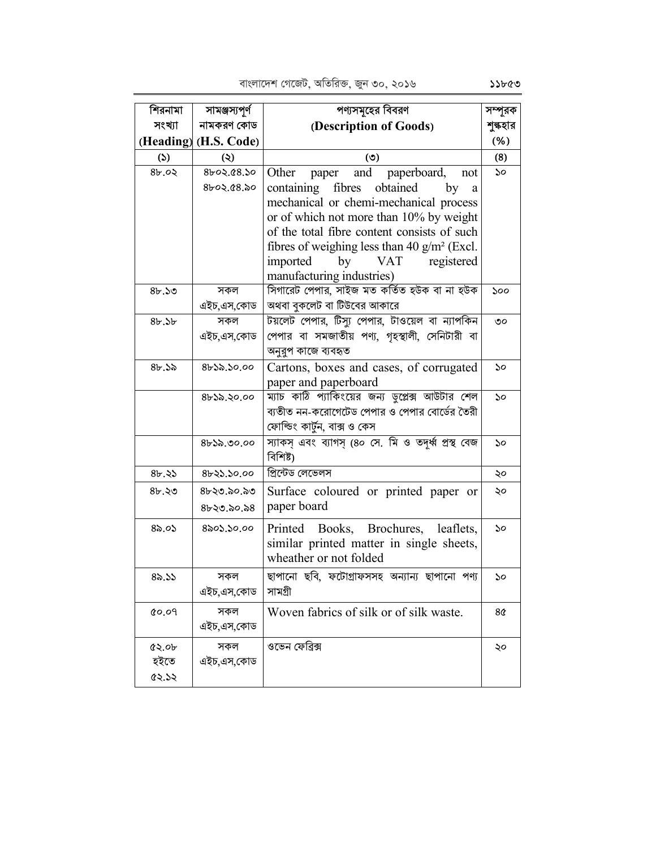| শিরনামা | সামঞ্জস্যপূর্ণ        | পণ্যসমূহের বিবরণ                                                        | সম্পূরক  |
|---------|-----------------------|-------------------------------------------------------------------------|----------|
| সংখ্যা  | নামকরণ কোড            | (Description of Goods)                                                  | শুল্কহার |
|         | (Heading) (H.S. Code) |                                                                         | (% )     |
| (5)     | $\ddot{\bm{\omega}}$  | (5)                                                                     | (8)      |
| 8b.02   | ৪৮০২.৫৪.১০            | Other<br>and<br>paperboard,<br>paper<br>not                             | ১০       |
|         | 8৮০২.৫৪.৯০            | obtained<br>containing fibres<br>by<br>a                                |          |
|         |                       | mechanical or chemi-mechanical process                                  |          |
|         |                       | or of which not more than 10% by weight                                 |          |
|         |                       | of the total fibre content consists of such                             |          |
|         |                       | fibres of weighing less than 40 $g/m^2$ (Excl.                          |          |
|         |                       | imported<br><b>VAT</b><br>by<br>registered                              |          |
|         |                       | manufacturing industries)                                               |          |
| 8b.50   | সকল                   | সিগারেট পেপার, সাইজ মত কর্তিত হউক বা না হউক                             | 500      |
|         | এইচ,এস,কোড            | অথবা বুকলেট বা টিউবের আকারে                                             |          |
| 8b.5b   | সকল                   | টয়লেট পেপার, টিস্য পেপার, টাওয়েল বা ন্যাপকিন                          | ৩০       |
|         | এইচ,এস,কোড            | পেপার বা সমজাতীয় পণ্য, গৃহস্থালী, সেনিটারী বা                          |          |
|         |                       | অনুরুপ কাজে ব্যবহৃত                                                     |          |
| 8b.3b   | $8b$ ১৯.১০.০০         | Cartons, boxes and cases, of corrugated                                 | ১০       |
|         |                       | paper and paperboard<br>ম্যাচ কাঠি প্যাকিংয়ের জন্য ডুপ্লেক্স আউটার শেল |          |
|         | 8632.20.00            | ব্যতীত নন-করোগেটেড পেপার ও পেপার বোর্ডের তৈরী                           | 50       |
|         |                       | ফোল্ডিং কাৰ্টুন, বাক্স ও কেস                                            |          |
|         | $8b$ ১৯.৩০.০০         | স্যাকস এবং ব্যাগস (৪০ সে. মি ও তদর্ধ্ব প্রস্থ বেজ                       | ১০       |
|         |                       | বিশিষ্ট)                                                                |          |
| 8b.35   | 8b3.50.00             | প্ৰিন্টেড লেভেলস                                                        | ২০       |
| 8b.50   | ৪৮২৩.৯০.৯৩            | Surface coloured or printed paper or                                    | ২০       |
|         | $8b$ 20.20.28         | paper board                                                             |          |
|         |                       |                                                                         |          |
| 85.05   | ৪৯০১.১০.০০            | Printed Books, Brochures, leaflets,                                     | ১০       |
|         |                       | similar printed matter in single sheets,                                |          |
|         |                       | wheather or not folded                                                  |          |
| 85.55   | সকল                   | ছাপানো ছবি, ফটোগ্ৰাফসসহ অন্যান্য ছাপানো পণ্য                            | ১০       |
|         | এইচ,এস,কোড            | সামগ্ৰী                                                                 |          |
| 0.09    | সকল                   | Woven fabrics of silk or of silk waste.                                 | 8¢       |
|         | এইচ,এস,কোড            |                                                                         |          |
| Q > 0   | সকল                   | ওভেন ফেব্রিক্স                                                          | ২০       |
| হইতে    | এইচ,এস,কোড            |                                                                         |          |
| 62.52   |                       |                                                                         |          |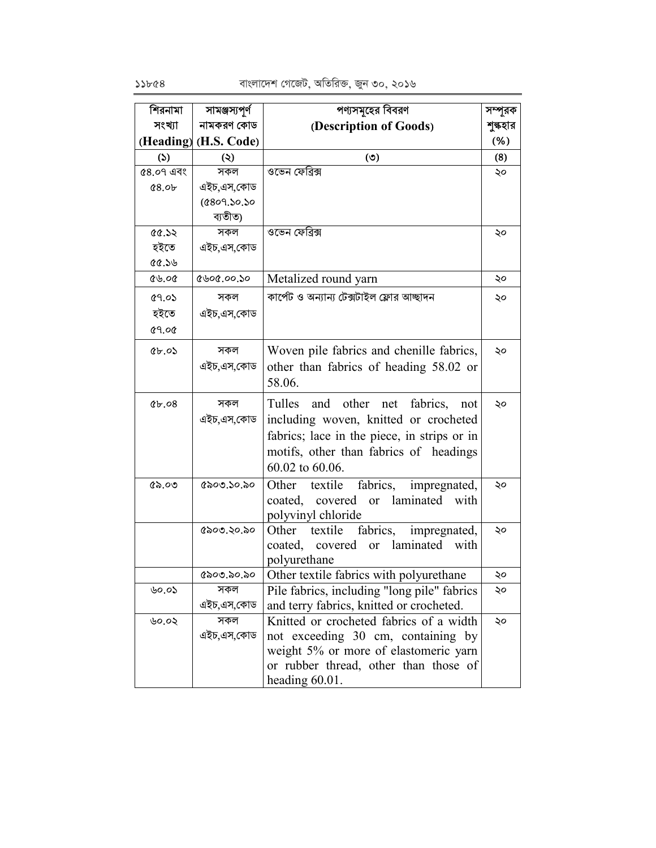| শিরনামা      | সামঞ্জস্যপূর্ণ          | পণ্যসমূহের বিবরণ                                                                                                                                                                                | সম্পূরক  |
|--------------|-------------------------|-------------------------------------------------------------------------------------------------------------------------------------------------------------------------------------------------|----------|
| সংখ্যা       | নামকরণ কোড              | (Description of Goods)                                                                                                                                                                          | শুল্কহার |
|              | (Heading) (H.S. Code)   |                                                                                                                                                                                                 | (% )     |
| (5)          | $\circledcirc$          | (৩)                                                                                                                                                                                             | (8)      |
| ৫8.০৭ এবং    | সকল                     | ওভেন ফেব্রিক্স                                                                                                                                                                                  | ২০       |
| 0.89         | এইচ,এস,কোড              |                                                                                                                                                                                                 |          |
|              | (6809.50.50)<br>ব্যতীত) |                                                                                                                                                                                                 |          |
| 56.55        | সকল                     | ওভেন ফেব্রিক্স                                                                                                                                                                                  | ২০       |
| হইতে         | এইচ,এস,কোড              |                                                                                                                                                                                                 |          |
| 0.50         |                         |                                                                                                                                                                                                 |          |
| 86.00        | ৫৬০৫.০০.১০              | Metalized round yarn                                                                                                                                                                            | ২০       |
| ৫৭.০১        | সকল                     | কার্পেট ও অন্যান্য টেক্সটাইল ফ্লোর আচ্ছাদন                                                                                                                                                      | ২০       |
| হইতে         | এইচ.এস.কোড              |                                                                                                                                                                                                 |          |
| <b>89.08</b> |                         |                                                                                                                                                                                                 |          |
| 85.05        | সকল<br>এইচ,এস,কোড       | Woven pile fabrics and chenille fabrics,<br>other than fabrics of heading 58.02 or<br>58.06.                                                                                                    | ২০       |
| 80.49        | সকল<br>এইচ,এস,কোড       | net fabrics,<br>and other<br>Tulles<br>not<br>including woven, knitted or crocheted<br>fabrics; lace in the piece, in strips or in<br>motifs, other than fabrics of headings<br>60.02 to 60.06. | ২০       |
| (65.00)      | ৫৯০৩.১০.৯০              | textile<br>fabrics,<br>Other<br>impregnated,<br>laminated<br>coated,<br>covered<br><sub>or</sub><br>with<br>polyvinyl chloride                                                                  | ২০       |
|              | ৫৯০৩.২০.৯০              | textile<br>fabrics, impregnated,<br>Other<br>coated,<br>covered<br>laminated<br>or<br>with<br>polyurethane                                                                                      | ২০       |
|              | (500, 50, 50)           | Other textile fabrics with polyurethane                                                                                                                                                         | ২০       |
| ৬০.০১        | সকল                     | Pile fabrics, including "long pile" fabrics                                                                                                                                                     | ২০       |
|              | এইচ,এস,কোড              | and terry fabrics, knitted or crocheted.                                                                                                                                                        |          |
| ৬০.০২        | সকল<br>এইচ.এস.কোড       | Knitted or crocheted fabrics of a width<br>not exceeding 30 cm, containing by<br>weight 5% or more of elastomeric yarn<br>or rubber thread, other than those of<br>heading $60.01$ .            | ২০       |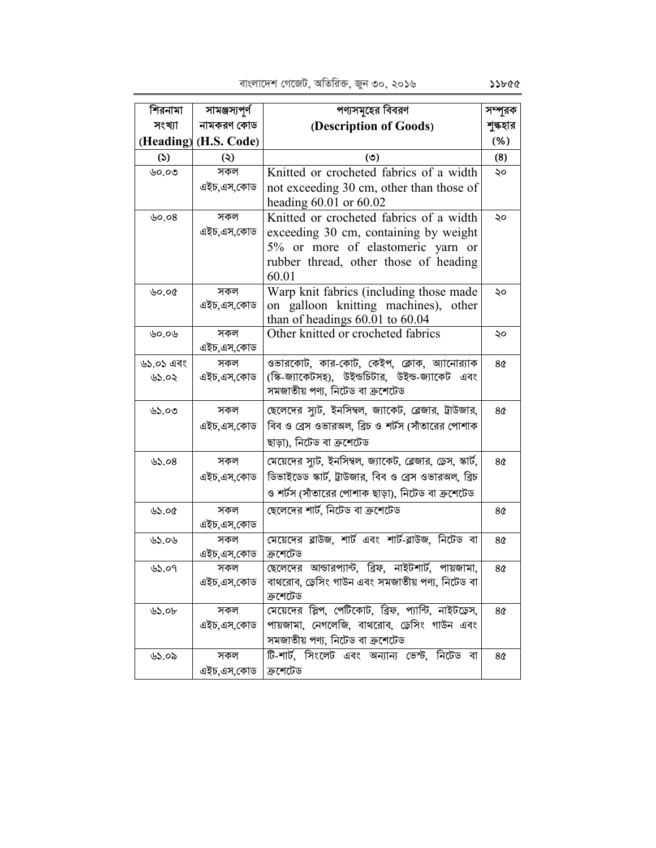পণ্যসমূহের বিবরণ শিরনামা সামঞ্জস্যপূর্ণ সম্পূরক সংখ্যা নামকরণ কোড (Description of Goods) শুল্কহার (Heading) (H.S. Code)  $(% )$  $(5)$  $(8)$  $(5)$  $\ddot{\bm{\omega}}$ ৬০.০৩ সকল Knitted or crocheted fabrics of a width ২০ এইচ.এস.কোড not exceeding 30 cm, other than those of heading  $60.01$  or  $60.02$ ৬০.০ $8$ সকল Knitted or crocheted fabrics of a width ২০ এইচ.এস.কোড exceeding 30 cm, containing by weight 5% or more of elastomeric yarn or rubber thread, other those of heading 60.01 Warp knit fabrics (including those made  $15000$ সকল ১০ এইচ,এস,কোড on galloon knitting machines), other than of headings  $60.01$  to  $60.04$ Other knitted or crocheted fabrics ৬০.০৬ সকল ২০ এইচ,এস,কোড ওভারকোট, কার-কোট, কেইপ, ক্লোক, অ্যানোর্যাক সকল ৬১.০১ এবং  $8<sub>0</sub>$ (স্কি-জ্যাকেটসহ), উইন্ডচিটার, উইন্ড-জ্যাকেট এবং ৬১.০২ এইচ,এস,কোড সমজাতীয় পণ্য, নিটেড বা ক্রশেটেড ছেলেদের স্যট, ইনসিম্বল, জ্যাকেট, ব্লেজার, ট্রাউজার, সকল  $0.00$  $8\alpha$ বিব ও ব্রেস ওভারঅল. ব্রিচ ও শর্টস (সাঁতারের পোশাক এইচ.এস.কোড ছাড়া), নিটেড বা ক্ৰশেটেড মেয়েদের স্যট, ইনসিম্বল, জ্যাকেট, ব্লেজার, ড্রেস, স্কার্ট, ৬১.০ $8$ সকল  $8<sub>0</sub>$ ডিভাইডেড স্কার্ট, ট্রাউজার, বিব ও ব্রেস ওভারঅল, ব্রিচ এইচ.এস.কোড ও শর্টস (সাঁতারের পোশাক ছাড়া), নিটেড বা ক্রশেটেড ছেলেদের শার্ট, নিটেড বা ক্রশেটেড সকল  $85.00$  $8<sub>0</sub>$ এইচ.এস.কোড সকল মেয়েদের ব্লাউজ, শার্ট এবং শার্ট-ব্লাউজ, নিটেড বা  $0.06$  $80<sup>°</sup>$ ক্ৰশেটেড এইচ.এস.কোড ছেলেদের আন্ডারপ্যান্ট, ব্রিফ, নাইটশার্ট, পায়জামা, সকল  $8<sub>0</sub>$ ৬১.০৭ বাথরোব, ড্রেসিং গাউন এবং সমজাতীয় পণ্য, নিটেড বা এইচ.এস.কোড ক্ৰশেটেড মেয়েদের স্লিপ, পেটিকোট, ব্রিফ, প্যান্টি, নাইটডেস, সকল  $05.0<sub>b</sub>$  $8\alpha$ পায়জামা, নেগলেজি, বাথরোব, ড্রেসিং গাউন এবং এইচ.এস.কোড সমজাতীয় পণ্য, নিটেড বা ক্রশেটেড টি-শার্ট, সিংলেট এবং অন্যান্য ভেস্ট, নিটেড বা  $0.06$ সকল  $8<sub>0</sub>$ এইচ,এস,কোড | ক্ৰশেটেড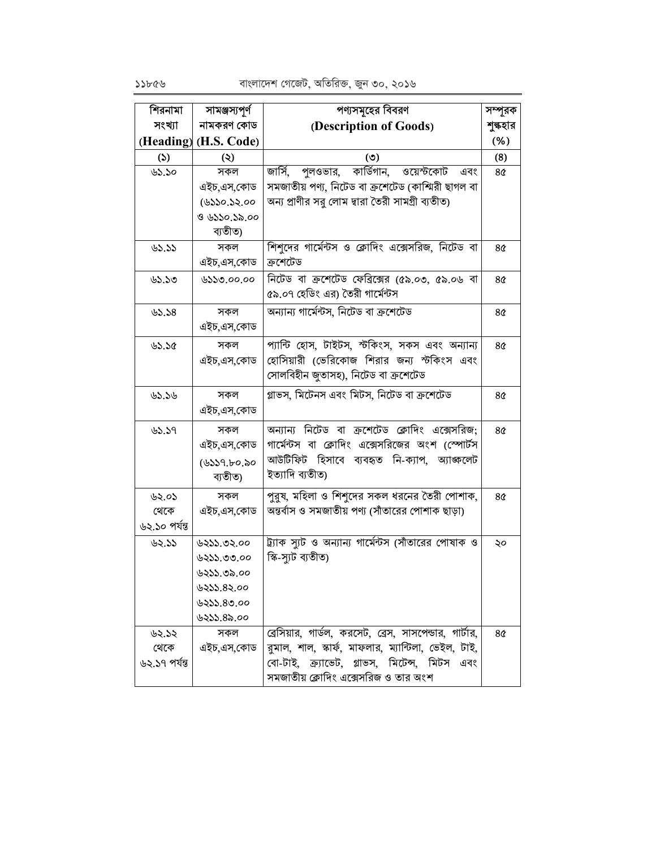| শিরনামা       | সামঞ্জস্যপূর্ণ        | পণ্যসমূহের বিবরণ                                       | সম্পূরক        |
|---------------|-----------------------|--------------------------------------------------------|----------------|
| সংখ্যা        | নামকরণ কোড            | (Description of Goods)                                 | শুল্কহার       |
|               | (Heading) (H.S. Code) |                                                        | (% )           |
| $\mathcal{L}$ | $\circledcirc$        | (৩)                                                    | (8)            |
| ৬১.১০         | সকল                   | জার্সি, পুলওভার, কার্ডিগান, ওয়েস্টকোট<br>এবং          | 8¢             |
|               | এইচ,এস,কোড            | সমজাতীয় পণ্য, নিটেড বা ক্রশেটেড (কাশ্মিরী ছাগল বা     |                |
|               | (৬১১০.১২.০০           | অন্য প্রাণীর সরু লোম দ্বারা তৈরী সামগ্রী ব্যতীত)       |                |
|               | ও ৬১১০.১৯.০০          |                                                        |                |
|               | ব্যতীত)               |                                                        |                |
| 85.55         | সকল                   | শিশুদের গার্মেন্টস ও ক্লোদিং এক্সেসরিজ, নিটেড বা       | 8¢             |
|               | এইচ,এস,কোড            | ক্ৰশেটেড                                               |                |
| ৬১.১৩         | ৬১১৩.০০.০০            | নিটেড বা ক্রশেটেড ফেব্রিক্সের (৫৯.০৩, ৫৯.০৬ বা         | 8¢             |
|               |                       | ৫৯.০৭ হেডিং এর) তৈরী গার্মেন্টস                        |                |
| 82.58         | সকল                   | অন্যান্য গার্মেন্টস, নিটেড বা ক্রশেটেড                 | 8 <sub>0</sub> |
|               | এইচ,এস,কোড            |                                                        |                |
| 32.50         | সকল                   | প্যান্টি হোস, টাইটস, স্টকিংস, সকস এবং অন্যান্য         | 8¢             |
|               | এইচ,এস,কোড            | হোসিয়ারী (ভেরিকোজ শিরার জন্য স্টকিংস এবং              |                |
|               |                       | সোলবিহীন জুতাসহ), নিটেড বা ক্রশেটেড                    |                |
| 85.56         | সকল                   | গ্লাভস, মিটেনস এবং মিটস, নিটেড বা ক্রশেটেড             | 8¢             |
|               | এইচ,এস,কোড            |                                                        |                |
|               |                       |                                                        |                |
| 85.59         | সকল                   | অন্যান্য নিটেড বা ক্রশেটেড ক্লোদিং এক্সেসরিজ;          | 8 <sub>0</sub> |
|               | এইচ,এস,কোড            | গার্মেন্টস বা ক্লোদিং এক্সেসরিজের অংশ (স্পোর্টস        |                |
|               | (৬১১৭.৮০.৯০           | আউটিফিট হিসাবে ব্যবহৃত নি-ক্যাপ, অ্যাজ্জলেট            |                |
|               | ব্যতীত)               | ইত্যাদি ব্যতীত)                                        |                |
| ৬২.০১         | সকল                   | পুরুষ, মহিলা ও শিশুদের সকল ধরনের তৈরী পোশাক,           | 8 <sub>0</sub> |
| থেকে          | এইচ,এস,কোড            | অন্তর্বাস ও সমজাতীয় পণ্য (সাঁতারের পোশাক ছাড়া)       |                |
| ৬২.১০ পৰ্যন্ত |                       |                                                        |                |
| ৬২.১১         | ৬২১১.৩২.০০            | ট্র্যাক স্যুট ও অন্যান্য গার্মেন্টস (সাঁতারের পোষাক ও  | ২০             |
|               | ৬২১১.৩৩.০০            | স্কি-স্যুট ব্যতীত)                                     |                |
|               | ৬২১১.৩৯.০০            |                                                        |                |
|               | ৬২১১.৪২.০০            |                                                        |                |
|               | 0.00,000              |                                                        |                |
|               | ৬২১১.৪৯.০০            |                                                        |                |
| ৬২.১২         | সকল                   | ব্রেসিয়ার, গার্ডল, করসেট, ব্রেস, সাসপেন্ডার, গার্টার, | 8¢             |
| থেকে          | এইচ,এস,কোড            | রমাল, শাল, স্কার্ফ, মাফলার, ম্যান্টিলা, ভেইল, টাই,     |                |
| ৬২.১৭ পর্যন্ত |                       | বো-টাই, ক্র্যুভেট, গ্লাভস, মিটেন্স, মিটস এবং           |                |
|               |                       | সমজাতীয় ক্লোদিং এক্সেসরিজ ও তার অংশ                   |                |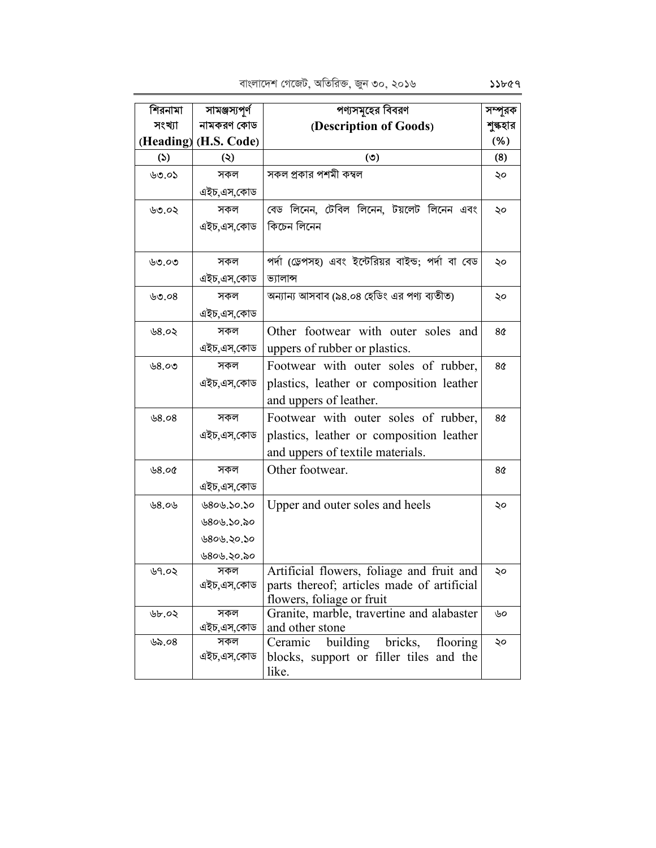| শিরনামা       | সামঞ্জস্যপূর্ণ        | পণ্যসমূহের বিবরণ                                             | সম্পূরক        |
|---------------|-----------------------|--------------------------------------------------------------|----------------|
| সংখ্যা        | নামকরণ কোড            | (Description of Goods)                                       | শুল্কহার       |
|               | (Heading) (H.S. Code) |                                                              | (%)            |
| $\mathcal{L}$ | $\ddot{\bm{\omega}}$  | (5)                                                          | (8)            |
| ৬৩.০১         | সকল                   | সকল প্রকার পশমী কম্বল                                        | ২০             |
|               | এইচ,এস,কোড            |                                                              |                |
| ৬৩.০২         | সকল                   | বেড লিনেন, টেবিল লিনেন, টয়লেট লিনেন এবং                     | ২০             |
|               | এইচ,এস,কোড            | কিচেন লিনেন                                                  |                |
|               |                       |                                                              |                |
| ৬৩.০৩         | সকল                   | পর্দা (ড্রেপসহ) এবং ইন্টেরিয়র বাইন্ড; পর্দা বা বেড          | ২০             |
|               | এইচ,এস,কোড            | ভ্যালান্স                                                    |                |
| ৬৩.০ $8$      | সকল                   | অন্যান্য আসবাব (৯৪.০৪ হেডিং এর পণ্য ব্যতীত)                  | ২০             |
|               | এইচ,এস,কোড            |                                                              |                |
| ৬8.০২         | সকল                   | Other footwear with outer soles and                          | 8 <sub>0</sub> |
|               | এইচ,এস,কোড            | uppers of rubber or plastics.                                |                |
| ৬৪.০৩         | সকল                   | Footwear with outer soles of rubber,                         | 8 <sub>0</sub> |
|               | এইচ,এস,কোড            | plastics, leather or composition leather                     |                |
|               |                       | and uppers of leather.                                       |                |
| 0.89          | সকল                   | Footwear with outer soles of rubber,                         | 8 <sub>0</sub> |
|               | এইচ,এস,কোড            | plastics, leather or composition leather                     |                |
|               |                       | and uppers of textile materials.                             |                |
| 0.800         | সকল                   | Other footwear.                                              | 8 <sub>0</sub> |
|               | এইচ,এস,কোড            |                                                              |                |
| ৬8.০৬         | ৬৪০৬.১০.১০            | Upper and outer soles and heels                              | ২০             |
|               | ৬৪০৬.১০.৯০            |                                                              |                |
|               | ৬৪০৬.২০.১০            |                                                              |                |
|               | ৬৪০৬.২০.৯০            |                                                              |                |
| ৬৭.০২         | সকল                   | Artificial flowers, foliage and fruit and                    | ২০             |
|               | এইচ,এস,কোড            | parts thereof; articles made of artificial                   |                |
|               |                       | flowers, foliage or fruit                                    |                |
| ৬৮.০২         | সকল<br>এইচ,এস,কোড     | Granite, marble, travertine and alabaster<br>and other stone | ৬০             |
| ৬৯.০৪         | সকল                   | building<br>Ceramic<br>bricks,<br>flooring                   | ২০             |
|               | এইচ,এস,কোড            | blocks, support or filler tiles and the                      |                |
|               |                       | like.                                                        |                |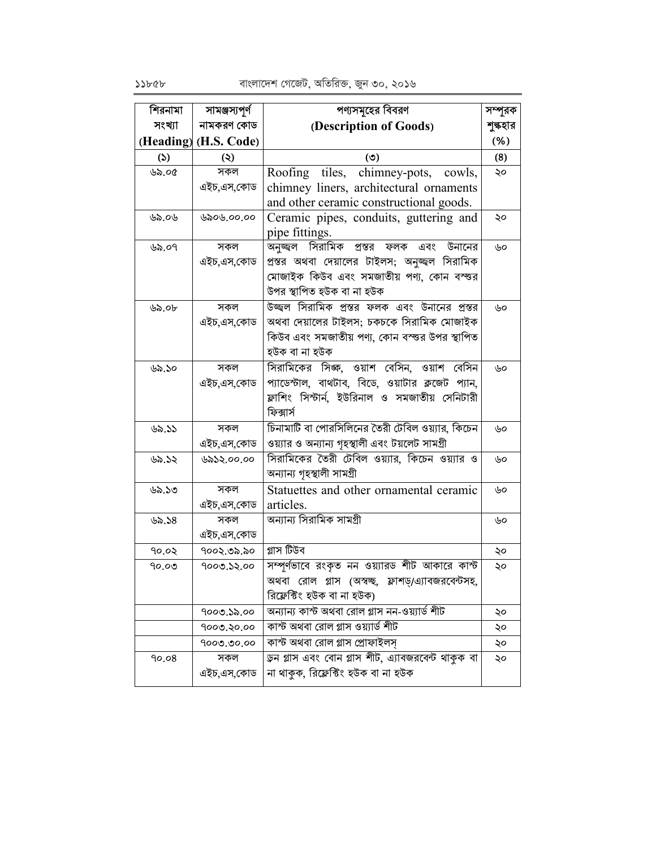বাংলাদেশ গেজেট, অতিরিক্ত, জুন ৩০, ২০১৬

| শিরনামা       | সামঞ্জস্যপূৰ্ণ        | পণ্যসমূহের বিবরণ                                   | সম্পূরক |
|---------------|-----------------------|----------------------------------------------------|---------|
| সংখ্যা        | নামকরণ কোড            | (Description of Goods)                             | শুৰুহার |
|               | (Heading) (H.S. Code) |                                                    | (% )    |
| $\mathcal{L}$ | $\circledcirc$        | $\circ$                                            | (8)     |
| ৬৯.০৫         | সকল                   | Roofing tiles, chimney-pots, cowls,                | ২০      |
|               | এইচ,এস,কোড            | chimney liners, architectural ornaments            |         |
|               |                       | and other ceramic constructional goods.            |         |
| ৬৯.০৬         | ৬৯০৬.০০.০০            | Ceramic pipes, conduits, guttering and             | ২০      |
|               |                       | pipe fittings.                                     |         |
| ৬৯.০৭         | সকল                   | অনুজ্জ্বল সিরামিক প্রস্তর ফলক এবং উনানের           | ৬০      |
|               | এইচ,এস,কোড            | প্রস্তর অথবা দেয়ালের টাইলস; অনুজ্জ্ল সিরামিক      |         |
|               |                       | মোজাইক কিউব এবং সমজাতীয় পণ্য, কোন বস্ত্তর         |         |
|               |                       | উপর স্থাপিত হউক বা না হউক                          |         |
| ৬৯.০৮         | সকল                   | উজ্জ্বল সিরামিক প্রস্তর ফলক এবং উনানের প্রস্তর     | ৬০      |
|               | এইচ,এস,কোড            | অথবা দেয়ালের টাইলস; চকচকে সিরামিক মোজাইক          |         |
|               |                       | কিউব এবং সমজাতীয় পণ্য, কোন বস্তুর উপর স্থাপিত     |         |
|               |                       | হউক বা না হউক                                      |         |
| ৬৯.১০         | সকল                   | সিরামিকের সিজ্ঞ, ওয়াশ বেসিন, ওয়াশ বেসিন          | ৬০      |
|               | এইচ.এস.কোড            | প্যাডেস্টাল, বাথটাব, বিডে, ওয়াটার ক্লজেট প্যান,   |         |
|               |                       | ফ্লাশিং সিস্টার্ন, ইউরিনাল ও সমজাতীয় সেনিটারী     |         |
|               |                       | ফিক্সার্স                                          |         |
| ৬৯.১১         | সকল                   | চিনামাটি বা পোরসিলিনের তৈরী টেবিল ওয়্যার, কিচেন   | ৬০      |
|               | এইচ,এস,কোড            | ওয়্যার ও অন্যান্য গৃহস্থালী এবং টয়লেট সামগ্রী    |         |
| ৬৯.১২         | ৬৯১২.০০.০০            | সিরামিকের তৈরী টেবিল ওয়্যার, কিচেন ওয়্যার ও      | ৬০      |
|               |                       | অন্যান্য গৃহস্থালী সামগ্ৰী                         |         |
| ৬৯.১৩         | সকল                   | Statuettes and other ornamental ceramic            | ৬০      |
|               | এইচ,এস,কোড            | articles.                                          |         |
| ৬৯.১৪         | সকল                   | অন্যান্য সিরামিক সামগ্রী                           | ৬০      |
|               | এইচ,এস,কোড            |                                                    |         |
| 90.02         | ৭০০২.৩৯.৯০            | গ্লাস টিউব                                         | ২০      |
| ৭০.০৩         | 9000.32.00            | সম্পূর্ণভাবে রংকৃত নন ওয়্যারড শীট আকারে কাস্ট     | ২০      |
|               |                       | অথবা রোল গ্লাস (অস্বচ্ছ, ফ্লাশড়/এ্যাবজরবেন্টসহ,   |         |
|               |                       | রিফ্লেক্টিং হউক বা না হউক)                         |         |
|               | ৭০০৩.১৯.০০            | অন্যান্য কাস্ট অথবা রোল গ্লাস নন-ওয়্যার্ড শীট     | ২০      |
|               | 9000.20.00            | কাস্ট অথবা রোল গ্লাস ওয়্যার্ড শীট                 | ২০      |
|               | 9000.00.00            | কাস্ট অথবা রোল গ্লাস প্রোফাইলস                     | ২০      |
| 90.08         | সকল                   | ডুন গ্লাস এবং বোন গ্লাস শীট, এ্যাবজরবেন্ট থাকুক বা | ২০      |
|               | এইচ,এস,কোড            | না থাকুক, রিফ্লেক্টিং হউক বা না হউক                |         |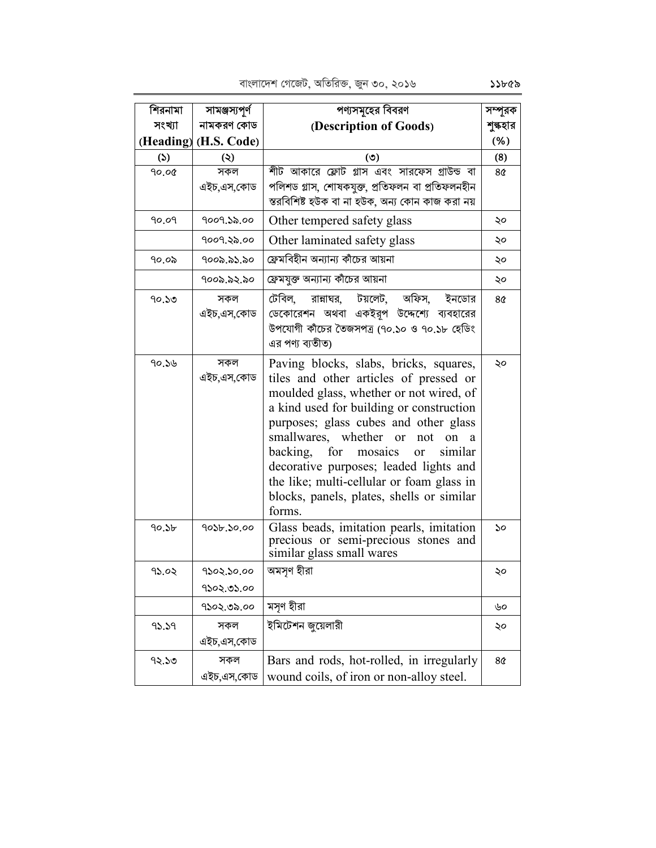| শিরনামা           | সামঞ্জস্যপূৰ্ণ        | পণ্যসমূহের বিবরণ                                                                                                                                                                                                                                                                                                                                                                                                                                           | সম্পূরক         |
|-------------------|-----------------------|------------------------------------------------------------------------------------------------------------------------------------------------------------------------------------------------------------------------------------------------------------------------------------------------------------------------------------------------------------------------------------------------------------------------------------------------------------|-----------------|
| সংখ্যা            | নামকরণ কোড            | (Description of Goods)                                                                                                                                                                                                                                                                                                                                                                                                                                     | শুল্কহার        |
|                   | (Heading) (H.S. Code) |                                                                                                                                                                                                                                                                                                                                                                                                                                                            | (% )            |
| (5)               | $\ddot{\bm{\omega}}$  | (৩)                                                                                                                                                                                                                                                                                                                                                                                                                                                        | (8)             |
| 90.00             | সকল                   | শীট আকারে ফ্লোট গ্লাস এবং সারফেস গ্রাউন্ড বা                                                                                                                                                                                                                                                                                                                                                                                                               | 8 <sub>0</sub>  |
|                   | এইচ,এস,কোড            | পলিশড গ্লাস, শোষকযুক্ত, প্ৰতিফলন বা প্ৰতিফলনহীন                                                                                                                                                                                                                                                                                                                                                                                                            |                 |
|                   |                       | স্তরবিশিষ্ট হউক বা না হউক, অন্য কোন কাজ করা নয়                                                                                                                                                                                                                                                                                                                                                                                                            |                 |
| 90.09             | 9009.১৯.০০            | Other tempered safety glass                                                                                                                                                                                                                                                                                                                                                                                                                                | ২০              |
|                   | १००१.२৯.००            | Other laminated safety glass                                                                                                                                                                                                                                                                                                                                                                                                                               | ২০              |
| ৭০.০৯             | ৭০০৯.৯১.৯০            | ফ্রেমবিহীন অন্যান্য কাঁচের আয়না                                                                                                                                                                                                                                                                                                                                                                                                                           | ২০              |
|                   | ৭০০৯.৯২.৯০            | ফ্রেমযুক্ত অন্যান্য কাঁচের আয়না                                                                                                                                                                                                                                                                                                                                                                                                                           | ২০              |
| ৭০.১৩             | সকল<br>এইচ,এস,কোড     | টেবিল, রান্নাঘর, টয়লেট, অফিস,<br>ইনডোর<br>ডেকোরেশন অথবা একইরূপ উদ্দেশ্যে ব্যবহারের<br>উপযোগী কাঁচের তৈজসপত্র (৭০.১০ ও ৭০.১৮ হেডিং<br>এর পণ্য ব্যতীত)                                                                                                                                                                                                                                                                                                      | 80 <sup>°</sup> |
| 90.56             | সকল<br>এইচ,এস,কোড     | Paving blocks, slabs, bricks, squares,<br>tiles and other articles of pressed or<br>moulded glass, whether or not wired, of<br>a kind used for building or construction<br>purposes; glass cubes and other glass<br>smallwares, whether or<br>not<br>on<br>a<br>backing, for mosaics<br>similar<br><b>or</b><br>decorative purposes; leaded lights and<br>the like; multi-cellular or foam glass in<br>blocks, panels, plates, shells or similar<br>forms. | ২০              |
| 90.5 <sub>b</sub> | 9036.30.00            | Glass beads, imitation pearls, imitation<br>precious or semi-precious stones and<br>similar glass small wares                                                                                                                                                                                                                                                                                                                                              | ১০              |
| 95.02             | 9202.20.00            | অমসৃণ হীরা                                                                                                                                                                                                                                                                                                                                                                                                                                                 | ২০              |
|                   | 9202.02.00            |                                                                                                                                                                                                                                                                                                                                                                                                                                                            |                 |
|                   | ৭১০২.৩৯.০০            | মসৃণ হীরা                                                                                                                                                                                                                                                                                                                                                                                                                                                  | ৬০              |
| 95.59             | সকল                   | ইমিটেশন জুয়েলারী                                                                                                                                                                                                                                                                                                                                                                                                                                          | ২০              |
|                   | এইচ,এস,কোড            |                                                                                                                                                                                                                                                                                                                                                                                                                                                            |                 |
| ৭২.১৩             | সকল                   | Bars and rods, hot-rolled, in irregularly                                                                                                                                                                                                                                                                                                                                                                                                                  | 8 <sub>0</sub>  |
|                   | এইচ,এস,কোড            | wound coils, of iron or non-alloy steel.                                                                                                                                                                                                                                                                                                                                                                                                                   |                 |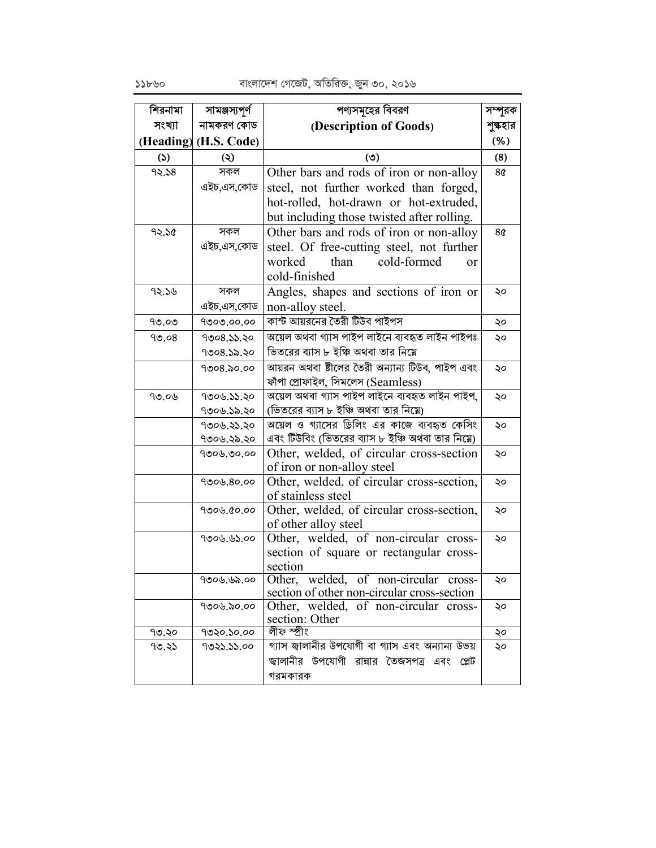বাংলাদেশ গেজেট, অতিরিক্ত, জুন ৩০, ২০১৬

| শিরনামা | সামঞ্জস্যপূর্ণ         | পণ্যসমূহের বিবরণ                                                                 | সম্পূরক         |
|---------|------------------------|----------------------------------------------------------------------------------|-----------------|
| সংখ্যা  | নামকরণ কোড             | (Description of Goods)                                                           | শুল্কহার        |
|         | (Heading) (H.S. Code)  |                                                                                  | (% )            |
| (5)     | $\ddot{\bm{\epsilon}}$ | $\circ$                                                                          | (8)             |
| 92.58   | সকল                    | Other bars and rods of iron or non-alloy                                         | 80 <sup>°</sup> |
|         | এইচ,এস,কোড             | steel, not further worked than forged,                                           |                 |
|         |                        | hot-rolled, hot-drawn or hot-extruded,                                           |                 |
|         |                        | but including those twisted after rolling.                                       |                 |
| 92.50   | সকল                    | Other bars and rods of iron or non-alloy                                         | 8¢              |
|         | এইচ,এস,কোড             | steel. Of free-cutting steel, not further                                        |                 |
|         |                        | than<br>cold-formed<br>worked<br>$\alpha$                                        |                 |
|         |                        | cold-finished                                                                    |                 |
| 92.56   | সকল                    | Angles, shapes and sections of iron or                                           | ২০              |
|         | এইচ,এস,কোড             | non-alloy steel.                                                                 |                 |
| ৭৩.০৩   | 9000.00.00             | কাস্ট আয়রনের তৈরী টিউব পাইপস                                                    | ২০              |
| 90.08   | 9008.33.50             | অয়েল অথবা গ্যাস পাইপ লাইনে ব্যবহৃত লাইন পাইপঃ                                   | ২০              |
|         | 9008.32.30             | ভিতরের ব্যাস ৮ ইঞ্চি অথবা তার নিম্নে                                             |                 |
|         | 9008,000               | আয়রন অথবা ষ্টীলের তৈরী অন্যান্য টিউব, পাইপ এবং                                  | ২০              |
|         |                        | ফাঁপা প্ৰোফাইল, সিমলেস (Seamless)                                                |                 |
| ৭৩.০৬   | 9006.55.20             | অয়েল অথবা গ্যাস পাইপ লাইনে ব্যবহৃত লাইন পাইপ,                                   | ২০              |
|         | ৭৩০৬.১৯.২০             | (ভিতরের ব্যাস ৮ ইঞ্চি অথবা তার নিম্নে)                                           |                 |
|         | ৭৩০৬.২১.২০             | অয়েল ও গ্যাসের ড্রিলিং এর কাজে ব্যবহৃত কেসিং                                    | ২০              |
|         | ৭৩০৬.২৯.২০             | এবং টিউবিং (ভিতরের ব্যাস ৮ ইঞ্চি অথবা তার নিম্নে)                                |                 |
|         | 9006.00.00             | Other, welded, of circular cross-section                                         | ২০              |
|         |                        | of iron or non-alloy steel                                                       |                 |
|         | 9006.80.00             | Other, welded, of circular cross-section,                                        | ২০              |
|         |                        | of stainless steel                                                               |                 |
|         | 9009.00.00             | Other, welded, of circular cross-section,                                        | ২০              |
|         |                        | of other alloy steel                                                             |                 |
|         | 9006.65.00             | Other, welded, of non-circular cross-<br>section of square or rectangular cross- | ২০              |
|         |                        | section                                                                          |                 |
|         | ৭৩০৬.৬৯.০০             | Other, welded, of non-circular cross-                                            | ২০              |
|         |                        | section of other non-circular cross-section                                      |                 |
|         | १७०७.৯०.००             | Other, welded, of non-circular cross-                                            | ২০              |
|         |                        | section: Other                                                                   |                 |
| ৭৩.২০   | ৭৩২০.১০.০০             | লীফ স্প্ৰীং                                                                      | ২০              |
| ৭৩.২১   | ৭৩২১.১১.০০             | গ্যাস জ্বালানীর উপযোগী বা গ্যাস এবং অন্যান্য উভয়                                | ২০              |
|         |                        | জ্বালানীর উপযোগী রান্নার তৈজসপত্র এবং প্লেট                                      |                 |
|         |                        | গরমকারক                                                                          |                 |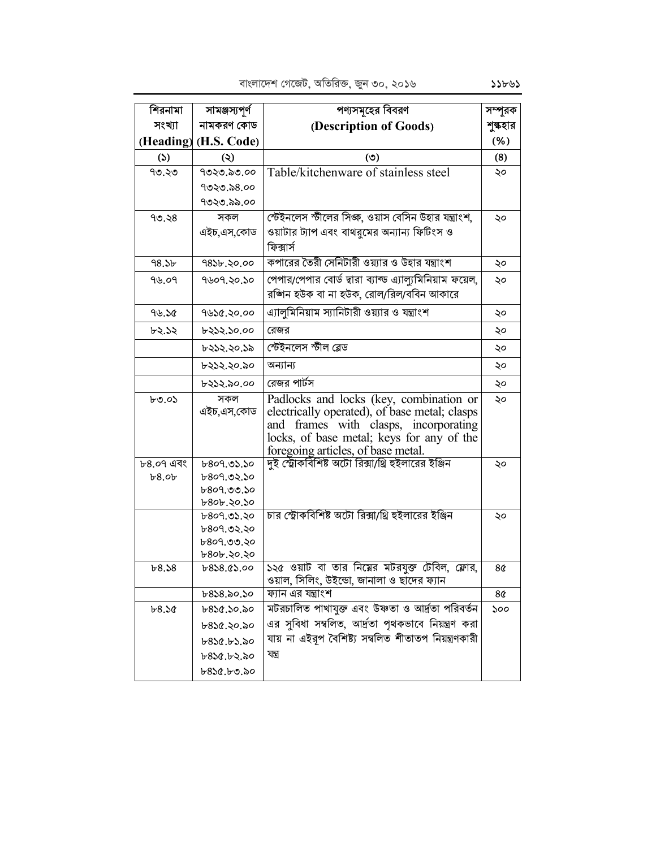| শিরনামা           | সামঞ্জস্যপূর্ণ        | পণ্যসমূহের বিবরণ                                                                             | সম্পূরক  |
|-------------------|-----------------------|----------------------------------------------------------------------------------------------|----------|
| সংখ্যা            | নামকরণ কোড            | (Description of Goods)                                                                       | শুল্কহার |
|                   | (Heading) (H.S. Code) |                                                                                              | (% )     |
| $\mathcal{L}$     | $\circledcirc$        | (5)                                                                                          | (8)      |
| ৭৩.২৩             | ৭৩২৩.৯৩.০০            | Table/kitchenware of stainless steel                                                         | ২০       |
|                   | ৭৩২৩.৯৪.০০            |                                                                                              |          |
|                   | ৭৩২৩.৯৯.০০            |                                                                                              |          |
| 90.38             | সকল                   | স্টেইনলেস স্টীলের সিজ্ঞ, ওয়াস বেসিন উহার যন্ত্রাংশ,                                         | ২০       |
|                   | এইচ,এস,কোড            | ওয়াটার ট্যাপ এবং বাথরমের অন্যান্য ফিটিংস ও                                                  |          |
|                   |                       | ফিক্সার্স                                                                                    |          |
| 98.5 <sub>b</sub> | 9826.20.00            | কপারের তৈরী সেনিটারী ওয়্যার ও উহার যন্ত্রাংশ                                                | ২০       |
| 9৬.০9             | ৭৬০৭.২০.১০            | পেপার/পেপার বোর্ড দ্বারা ব্যাল্ড এ্যাল্যুমিনিয়াম ফয়েল,                                     | ২০       |
|                   |                       | রজ্গিন হউক বা না হউক, রোল/রিল/ববিন আকারে                                                     |          |
| 96.50             | 9428.20.00            | এ্যালুমিনিয়াম স্যানিটারী ওয়্যার ও যন্ত্রাংশ                                                | ২০       |
| ৮২.১২             | ৮২১২.১০.০০            | রেজর                                                                                         | ২০       |
|                   | ৮২১২.২০.১৯            | স্টেইনলেস স্টীল ব্লেড                                                                        | ২০       |
|                   | ৮২১২.২০.৯০            | অন্যান্য                                                                                     | ২০       |
|                   | ৮২১২.৯০.০০            | রেজর পার্টস                                                                                  | ২০       |
| $b \circ o$       | সকল                   | Padlocks and locks (key, combination or                                                      | ২০       |
|                   | এইচ.এস.কোড            | electrically operated), of base metal; clasps                                                |          |
|                   |                       | and frames with clasps, incorporating                                                        |          |
|                   |                       | locks, of base metal; keys for any of the                                                    |          |
| ৮৪.০৭ এবং         | b809.05.50            | foregoing articles, of base metal.<br>দুই স্ট্রোকবিশিষ্ট অটো রিক্সা/থ্রি হুইলারের ইঞ্জিন     | ২০       |
| b8.0b             | b809.02.50            |                                                                                              |          |
|                   | ৮৪০৭.৩৩.১০            |                                                                                              |          |
|                   | ৮৪০৮.২০.১০            |                                                                                              |          |
|                   | b809.05.50            | চার স্ট্রোকবিশিষ্ট অটো রিক্সা/থ্রি হুইলারের ইঞ্জিন                                           | ২০       |
|                   | ৮৪০৭.৩২.২০            |                                                                                              |          |
|                   | b809.00.80            |                                                                                              |          |
|                   | ৮৪০৮.২০.২০            |                                                                                              |          |
| b8.58             | b858.05.00            | ১২৫ ওয়াট বা তার নিয়ের মটরযুক্ত টেবিল, ফ্লোর,<br>ওয়াল, সিলিং, উইন্ডো, জানালা ও ছাদের ফ্যান | 8¢       |
|                   | $b8$ ১৪.৯০.১০         | ফ্যান এর যন্ত্রাংশ                                                                           | 8¢       |
| b8.50             | ৮৪১৫.১০.৯০            | মটরচালিত পাখাযুক্ত এবং উষ্ণতা ও আর্দ্রতা পরিবর্তন                                            | ১০০      |
|                   | ৮৪১৫.২০.৯০            | এর সুবিধা সম্বলিত, আর্দ্রতা পৃথকভাবে নিয়ন্ত্রণ করা                                          |          |
|                   | ৮৪১৫.৮১.৯০            | যায় না এইরূপ বৈশিষ্ট্য সম্বলিত শীতাতপ নিয়ন্ত্রণকারী                                        |          |
|                   | ৮৪১৫.৮২.৯০            | যন্ত্ৰ                                                                                       |          |
|                   | ৮৪১৫.৮৩.৯০            |                                                                                              |          |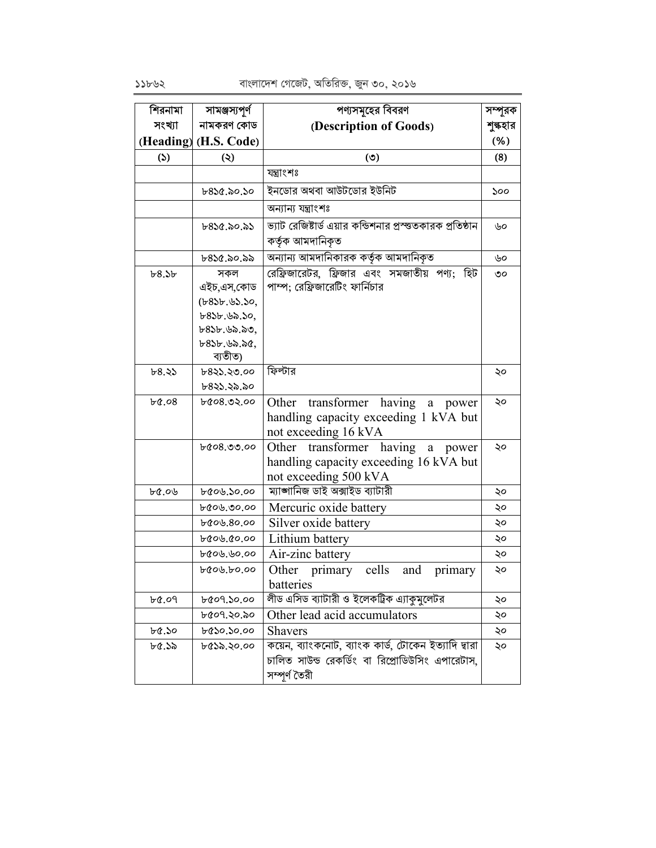| শিরনামা  | সামঞ্জস্যপূৰ্ণ                                                                                                    | পণ্যসমূহের বিবরণ                                                                                                         | সম্পূরক  |
|----------|-------------------------------------------------------------------------------------------------------------------|--------------------------------------------------------------------------------------------------------------------------|----------|
| সংখ্যা   | নামকরণ কোড                                                                                                        | (Description of Goods)                                                                                                   | শুল্কহার |
|          | (Heading) (H.S. Code)                                                                                             |                                                                                                                          | (% )     |
| (5)      | $\ddot{\bm{\omega}}$                                                                                              | (5)                                                                                                                      | (8)      |
|          |                                                                                                                   | যন্ত্ৰাংশঃ                                                                                                               |          |
|          | $b8$ ১৫.৯০.১০                                                                                                     | ইনডোর অথবা আউটডোর ইউনিট                                                                                                  | ১০০      |
|          |                                                                                                                   | অন্যান্য যন্ত্ৰাংশঃ                                                                                                      |          |
|          | ৮৪১৫.৯০.৯১                                                                                                        | ভ্যাট রেজিষ্টার্ড এয়ার কন্ডিশনার প্রস্ত্তকারক প্রতিষ্ঠান<br>কৰ্তৃক আমদানিকৃত                                            | ৬০       |
|          | ৮৪১৫.৯০.৯৯                                                                                                        | অন্যান্য আমদানিকারক কর্তৃক আমদানিকৃত                                                                                     | ৬০       |
| b8.5b    | সকল<br>এইচ,এস,কোড<br>$(b8$ bb. $b$ S. So,<br>$b8$ Sb. $b$ a. So,<br>৮৪১৮.৬৯.৯৩,<br>$b8$ Sb. $b$ a. ac,<br>ব্যতীত) | রেফ্রিজারেটর, ফ্রিজার এবং সমজাতীয় পণ্য; হিট<br>পাম্প; রেফ্রিজারেটিং ফার্নিচার                                           | ৩০       |
| ৮৪.২১    | b825.20.00<br>৮৪২১.২৯.৯০                                                                                          | ফিল্টার                                                                                                                  | ২০       |
| $b$ &.08 | $b$ &08.02.00                                                                                                     | Other transformer having<br>a<br>power<br>handling capacity exceeding 1 kVA but<br>not exceeding 16 kVA                  | ২০       |
|          | $b$ &08.00.00                                                                                                     | transformer having<br>Other<br>$\rm{a}$<br>power<br>handling capacity exceeding 16 kVA but<br>not exceeding 500 kVA      | ২০       |
| ৮৫.০৬    | ৮৫০৬.১০.০০                                                                                                        | ম্যাঙ্গানিজ ডাই অক্সাইড ব্যাটারী                                                                                         | ২০       |
|          | ৮৫০৬.৩০.০০                                                                                                        | Mercuric oxide battery                                                                                                   | ২০       |
|          | ৮৫০৬.৪০.০০                                                                                                        | Silver oxide battery                                                                                                     | ২০       |
|          | 60.00.000                                                                                                         | Lithium battery                                                                                                          | ২০       |
|          | ৮৫০৬.৬০.০০                                                                                                        | Air-zinc battery                                                                                                         | ২০       |
|          | bros.bo.00                                                                                                        | cells<br>Other primary<br>and<br>primary<br>batteries                                                                    | ২০       |
| 6.09     | ৮৫০৭.১০.০০                                                                                                        | লীড এসিড ব্যাটারী ও ইলেকট্রিক এ্যাকুমুলেটর                                                                               | ২০       |
|          | ৮৫০৭.২০.৯০                                                                                                        | Other lead acid accumulators                                                                                             | ২০       |
| ৮৫.১০    | ৮৫১০.১০.০০                                                                                                        | <b>Shavers</b>                                                                                                           | ২০       |
| ৮৫.১৯    | ৮৫১৯.২০.০০                                                                                                        | কয়েন, ব্যাংকনোট, ব্যাংক কার্ড, টোকেন ইত্যাদি দ্বারা<br>চালিত সাউন্ড রেকর্ডিং বা রিপ্রোডিউসিং এপারেটাস,<br>সম্পূৰ্ণ তৈরী | ২০       |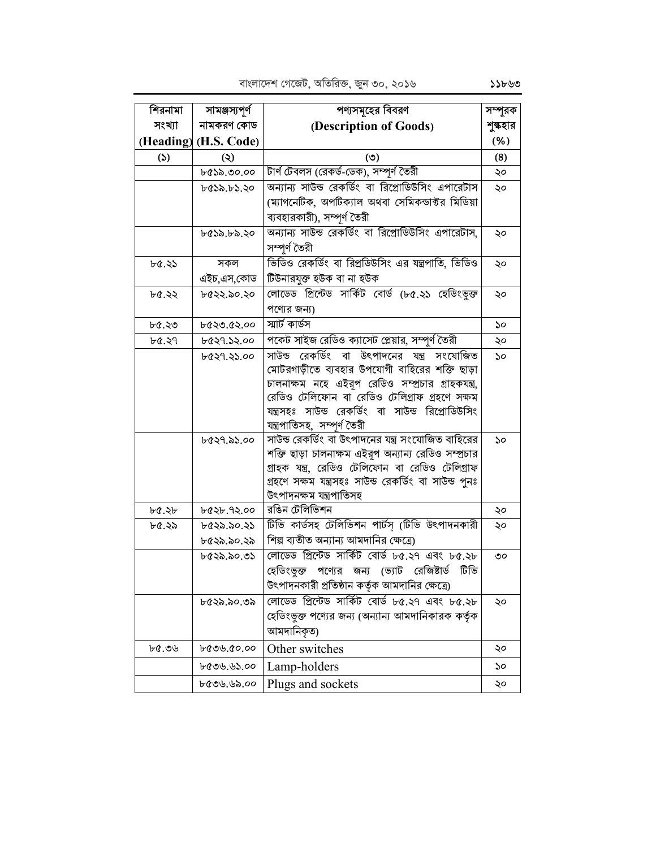পণ্যসমহের বিবরণ শিরনামা সামঞ্জস্যপূৰ্ণ সম্পূরক সংখ্যা নামকরণ কোড (Description of Goods) শুল্কহার (Heading) (H.S. Code)  $(% )$  $(5)$  $\ddot{\mathcal{L}}$  $(5)$  $(8)$ টার্ণ টেবলস (রেকর্ড-ডেক), সম্পূর্ণ তৈরী ৮৫১৯.৩০.০০ ২০ অন্যান্য সাউন্ড রেকর্ডিং বা রিপ্রোডিউসিং এপারেটাস ৮৫১৯.৮১.২০ ২০ (ম্যাগনেটিক, অপটিক্যাল অথবা সেমিকন্ডাক্টর মিডিয়া ব্যবহারকারী), সম্পূর্ণ তৈরী অন্যান্য সাউন্ড রেকর্ডিং বা রিপ্রোডিউসিং এপারেটাস, ৮৫১৯.৮৯.২০ ২০ সম্পূৰ্ণ তৈরী ভিডিও রেকর্ডিং বা রিপ্রডিউসিং এর যন্ত্রপাতি, ভিডিও  $bQ.35$ সকল ১০ টিউনারযুক্ত হউক বা না হউক এইচ.এস.কোড লোডেড প্রিন্টেড সার্কিট বোর্ড (৮৫.২১ হেডিংভুক্ত ৮৫২২.৯০.২০ ৮৫.২২ ২০ পণ্যের জন্য) স্মার্ট কার্ডস ৮৫.২৩ ৮৫২৩.৫২.০০  $\mathcal{S}^{\mathcal{O}}$ পকেট সাইজ রেডিও ক্যাসেট প্লেয়ার, সম্পূর্ণ তৈরী ৮৫.২৭ ৮৫২৭.১২.০০ ২০ সাউন্ড রেকর্ডিং বা উৎপাদনের যন্ত্র সংযোজিত ৮৫২৭.২১.০০  $\mathcal{S}^{\circ}$ মোটরগাড়ীতে ব্যবহার উপযোগী বাহিরের শক্তি ছাড়া চালনাক্ষম নহে এইরূপ রেডিও সম্প্রচার গ্রাহকযন্ত্র, রেডিও টেলিফোন বা রেডিও টেলিগ্রাফ গ্রহণে সক্ষম যন্ত্রসহঃ সাউন্ড রেকর্ডিং বা সাউন্ড রিপ্রোডিউসিং যন্ত্ৰপাতিসহ, সম্পূৰ্ণ তৈরী সাউন্ড রেকর্ডিং বা উৎপাদনের যন্ত্র সংযোজিত বাহিরের ৮৫২৭.৯১.০০  $\mathcal{S}^{\mathcal{O}}$ শক্তি ছাড়া চালনাক্ষম এইরূপ অন্যান্য রেডিও সম্প্রচার গ্রাহক যন্ত্র, রেডিও টেলিফোন বা রেডিও টেলিগ্রাফ গ্ৰহণে সক্ষম যন্ত্ৰসহঃ সাউন্ড রেকর্ডিং বা সাউন্ড পুনঃ উৎপাদনক্ষম যন্ত্ৰপাতিসহ রঙিন টেলিভিশন ৮৫.২৮ ৮৫২৮.৭২.০০ ২০ টিভি কাৰ্ডসহ টেলিভিশন পাৰ্টস (টিভি উৎপাদনকারী ৮৫.২৯ ৮৫২৯.৯০.২১ ২০ শিল্প ব্যতীত অন্যান্য আমদানির ক্ষেত্রে) ৮৫২৯.৯০.২৯ লোডেড প্রিন্টেড সার্কিট বোর্ড ৮৫.২৭ এবং ৮৫.২৮ ৮৫২৯.৯০.৩১ ৩০ হেডিংভুক্ত পণ্যের জন্য (ভ্যাট রেজিষ্টার্ড টিভি উৎপাদনকারী প্রতিষ্ঠান কর্তৃক আমদানির ক্ষেত্রে) লোডেড প্রিন্টেড সার্কিট বোর্ড ৮৫.২৭ এবং ৮৫.২৮ ৮৫২৯.৯০.৩৯ ২০ হেডিংভুক্ত পণ্যের জন্য (অন্যান্য আমদানিকারক কর্তৃক আমদানিকত) ৮৫.৩৬ ৳৫৩৬.৫০.০০ Other switches ২০ ৮৫৩৬.৬১.০০ Lamp-holders  $\mathcal{S}^{\mathcal{O}}$ ৮৫৩৬.৬৯.০০ Plugs and sockets ২০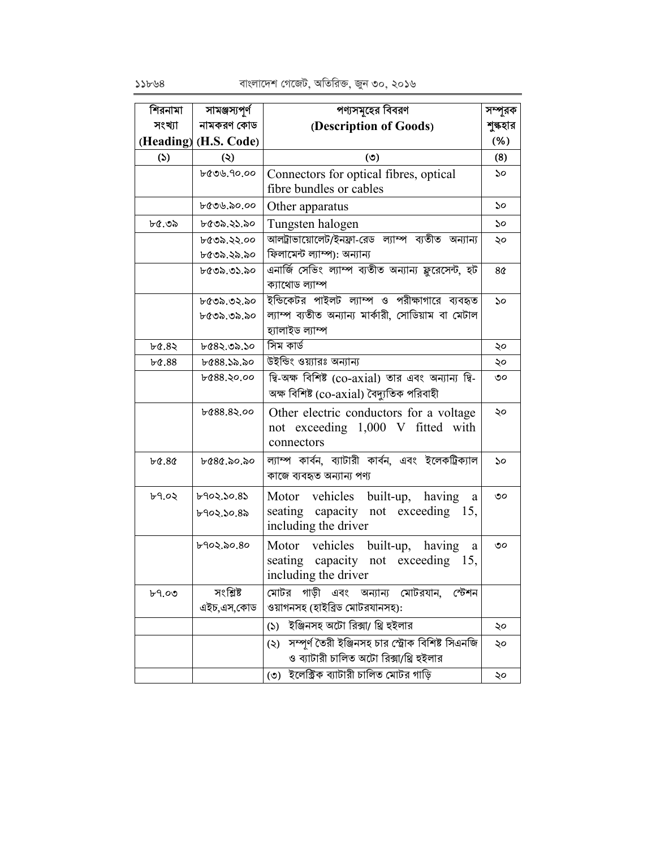| শিরনামা           | সামঞ্জস্যপূর্ণ        | পণ্যসমূহের বিবরণ                                                                                      | সম্পূরক                     |
|-------------------|-----------------------|-------------------------------------------------------------------------------------------------------|-----------------------------|
| সংখ্যা            | নামকরণ কোড            | (Description of Goods)                                                                                | শুল্কহার                    |
|                   | (Heading) (H.S. Code) |                                                                                                       | (% )                        |
| (5)               | $\circledcirc$        | (5)                                                                                                   | (8)                         |
|                   | ৮৫৩৬.৭০.০০            | Connectors for optical fibres, optical<br>fibre bundles or cables                                     | ১০                          |
|                   | ৮৫৩৬.৯০.০০            | Other apparatus                                                                                       | ১০                          |
| ৮৫.৩৯             | ৮৫৩৯.২১.৯০            | Tungsten halogen                                                                                      | ১০                          |
|                   | ৮৫৩৯.২২.০০            | আলট্রাভায়োলেট/ইনফ্রা-রেড ল্যাম্প ব্যতীত অন্যান্য                                                     | ২০                          |
|                   | ৮৫৩৯.২৯.৯০            | ফিলামেন্ট ল্যাম্প): অন্যান্য                                                                          |                             |
|                   | ৮৫৩৯.৩১.৯০            | এনার্জি সেভিং ল্যাম্প ব্যতীত অন্যান্য ফ্লুরেসেন্ট, হট<br>ক্যাথোড ল্যাম্প                              | 8¢                          |
|                   | ৮৫৩৯.৩২.৯০            | ইন্ডিকেটর পাইলট ল্যাম্প ও পরীক্ষাগারে ব্যবহৃত                                                         | $\mathcal{S}^{\mathcal{O}}$ |
|                   | ৮৫৩৯.৩৯.৯০            | ল্যাম্প ব্যতীত অন্যান্য মার্কারী, সোডিয়াম বা মেটাল                                                   |                             |
|                   |                       | হ্যালাইড ল্যাম্প                                                                                      |                             |
| ৮৫.৪২             | ৮৫৪২.৩৯.১০            | সিম কাৰ্ড                                                                                             | ২০                          |
| $b\text{\&}88$    | ৮৫৪৪.১৯.৯০            | উইন্ডিং ওয়্যারঃ অন্যান্য                                                                             | ২০                          |
|                   | ৮৫৪৪.২০.০০            | দ্বি-অক্ষ বিশিষ্ট (co-axial) তার এবং অন্যান্য দ্বি-                                                   | ৩০                          |
|                   |                       | অক্ষ বিশিষ্ট (co-axial) বৈদ্যুতিক পরিবাহী                                                             |                             |
|                   | bc88.82.00            | Other electric conductors for a voltage<br>not exceeding 1,000 V fitted with<br>connectors            | ২০                          |
| $b\alpha.8\alpha$ | ৮৫৪৫.৯০.৯০            | ল্যাম্প কাৰ্বন, ব্যাটারী কাৰ্বন, এবং ইলেকট্রিক্যাল<br>কাজে ব্যবহৃত অন্যান্য পণ্য                      | ১০                          |
| b9.02             | ৮৭০২.১০.৪১            | Motor vehicles built-up, having<br>a                                                                  | ৩০                          |
|                   | ৮৭০২.১০.৪৯            | seating<br>capacity not exceeding 15,<br>including the driver                                         |                             |
|                   | ৮৭০২.৯০.৪০            | vehicles built-up, having<br>Motor<br>a<br>seating capacity not exceeding 15,<br>including the driver | ৩০                          |
| b9.00             | সংশ্লিষ্ট             | মোটর গাড়ী এবং অন্যান্য মোটরযান,<br>স্টেশন                                                            |                             |
|                   | এইচ,এস,কোড            | ওয়াগনসহ (হাইব্রিড মোটরযানসহ):                                                                        |                             |
|                   |                       | ইঞ্জিনসহ অটো রিক্সা/ থ্রি হুইলার<br>(5)                                                               | ২০                          |
|                   |                       | সম্পূর্ণ তৈরী ইঞ্জিনসহ চার স্ট্রোক বিশিষ্ট সিএনজি<br>(5)<br>ও ব্যাটারী চালিত অটো রিক্সা/থ্রি হইলার    | ২০                          |
|                   |                       | (৩) ইলেক্টিক ব্যাটারী চালিত মোটর গাড়ি                                                                | ২০                          |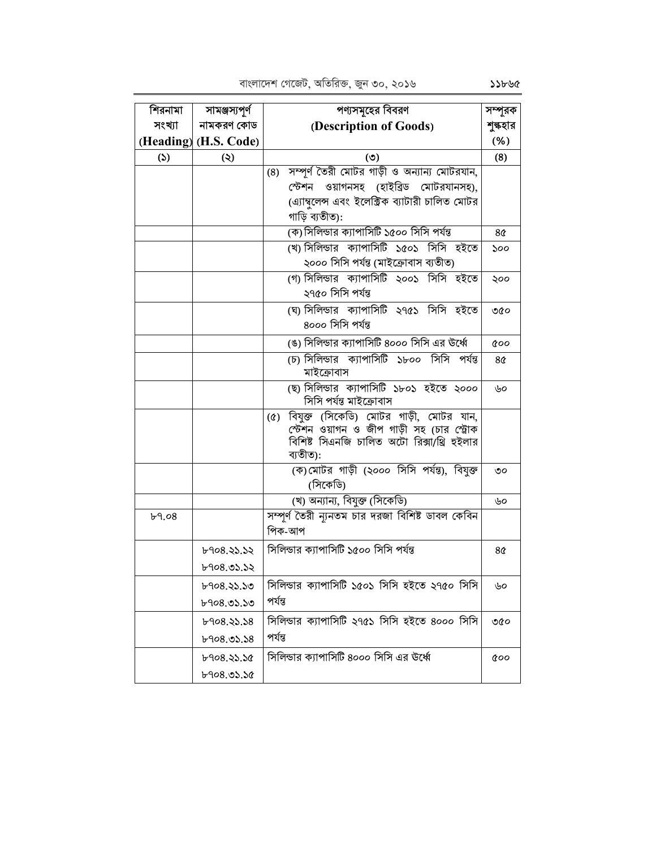| শিরনামা | সামঞ্জস্যপূর্ণ         | পণ্যসমূহের বিবরণ                                                                                                                                             | সম্পূরক        |
|---------|------------------------|--------------------------------------------------------------------------------------------------------------------------------------------------------------|----------------|
| সংখ্যা  | নামকরণ কোড             | (Description of Goods)                                                                                                                                       | শুল্কহার       |
|         | (Heading) (H.S. Code)  |                                                                                                                                                              | (% )           |
| (5)     | $\ddot{\bm{\epsilon}}$ | (5)                                                                                                                                                          | (8)            |
|         |                        | সম্পূর্ণ তৈরী মোটর গাড়ী ও অন্যান্য মোটরযান,<br>(8)                                                                                                          |                |
|         |                        | স্টেশন ওয়াগনসহ (হাইব্রিড মোটরযানসহ),                                                                                                                        |                |
|         |                        | (এ্যাম্বলেন্স এবং ইলেক্ট্রিক ব্যাটারী চালিত মোটর<br>গাড়ি ব্যতীত):                                                                                           |                |
|         |                        | (ক) সিলিন্ডার ক্যাপাসিটি ১৫০০ সিসি পর্যন্ত                                                                                                                   | 8 <sub>0</sub> |
|         |                        | (খ) সিলিন্ডার ক্যাপাসিটি ১৫০১ সিসি হইতে                                                                                                                      | ১০০            |
|         |                        | ২০০০ সিসি পর্যন্ত (মাইক্রোবাস ব্যতীত)                                                                                                                        |                |
|         |                        | (গ) সিলিন্ডার ক্যাপাসিটি ২০০১ সিসি হইতে                                                                                                                      | ২০০            |
|         |                        | ২৭৫০ সিসি পর্যন্ত                                                                                                                                            |                |
|         |                        | (ঘ) সিলিন্ডার ক্যাপাসিটি ২৭৫১ সিসি হইতে<br>8000 সিসি পর্যন্ত                                                                                                 | ৩৫০            |
|         |                        | (ঙ) সিলিন্ডার ক্যাপাসিটি ৪০০০ সিসি এর উর্ধ্বে                                                                                                                | coo            |
|         |                        | (চ) সিলিন্ডার ক্যাপাসিটি ১৮০০ সিসি পর্যন্ত<br>মাইক্রোবাস                                                                                                     | 8¢             |
|         |                        | (ছ) সিলিন্ডার ক্যাপাসিটি ১৮০১ হইতে ২০০০<br>সিসি পৰ্যন্ত মাইক্ৰোবাস                                                                                           | ৬০             |
|         |                        | বিযুক্ত (সিকেডি) মোটর গাড়ী, মোটর যান,<br>$(\delta)$<br>স্টেশন ওয়াগন ও জীপ গাড়ী সহ (চার স্ট্রোক<br>বিশিষ্ট সিএনজি চালিত অটো রিক্সা/থ্রি হুইলার<br>ব্যতীত): |                |
|         |                        | (ক)মোটর গাড়ী (২০০০ সিসি পর্যন্ত), বিযুক্ত<br>(সিকেডি)                                                                                                       | ৩০             |
|         |                        | (খ) অন্যান্য, বিযুক্ত (সিকেডি)                                                                                                                               | ৬০             |
| b9.08   |                        | সম্পূর্ণ তৈরী ন্যূনতম চার দরজা বিশিষ্ট ডাবল কেবিন<br>পিক-আপ                                                                                                  |                |
|         | ৮৭০৪.২১.১২             | সিলিন্ডার ক্যাপাসিটি ১৫০০ সিসি পর্যন্ত                                                                                                                       | 8 <sub>0</sub> |
|         | b908.05.52             |                                                                                                                                                              |                |
|         | ৮৭০৪.২১.১৩             | সিলিন্ডার ক্যাপাসিটি ১৫০১ সিসি হইতে ২৭৫০ সিসি                                                                                                                | ৬০             |
|         | ৮৭০৪.৩১.১৩             | পৰ্যন্ত                                                                                                                                                      |                |
|         | b908.33.38             | সিলিন্ডার ক্যাপাসিটি ২৭৫১ সিসি হইতে ৪০০০ সিসি                                                                                                                | ৩৫০            |
|         | b908.05.58             | পৰ্যন্ত                                                                                                                                                      |                |
|         | ৮৭০৪.২১.১৫             | সিলিন্ডার ক্যাপাসিটি ৪০০০ সিসি এর উর্ধ্বে                                                                                                                    | <b>coo</b>     |
|         | b908.05.50             |                                                                                                                                                              |                |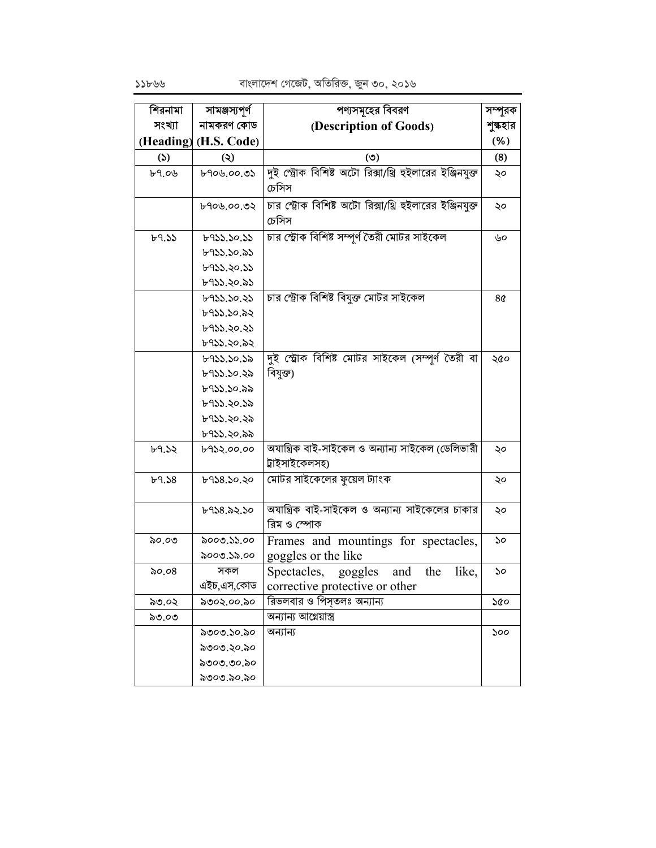| শিরনামা | সামঞ্জস্যপূর্ণ        | পণ্যসমূহের বিবরণ                                                    | সম্পূরক  |
|---------|-----------------------|---------------------------------------------------------------------|----------|
| সংখ্যা  | নামকরণ কোড            | (Description of Goods)                                              | শুল্কহার |
|         | (Heading) (H.S. Code) |                                                                     | (% )     |
| (5)     | $\ddot{\bm{\omega}}$  | (5)                                                                 | (8)      |
| b9.06   | ৮৭০৬.০০.৩১            | দুই স্ট্রোক বিশিষ্ট অটো রিক্সা/থ্রি হুইলারের ইঞ্জিনযুক্ত<br>চেসিস   | ২০       |
|         | ৮৭০৬.০০.৩২            | চার স্ট্রোক বিশিষ্ট অটো রিক্সা/থ্রি হুইলারের ইঞ্জিনযুক্ত<br>চেসিস   | ২০       |
| b9.55   | ৮৭১১.১০.১১            | চার স্ট্রোক বিশিষ্ট সম্পূর্ণ তৈরী মোটর সাইকেল                       | ৬০       |
|         | ৮৭১১.১০.৯১            |                                                                     |          |
|         | ৮৭১১.২০.১১            |                                                                     |          |
|         | ৮৭১১.২০.৯১            |                                                                     |          |
|         | ৮৭১১.১০.২১            | চার স্ট্রোক বিশিষ্ট বিযুক্ত মোটর সাইকেল                             | 8¢       |
|         | ৮৭১১.১০.৯২            |                                                                     |          |
|         | ৮৭১১.২০.২১            |                                                                     |          |
|         | ৮৭১১.২০.৯২            |                                                                     |          |
|         | ৮৭১১.১০.১৯            | দুই স্ট্রোক বিশিষ্ট মোটর সাইকেল (সম্পূর্ণ তৈরী বা                   | ২৫০      |
|         | ৮৭১১.১০.২৯            | বিযুক্ত)                                                            |          |
|         | ৮৭১১.১০.৯৯            |                                                                     |          |
|         | ৮৭১১.২০.১৯            |                                                                     |          |
|         | ৮৭১১.২০.২৯            |                                                                     |          |
|         | ৮৭১১.২০.৯৯            |                                                                     |          |
| b9.52   | ৮৭১২.০০.০০            | অযান্ত্রিক বাই-সাইকেল ও অন্যান্য সাইকেল (ডেলিভারী<br>ট্ৰাইসাইকেলসহ) | ২০       |
| b9.58   | 6438.50.50            | মোটর সাইকেলের ফুয়েল ট্যাংক                                         | ২০       |
|         | ৮৭১৪.৯২.১০            | অযান্ত্রিক বাই-সাইকেল ও অন্যান্য সাইকেলের চাকার<br>রিম ও স্পোক      | ২০       |
| ৯০.০৩   | ৯০০৩.১১.০০            | Frames and mountings for spectacles,                                | ১০       |
|         | ৯০০৩.১৯.০০            | goggles or the like                                                 |          |
| ৯০.০৪   | সকল                   | like,<br>Spectacles, goggles<br>and<br>the                          | ১০       |
|         | এইচ,এস,কোড            | corrective protective or other                                      |          |
| ৯৩.০২   | ৯৩০২.০০.৯০            | রিভলবার ও পিস্তলঃ অন্যান্য                                          | ১৫০      |
| ৯৩.০৩   |                       | অন্যান্য আগ্নেয়াস্ত্ৰ                                              |          |
|         | ৯৩০৩.১০.৯০            | অন্যান্য                                                            | ১০০      |
|         | ৯৩০৩.২০.৯০            |                                                                     |          |
|         | ৯৩০৩.৩০.৯০            |                                                                     |          |
|         | ৯৩০৩.৯০.৯০            |                                                                     |          |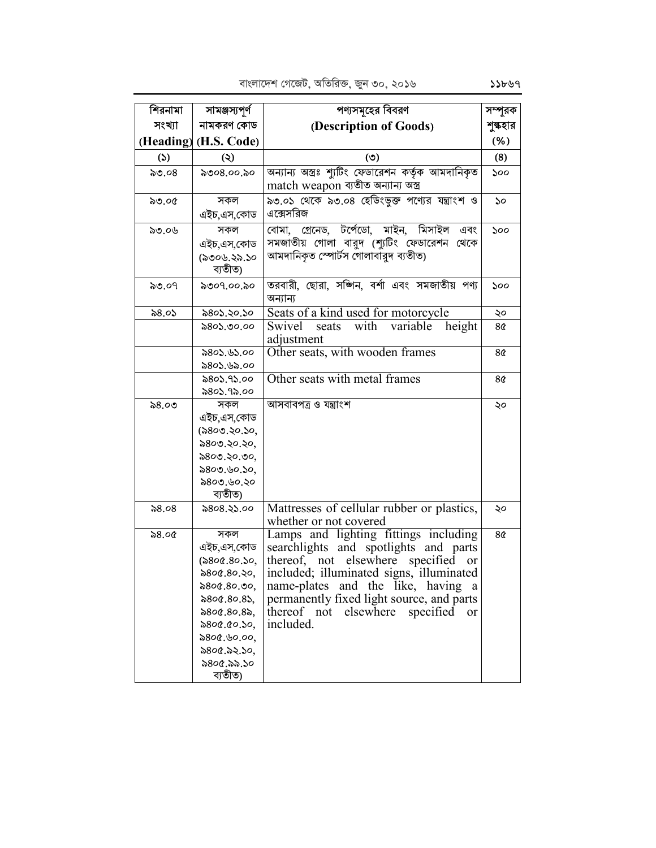| শিরনামা       | সামঞ্জস্যপূর্ণ                              | পণ্যসমূহের বিবরণ                                                                                                                           | সম্পূরক        |
|---------------|---------------------------------------------|--------------------------------------------------------------------------------------------------------------------------------------------|----------------|
| সংখ্যা        | নামকরণ কোড                                  | (Description of Goods)                                                                                                                     | শুল্কহার       |
|               | (Heading) (H.S. Code)                       |                                                                                                                                            | (% )           |
| $\mathcal{L}$ | $\ddot{\bm{\omega}}$                        | (৩)                                                                                                                                        | (8)            |
| $\delta$ ৩.০৪ | ৯৩০৪.০০.৯০                                  | অন্যান্য অস্ত্রঃ শ্যুটিং ফেডারেশন কর্তৃক আমদানিকৃত                                                                                         | ১০০            |
|               |                                             | match weapon ব্যতীত অন্যান্য অস্ত্র                                                                                                        |                |
| ৯৩.০৫         | সকল<br>এইচ,এস,কোড                           | ৯৩.০১ থেকে ৯৩.০৪ হেডিংভুক্ত পণ্যের যন্ত্রাংশ ও<br>এক্সেসরিজ                                                                                | 50             |
| ৯৩.০৬         | সকল<br>এইচ.এস.কোড<br>(৯৩০৬.২৯.১০<br>ব্যতীত) | মিসাইল<br>গ্ৰেনেড, টৰ্পেডো, মাইন,<br>বোমা.<br>এবং<br>সমজাতীয় গোলা বারুদ (শ্যুটিং ফেডারেশন<br>থেকে<br>আমদানিকৃত স্পোর্টস গোলাবাঁরদ ব্যতীত) | ১০০            |
| ৯৩.০৭         | ৯৩০৭.০০.৯০                                  | তরবারী, ছোরা, সজ্গিন, বর্শা এবং সমজাতীয় পণ্য<br>অন্যান্য                                                                                  | ১০০            |
| ৯৪.০১         | ৯৪০১.২০.১০                                  | Seats of a kind used for motorcycle                                                                                                        | ২০             |
|               | ৯৪০১.৩০.০০                                  | Swivel<br>with<br>variable<br>height<br>seats<br>adjustment                                                                                | 8¢             |
|               | ৯৪০১.৬১.০০                                  | Other seats, with wooden frames                                                                                                            | 8 <sup>o</sup> |
|               | ৯৪০১.৬৯.০০                                  |                                                                                                                                            |                |
|               | ৯৪০১.৭১.০০                                  | Other seats with metal frames                                                                                                              | 8 <sub>0</sub> |
|               | ৯৪০১.৭৯.০০                                  |                                                                                                                                            |                |
| ৯৪.০৩         | সকল                                         | আসবাবপত্ৰ ও যন্ত্ৰাংশ                                                                                                                      | ২০             |
|               | এইচ,এস,কোড                                  |                                                                                                                                            |                |
|               | (৯৪০৩.২০.১০,                                |                                                                                                                                            |                |
|               | ৯৪০৩.২০.২০,                                 |                                                                                                                                            |                |
|               | ৯৪০৩.২০.৩০,                                 |                                                                                                                                            |                |
|               | ৯৪০৩.৬০.১০,<br>৯৪০৩.৬০.২০                   |                                                                                                                                            |                |
|               | ব্যতীত)                                     |                                                                                                                                            |                |
| ৯৪.০৪         | ৯৪০৪.২১.০০                                  | Mattresses of cellular rubber or plastics,<br>whether or not covered                                                                       | ২০             |
| ৯৪.০৫         | সকল                                         | Lamps and lighting fittings including                                                                                                      | 8 <sup>o</sup> |
|               | এইচ,এস,কোড                                  | searchlights and spotlights and parts                                                                                                      |                |
|               | (৯৪০৫.৪০.১০,                                | thereof, not elsewhere<br>specified<br>or                                                                                                  |                |
|               | ৯৪০৫.৪০.২০,                                 | included; illuminated signs, illuminated                                                                                                   |                |
|               | $\$800.80.90,$                              | name-plates<br>and the like, having<br>a                                                                                                   |                |
|               | $\$800.80.85,$                              | permanently fixed light source, and parts                                                                                                  |                |
|               | $\$800.80.8$                                | thereof<br>elsewhere<br>specified<br>not<br>or                                                                                             |                |
|               | 5800.00.50,                                 | included.                                                                                                                                  |                |
|               | ৯৪০৫.৬০.০০,                                 |                                                                                                                                            |                |
|               | ৯৪০৫.৯২.১০,                                 |                                                                                                                                            |                |
|               | ৯৪০৫.৯৯.১০                                  |                                                                                                                                            |                |
|               | ব্যতীত)                                     |                                                                                                                                            |                |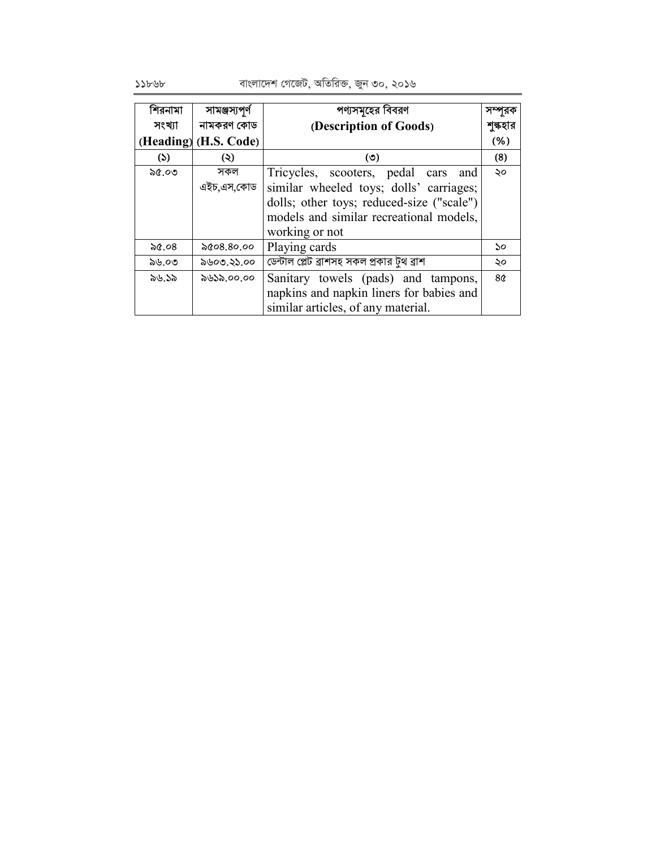বাংলাদেশ গেজেট, অতিরিক্ত, জুন ৩০, ২০১৬

| শিরনামা | সামঞ্জস্যপূৰ্ণ        | পণ্যসমূহের বিবরণ                           |          |
|---------|-----------------------|--------------------------------------------|----------|
| সংখ্যা  | নামকরণ কোড            | (Description of Goods)                     | শুল্কহার |
|         | (Heading) (H.S. Code) |                                            | (% )     |
| (5)     | (২)                   | $\circ$                                    | (8)      |
| ৯৫.০৩   | সকল                   | Tricycles, scooters, pedal cars<br>and     | ২০       |
|         | এইচ,এস,কোড            | similar wheeled toys; dolls' carriages;    |          |
|         |                       | dolls; other toys; reduced-size ("scale")  |          |
|         |                       | models and similar recreational models,    |          |
|         |                       | working or not                             |          |
| ৯৫.০৪   | ৯৫০৪.৪০.০০            | Playing cards                              | ১০       |
| ৯৬.০৩   | ৯৬০৩.২১.০০            | ডেন্টাল প্লেট ব্রাশসহ সকল প্রকার টুথ ব্রাশ | ২০       |
| ৯৬.১৯   | ৯৬১৯.০০.০০            | Sanitary towels (pads) and tampons,        | 8৫       |
|         |                       | napkins and napkin liners for babies and   |          |
|         |                       | similar articles, of any material.         |          |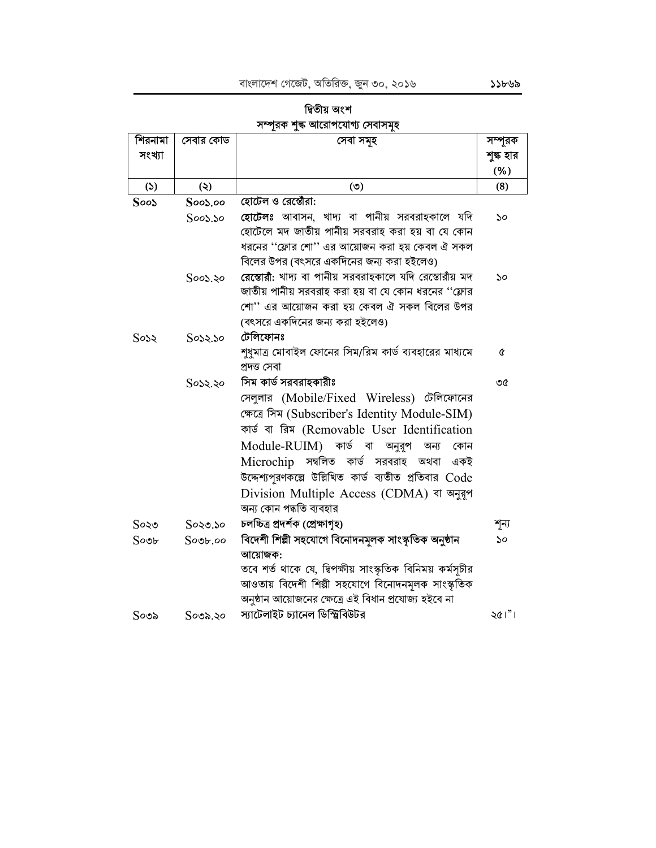#### শিরনামা সেবার কোড সেবা সমূহ সম্পূরক সংখ্যা শুল্ক হার  $(% )$  $(5)$  $(5)$  $\ddot{\mathcal{L}}$  $(8)$ হোটেল ও রেপ্তৌরা:  $SooS$  $SooS.oo$ হোটেলঃ আবাসন, খাদ্য বা পানীয় সরবরাহকালে যদি  $Soos.$ so  $\mathcal{S}^{\mathcal{O}}$ হোটেলে মদ জাতীয় পানীয় সরবরাহ করা হয় বা যে কোন ধরনের ''ফ্লোর শো'' এর আয়োজন করা হয় কেবল ঐ সকল বিলের উপর (বৎসরে একদিনের জন্য করা হইলেও) রেম্ভোরী: খাদ্য বা পানীয় সরবরাহকালে যদি রেস্তোরাঁয় মদ  $50^{\circ}$  $SooS.50$ জাতীয় পানীয় সরবরাহ করা হয় বা যে কোন ধরনের "ফ্লোর শো" এর আয়োজন করা হয় কেবল ঐ সকল বিলের উপর (বৎসরে একদিনের জন্য করা হইলেও)  $Sosx$ টেলিফোনঃ  $Sosx.$ so শুধুমাত্র মোবাইল ফোনের সিম/রিম কার্ড ব্যবহারের মাধ্যমে  $\hat{\alpha}$ প্ৰদত্ত সেবা সিম কার্ড সরবরাহকারীঃ  $Sosx, so$ ৩৫ সেলুলার (Mobile/Fixed Wireless) টেলিফোনের ক্ষেত্রে সিম (Subscriber's Identity Module-SIM) কাৰ্ড বা রিম (Removable User Identification Module-RUIM) কাৰ্ড বা অনুরূপ অন্য কোন Microchip সম্বলিত কাৰ্ড সরবরাহ অথবা একই উদ্দেশ্যপূরণকল্পে উল্লিখিত কার্ড ব্যতীত প্রতিবার Code Division Multiple Access (CDMA) বা অনুরূপ অন্য কোন পদ্ধতি ব্যবহার চলচ্চিত্ৰ প্ৰদৰ্শক (প্ৰেক্ষাগৃহ)  $S$ ০২৩.১০ শূন্য  $S$ ০২৩ বিদেশী শিল্পী সহযোগে বিনোদনমূলক সাংস্কৃতিক অনুষ্ঠান  $Sovr$  $Sovb, oo$  $\mathcal{S}^{\mathcal{O}}$ আয়োজক: তবে শর্ত থাকে যে, দ্বিপক্ষীয় সাংস্কৃতিক বিনিময় কর্মসচীর আওতায় বিদেশী শিল্পী সহযোগে বিনোদনমূলক সাংস্কৃতিক অনুষ্ঠান আয়োজনের ক্ষেত্রে এই বিধান প্রযোজ্য হইবে না  $201"$ স্যাটেলাইট চ্যানেল ডিস্ট্রিবিউটর  $S$ ०७৯.২०  $S$ ୦৩৯

| াৰ্বতীয় অংশ                  |  |
|-------------------------------|--|
| সম্পরক শঙ্ক আরোপযোগ্য সেবাসমহ |  |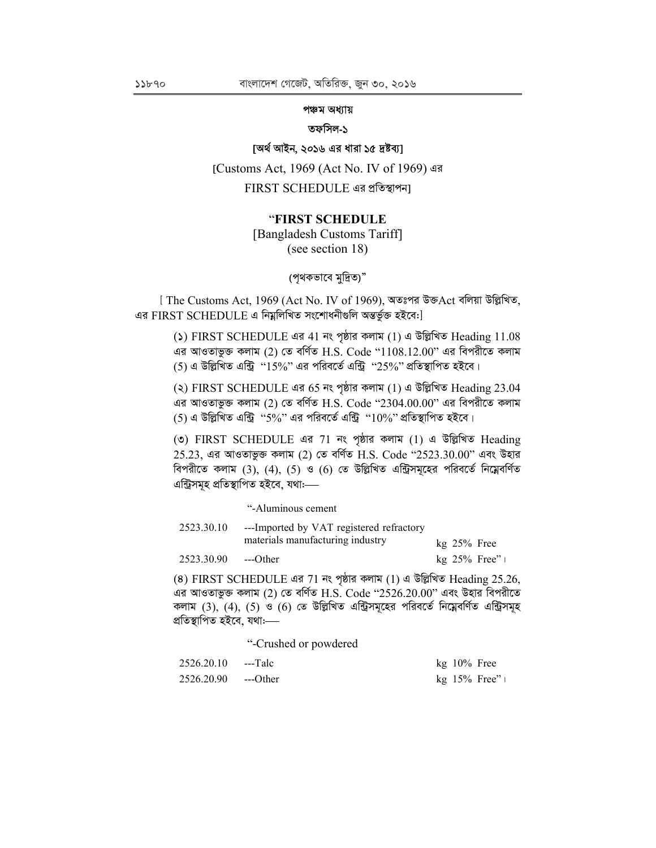## পঞ্চম অধ্যায়

#### তফসিল-১

# [অৰ্থ আইন, ২০১৬ এর ধারা ১৫ দ্রষ্টব্য]

[Customs Act, 1969 (Act No. IV of 1969) এর FIRST SCHEDULE এর প্রতিস্থাপন৷

## "FIRST SCHEDULE

[Bangladesh Customs Tariff] (see section 18)

(পৃথকভাবে মুদ্রিত)"

[ The Customs Act, 1969 (Act No. IV of 1969), অতঃপর উক্তAct বলিয়া উল্লিখিত, এর FIRST SCHEDULE এ নিম্নলিখিত সংশোধনীগুলি অন্তর্ভুক্ত হইবে:]

() FIRST SCHEDULE এর 41 নং পৃষ্ঠার কলাম (1) এ উল্লিখিত Heading 11.08 এর আওতাভুক্ত কলাম (2) তে বর্ণিত  $H.S.$  Code " $1108.12.00$ " এর বিপরীতে কলাম (5) এ উল্লিখিত এন্ট্রি "15%" এর পরিবর্তে এন্ট্রি "25%" প্রতিস্থাপিত হইবে।

(২) FIRST SCHEDULE এর 65 নং পৃষ্ঠার কলাম (1) এ উল্লিখিত Heading 23.04 এর আওতাভুক্ত কলাম (2) তে বর্ণিত H.S. Code "2304.00.00" এর বিপরীতে কলাম (5) এ উল্লিখিত এন্ট্রি "5%" এর পরিবর্তে এন্ট্রি "10%" প্রতিস্থাপিত হইবে।

(c) FIRST SCHEDULE এর 71 নং পৃষ্ঠার কলাম (1) এ উল্লিখিত Heading  $25.23$ , এর আওতাভুক্ত কলাম (2) তে বর্ণিত H.S. Code "2523.30.00" এবং উহার বিপরীতে কলাম (3), (4), (5) ও (6) তে উল্লিখিত এন্ট্রিসমূহের পরিবর্তে নিম্নেবর্ণিত এন্ট্ৰিসমহ প্ৰতিস্থাপিত হইবে, যথা:----

"-Aluminous cement

| 2523.30.10 | ---Imported by VAT registered refractory |  |                |
|------------|------------------------------------------|--|----------------|
|            | materials manufacturing industry         |  | $kg$ 25% Free  |
| 2523.30.90 | $-$ -Other                               |  | $kg$ 25% Free" |

(8) FIRST SCHEDULE এর 71 নং পৃষ্ঠার কলাম (1) এ উল্লিখিত Heading 25.26, এর আওতাভুক্ত কলাম (2) তে বর্ণিত H.S. Code "2526.20.00" এবং উহার বিপরীতে কলাম (3), (4), (5) ও (6) তে উল্লিখিত এন্ট্রিসমূহের পরিবর্তে নিম্নেবর্ণিত এন্ট্রিসমূহ প্ৰতিস্থাপিত হইবে, যথা:—–

"-Crushed or powdered

| 2526.20.10 ---Talc  | $kg$ 10% Free  |  |
|---------------------|----------------|--|
| 2526.20.90 ---Other | $kg$ 15% Free" |  |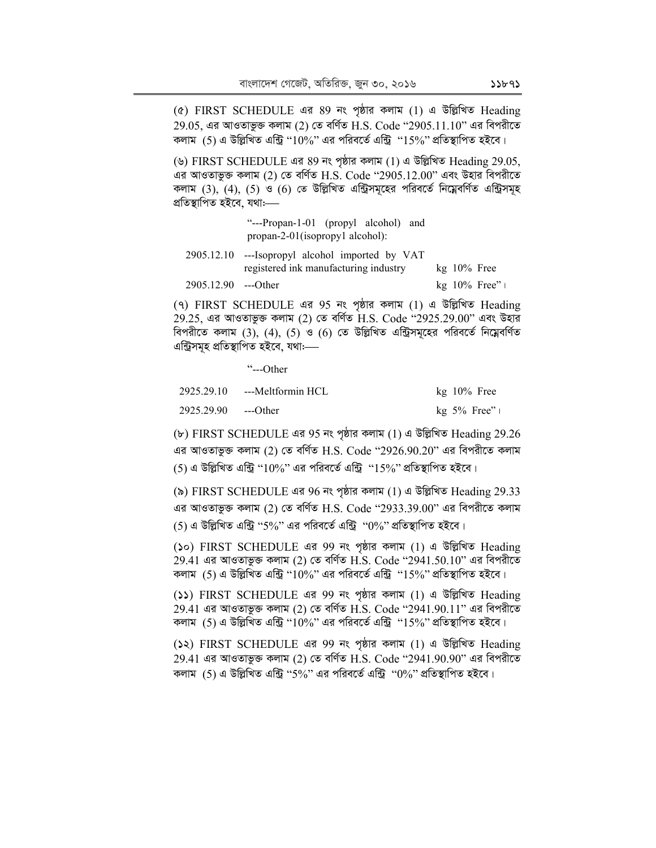(৫) FIRST SCHEDULE এর 89 নং পৃষ্ঠার কলাম (1) এ উল্লিখিত Heading  $29.05$ , এর আওতাভুক্ত কলাম (2) তে বর্ণিত H.S. Code "2905.11.10" এর বিপরীতে কলাম  $(5)$  এ উল্লিখিত এন্ট্রি '' $10\%$ '' এর পরিবর্তে এন্ট্রি '' $15\%$ '' প্রতিস্থাপিত হইবে।

(৬) FIRST SCHEDULE এর 89 নং পৃষ্ঠার কলাম (1) এ উল্লিখিত Heading 29.05, এর আওতাভুক্ত কলাম (2) তে বর্ণিত  $H.S.$  Code "2905.12.00" এবং উহার বিপরীতে কলাম  $(3)$ ,  $(4)$ ,  $(5)$  ও  $(6)$  তে উল্লিখিত এন্ট্রিসমূহের পরিবর্তে নিম্নেবর্ণিত এন্ট্রিসমূহ প্ৰতিস্থাপিত হইবে, যথা:—

> "---Propan-1-01 (propyl alcohol) and propan-2-01(isopropy1 alcohol):

|                     | 2905.12.10 ---Isopropyl alcohol imported by VAT |               |                |
|---------------------|-------------------------------------------------|---------------|----------------|
|                     | registered ink manufacturing industry           | $kg$ 10% Free |                |
| 2905.12.90 ---Other |                                                 |               | $kg$ 10% Free" |

(৭) FIRST SCHEDULE এর 95 নং পৃষ্ঠার কলাম (1) এ উল্লিখিত Heading 29.25, এর আওতাভুক্ত কলাম (2) তে বর্ণিত  $H.S.$  Code "2925.29.00" এবং উহার বিপরীতে কলাম  $(3)$ ,  $(4)$ ,  $(5)$  ও  $(6)$  তে উল্লিখিত এন্ট্রিসমূহের পরিবর্তে নিম্নেবর্ণিত এন্ট্ৰিসমূহ প্ৰতিস্থাপিত হইবে, যথা:—–

"---Other

| 2925.29.10 | ---Meltformin HCL | $kg$ 10% Free  |
|------------|-------------------|----------------|
| 2925.29.90 | ---Other          | kg $5\%$ Free" |

(৮) FIRST SCHEDULE এর 95 নং পৃষ্ঠার কলাম (1) এ উল্লিখিত Heading 29.26 এর আওতাভুক্ত কলাম (2) তে বর্ণিত H.S. Code ''2926.90.20'' এর বিপরীতে কলাম (5) এ উল্লিখিত এন্ট্রি " $10\%$ " এর পরিবর্তে এন্ট্রি " $15\%$ " প্রতিস্থাপিত হইবে।

(৯) FIRST SCHEDULE এর 96 নং পৃষ্ঠার কলাম (1) এ উল্লিখিত Heading 29.33 এর আওতাভুক্ত কলাম (2) তে বর্ণিত H.S. Code "2933.39.00" এর বিপরীতে কলাম  $(5)$  এ উল্লিখিত এন্ট্রি "5%" এর পরিবর্তে এন্ট্রি " $0\%$ " প্রতিস্থাপিত হইবে।

(১০) FIRST SCHEDULE এর 99 নং পৃষ্ঠার কলাম (1) এ উল্লিখিত Heading  $29.41$  এর আওতাভুক্ত কলাম (2) তে বর্ণিত  $H.S.$  Code " $2941.50.10$ " এর বিপরীতে কলাম (5) এ উল্লিখিত এন্ট্রি "10%" এর পরিবর্তে এন্ট্রি "15%" প্রতিস্থাপিত হইবে।

(১১) FIRST SCHEDULE এর 99 নং পৃষ্ঠার কলাম (1) এ উল্লিখিত Heading  $29.41$  এর আওতাভুক্ত কলাম (2) তে বর্ণিত  $H.S.$  Code "2941.90.11" এর বিপরীতে কলাম  $(5)$  এ উল্লিখিত এন্ট্রি " $10\%$ " এর পরিবর্তে এন্ট্রি " $15\%$ " প্রতিস্থাপিত হইবে।

(১২) FIRST SCHEDULE এর 99 নং পৃষ্ঠার কলাম (1) এ উল্লিখিত Heading 29.41 এর আওতাভুক্ত কলাম (2) তে বর্ণিত H.S. Code "2941.90.90" এর বিপরীতে কলাম  $(5)$  এ উল্লিখিত এন্ট্রি ''5%" এর পরিবর্তে এন্ট্রি '' $0\%$ '' প্রতিস্থাপিত হইবে।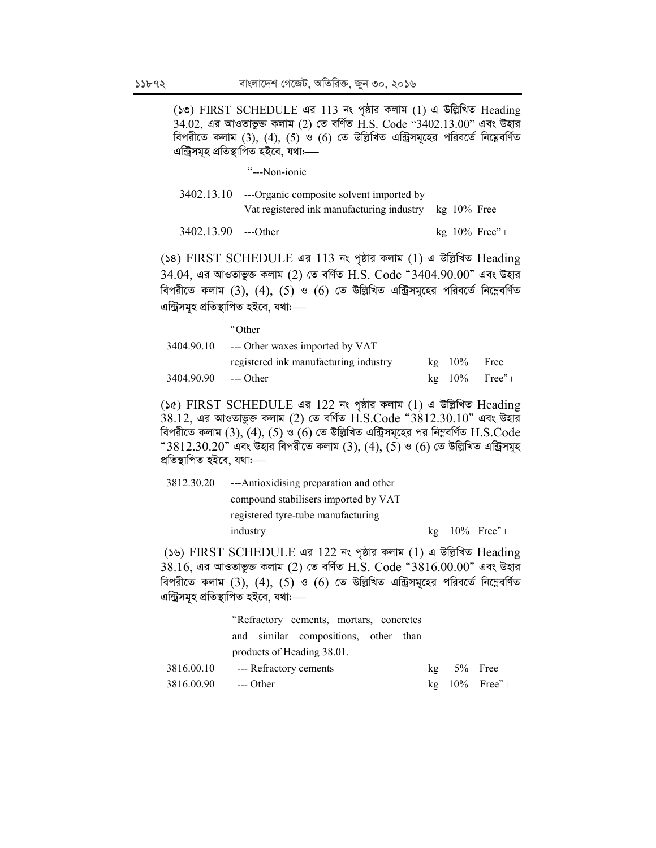(১৩) FIRST SCHEDULE এর 113 নং পৃষ্ঠার কলাম (1) এ উল্লিখিত Heading  $34.02$ , এর আওতাভুক্ত কলাম (2) তে বর্ণিত  $\overline{H.S.}$  Code " $3402.13.00$ " এবং উহার বিপরীতে কলাম (3), (4), (5) ও (6) তে উল্লিখিত এন্ট্রিসমূহের পরিবর্তে নিম্নেবর্ণিত এন্ট্রিসমূহ প্রতিস্থাপিত হইবে, যথা:—

"---Non-ionic

| 3402.13.10 ---Organic composite solvent imported by   |  |
|-------------------------------------------------------|--|
| Vat registered ink manufacturing industry kg 10% Free |  |

3402.13.90 --- Other  $kg$  10% Free"  $\vert$ 

(১৪) FIRST SCHEDULE এর 113 নং পৃষ্ঠার কলাম (1) এ উল্লিখিত Heading  $34.04$ , এর আওতাভুক্ত কলাম (2) তে বর্ণিত H.S. Code "3404.90.00" এবং উহার বিপরীতে কলাম  $(3)$ ,  $(4)$ ,  $(5)$  ও  $(6)$  তে উল্লিখিত এন্ট্রিসমূহের পরিবর্তে নিম্নেবর্ণিত এন্ট্রিসমূহ প্রতিস্থাপিত হইবে, যথা:—

|                      | "Other                                |               |                |
|----------------------|---------------------------------------|---------------|----------------|
| 3404.90.10           | --- Other waxes imported by VAT       |               |                |
|                      | registered ink manufacturing industry | $kg$ 10% Free |                |
| 3404.90.90 --- Other |                                       |               | $kg$ 10% Free" |

(১৫) FIRST SCHEDULE এর 122 নং পৃষ্ঠার কলাম (1) এ উল্লিখিত Heading  $38.12$ . এর আওতাভুক্ত কলাম (2) তে বর্ণিত  $\hat{H}$ .S.Code " $3812.30.10$ " এবং উহার বিপরীতে কলাম  $(3)$ ,  $(4)$ ,  $(5)$  ও  $(6)$  তে উল্লিখিত এন্ট্রিসমূহের পর নিম্নবর্ণিত  $H.S.Code$ "3812.30.20" এবং উহার বিপরীতে কলাম (3), (4), (5) ও (6) তে উল্লিখিত এন্ট্রিসমূহ প্ৰতিস্থাপিত হইবে, যথাঃ----

| 3812.30.20 | ---Antioxidising preparation and other |  |                      |
|------------|----------------------------------------|--|----------------------|
|            | compound stabilisers imported by VAT   |  |                      |
|            | registered tyre-tube manufacturing     |  |                      |
|            | industry                               |  | $kg$ 10% Free" $\pm$ |

(১৬) FIRST SCHEDULE এর 122 নং পৃষ্ঠার কলাম (1) এ উল্লিখিত Heading  $38.16$ , এর আওতাভুক্ত কলাম (2) তে বর্ণিত  $H.S.$  Code " $3816.00.00$ " এবং উহার বিপরীতে কলাম  $(3)$ ,  $(4)$ ,  $(5)$  ও  $(6)$  তে উল্লিখিত এন্ট্রিসমূহের পরিবর্তে নিম্নেবর্ণিত এন্ট্ৰিসমূহ প্ৰতিস্থাপিত হইবে, যথাঃ—

|            | "Refractory cements, mortars, concretes |                |                      |
|------------|-----------------------------------------|----------------|----------------------|
|            | and similar compositions, other than    |                |                      |
|            | products of Heading 38.01.              |                |                      |
| 3816.00.10 | --- Refractory cements                  | $kg = 5%$ Free |                      |
| 3816.00.90 | --- Other                               |                | $kg$ 10% Free" $\pm$ |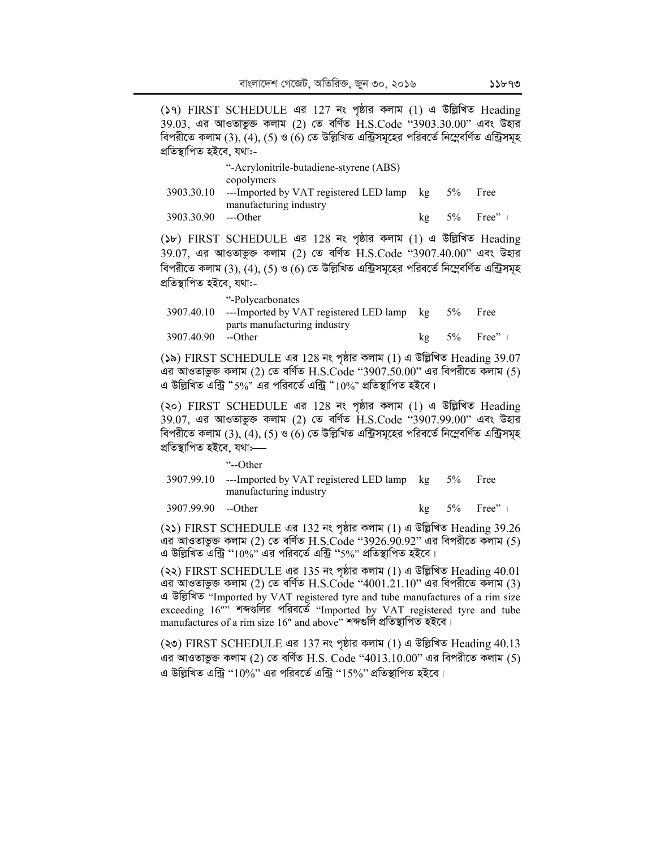(১৭) FIRST SCHEDULE এর 127 নং পৃষ্ঠার কলাম (1) এ উল্লিখিত Heading  $39.03$ , এর আওতাভুক্ত কলাম (2) তে বর্ণিত  $H.S.C$ ode " $3903.30.00$ " এবং উহার বিপরীতে কলাম (3), (4), (5) ও (6) তে উল্লিখিত এন্ট্রিসমূহের পরিবর্তে নিম্নেবর্ণিত এন্ট্রিসমূহ প্ৰতিস্থাপিত হইবে, যথা:-

|            | "-Acrylonitrile-butadiene-styrene (ABS) |    |    |                            |
|------------|-----------------------------------------|----|----|----------------------------|
|            | copolymers                              |    |    |                            |
| 3903.30.10 | ---Imported by VAT registered LED lamp  | kg | 5% | Free                       |
|            | manufacturing industry                  |    |    |                            |
| 3903.30.90 | ---Other                                | kg |    | $5\%$ Free" $\blacksquare$ |

(১৮) FIRST SCHEDULE এর 128 নং পৃষ্ঠার কলাম (1) এ উল্লিখিত Heading 39.07, এর আওতাভুক্ত কলাম (2) তে বর্ণিত H.S.Code "3907.40.00" এবং উহার বিপরীতে কলাম (3), (4), (5) ও (6) তে উল্লিখিত এন্ট্রিসমূহের পরিবর্তে নিম্নেবর্ণিত এন্ট্রিসমূহ প্ৰতিস্থাপিত হইবে, যথা:-

|                    | "-Polycarbonates"                                    |       |                            |
|--------------------|------------------------------------------------------|-------|----------------------------|
|                    | 3907.40.10 ---Imported by VAT registered LED lamp kg | $5\%$ | <b>Free</b>                |
|                    | parts manufacturing industry                         |       |                            |
| 3907.40.90 --Other |                                                      |       | $5\%$ Free" $\blacksquare$ |

(১৯) FIRST SCHEDULE এর 128 নং পৃষ্ঠার কলাম (1) এ উল্লিখিত Heading 39.07 এর আওতাভুক্ত কলাম (2) তে বর্ণিত  $H.S.Code$  "3907.50.00" এর বিপরীতে কলাম (5) এ উল্লিখিত এন্ট্রি "5%" এর পরিবর্তে এন্ট্রি "10%" প্রতিস্থাপিত হইবে।

(২০) FIRST SCHEDULE এর 128 নং পৃষ্ঠার কলাম (1) এ উল্লিখিত Heading  $39.07$ , এর আওতাভুক্ত কলাম (2) তে বর্ণিত  $H.S.C$ ode " $3907.99.00$ " এবং উহার বিপরীতে কলাম (3), (4), (5) ও (6) তে উল্লিখিত এন্ট্রিসমূহের পরিবর্তে নিম্নেবর্ণিত এন্ট্রিসমূহ প্ৰতিস্থাপিত হইবে, যথা:—–

"--Other

3907.99.10 ---Imported by VAT registered LED lamp manufacturing industry  $5\%$  Free

3907.99.90 --Other kg 5% Free" |

(২১) FIRST SCHEDULE এর 132 নং পৃষ্ঠার কলাম (1) এ উল্লিখিত Heading 39.26 এর আওতাভুক্ত কলাম (2) তে বর্ণিত H.S.Code ''3926.90.92'' এর বিপরীতে কলাম (5) এ উল্লিখিত এন্ট্রি '' $10\%$ " এর পরিবর্তে এন্ট্রি ''5%" প্রতিস্থাপিত হইবে।

(২২) FIRST SCHEDULE এর 135 নং পৃষ্ঠার কলাম (1) এ উল্লিখিত Heading 40.01 এর আওতাভুক্ত কলাম (2) তে বর্ণিত  $H.S.C$  $ode$  " $4001.21.10"$  এর বিপরীতে কলাম (3) এ উল্লিখিত "Imported by VAT registered tyre and tube manufactures of a rim size exceeding 16"" শব্দগুলির পরিবর্তে "Imported by VAT registered tyre and tube manufactures of a rim size 16" and above" শব্দগুলি প্ৰতিস্থাপিত হইবে।

(২৩) FIRST SCHEDULE এর 137 নং পৃষ্ঠার কলাম (1) এ উল্লিখিত Heading  $40.13$ এর আওতাভুক্ত কলাম (2) তে বর্ণিত H.S. Code ''4013.10.00'' এর বিপরীতে কলাম (5) এ উল্লিখিত এন্ট্রি ''10%" এর পরিবর্তে এন্ট্রি ''15%" প্রতিস্থাপিত হইবে।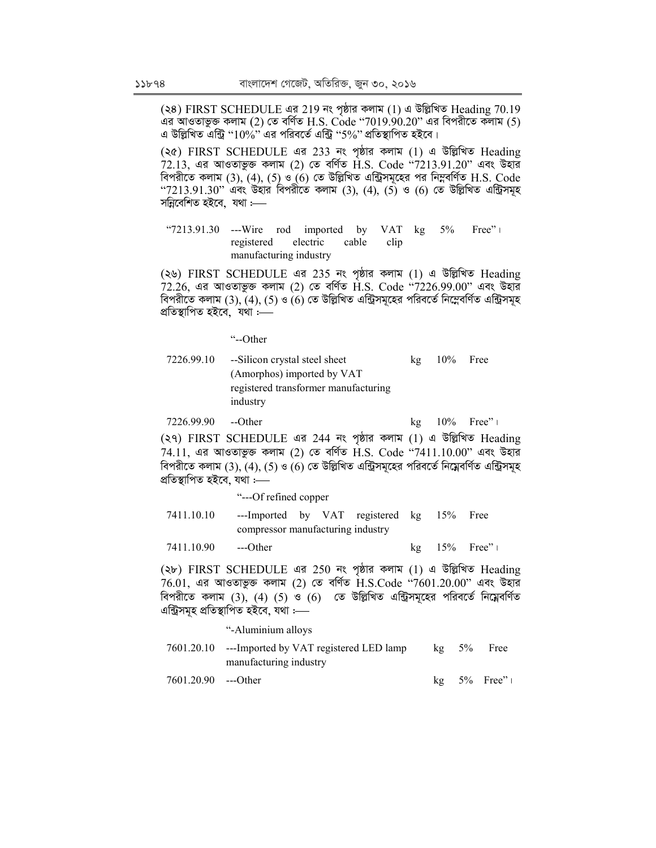(২৪) FIRST SCHEDULE এর 219 নং পৃষ্ঠার কলাম (1) এ উল্লিখিত Heading 70.19 এর আওতাভুক্ত কলাম (2) তে বর্ণিত H.S. Code ''7019.90.20'' এর বিপরীতে কলাম (5) এ উল্লিখিত এন্ট্রি " $10\%$ " এর পরিবর্তে এন্ট্রি "5%" প্রতিস্থাপিত হইবে।

(২৫) FIRST SCHEDULE এর 233 নং পৃষ্ঠার কলাম (1) এ উল্লিখিত Heading  $72.13$ , এর আওতাভুক্ত কলাম (2) তে বর্ণিত  $\dot{\rm H.S.}$  Code "7213.91.20" এবং উহার বিপরীতে কলাম  $(3)$ ,  $(4)$ ,  $(5)$  ও  $(6)$  তে উল্লিখিত এন্ট্রিসমূহের পর নিম্নবর্ণিত H.S. Code " $7213.91.30$ " এবং উহার বিপরীতে কলাম  $(3)$ ,  $(4)$ ,  $(5)$  ও  $(6)$  তে উল্লিখিত এন্ট্রিসমূহ সন্নিবেশিত হইবে. যথা :—–

"7213.91.30 ---Wire rod imported by VAT registered electric cable clip manufacturing industry  $5\%$  Free" |

(২৬) FIRST SCHEDULE এর 235 নং পৃষ্ঠার কলাম (1) এ উল্লিখিত Heading  $72.26$ , এর আওতাভুক্ত কলাম (2) তে বর্ণিত  $\overline{H}$ .S. Code "7226.99.00" এবং উহার বিপরীতে কলাম  $(3)$ ,  $(4)$ ,  $(5)$  ও  $(6)$  তে উল্লিখিত এন্ট্রিসমূহের পরিবর্তে নিম্নেবর্ণিত এন্ট্রিসমূহ প্ৰতিস্থাপিত হইবে, যথা $:=$ 

"--Other

7226.99.10 --Silicon crystal steel sheet (Amorphos) imported by VAT registered transformer manufacturing industry  $kg$  10% Free

7226.99.90 --Other kg  $10\%$  Free" | (২৭) FIRST SCHEDULE এর 244 নং পৃষ্ঠার কলাম (1) এ উল্লিখিত Heading  $74.11$ , এর আওতাভুক্ত কলাম (2) তে বর্ণিত H.S. Code "7411.10.00" এবং উহার বিপরীতে কলাম  $(3)$ ,  $(4)$ ,  $(5)$  ও  $(6)$  তে উল্লিখিত এন্ট্রিসমূহের পরিবর্তে নিম্নেবর্ণিত এন্ট্রিসমূহ

প্ৰতিস্থাপিত হইবে, যথা :-

 "---Of refined copper 7411.10.10 ---Imported by VAT registered kg compressor manufacturing industry  $15\%$  Free 7411.10.90 ---Other kg 15% Free"|

(২৮) FIRST SCHEDULE এর 250 নং পৃষ্ঠার কলাম (1) এ উল্লিখিত Heading  $76.01$ , এর আওতাভুক্ত কলাম (2) তে বর্ণিত  $H.S.C$ ode " $7601.20.00$ " এবং উহার বিপরীতে কলাম  $(3)$ ,  $(4)$   $(5)$  ও  $(6)$  তে উল্লিখিত এন্ট্রিসমূহের পরিবর্তে নিম্নেবর্ণিত এন্ট্ৰিসমূহ প্ৰতিস্থাপিত হইবে, যথা :—–

#### "-Aluminium alloys

7601.20.10 ---Imported by VAT registered LED lamp manufacturing industry kg 5% Free 7601.20.90 ---Other kg 5% Free"|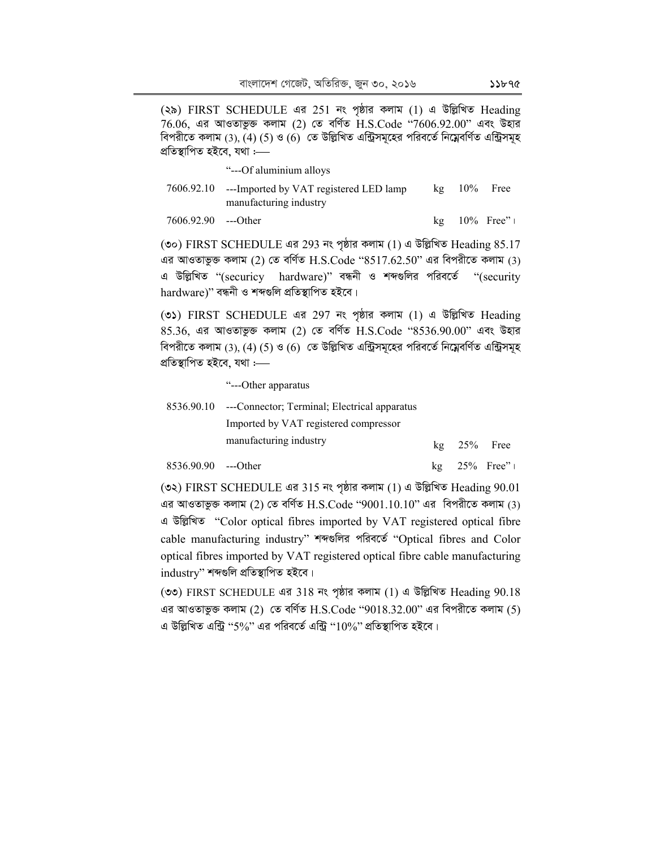(২৯) FIRST SCHEDULE এর 251 নং পৃষ্ঠার কলাম (1) এ উল্লিখিত Heading  $76.06$ , এর আওতাভুক্ত কলাম (2) তে বর্ণিত  $H.S.C$ ode " $7606.92.00$ " এবং উহার বিপরীতে কলাম (3), (4) (5) ও (6) তে উল্লিখিত এন্ট্রিসমূহের পরিবর্তে নিম্নেবর্ণিত এন্ট্রিসমূহ প্ৰতিস্থাপিত হইবে, যথা :—–

|                     | "---Of aluminium alloys                                                     |               |                   |
|---------------------|-----------------------------------------------------------------------------|---------------|-------------------|
|                     | 7606.92.10 ---Imported by VAT registered LED lamp<br>manufacturing industry | $kg$ 10% Free |                   |
| 7606.92.90 ---Other |                                                                             |               | $kg = 10\%$ Free" |

(৩০) FIRST SCHEDULE এর 293 নং পৃষ্ঠার কলাম (1) এ উল্লিখিত Heading  $85.17$ এর আওতাভুক্ত কলাম (2) তে বর্ণিত  $H.S.Code$  " $8517.62.50"$  এর বিপরীতে কলাম (3) এ উল্লিখিত "(securicy hardware)" বন্ধনী ও শব্দগুলির পরিবর্তে "(security hardware)" বন্ধনী ও শব্দগুলি প্ৰতিস্থাপিত হইবে।

(৩১) FIRST SCHEDULE এর 297 নং পৃষ্ঠার কলাম (1) এ উল্লিখিত Heading  $85.36$ , এর আওতাভুক্ত কলাম (2) তে বর্ণিত  $H.S.C$ ode " $8536.90.00$ " এবং উহার বিপরীতে কলাম (3), (4) (5) ও (6) তে উল্লিখিত এন্ট্রিসমূহের পরিবর্তে নিম্নেবর্ণিত এন্ট্রিসমূহ প্ৰতিস্থাপিত হইবে, যথা :-

"---Other apparatus

| 8536.90.10 ---Connector; Terminal; Electrical apparatus |               |  |
|---------------------------------------------------------|---------------|--|
| Imported by VAT registered compressor                   |               |  |
| manufacturing industry                                  | $kg$ 25% Free |  |

8536.90.90 ---Other kg 25% Free"|

(৩২) FIRST SCHEDULE এর 315 নং পৃষ্ঠার কলাম (1) এ উল্লিখিত Heading  $90.01$ এর আওতাভুক্ত কলাম (2) তে বর্ণিত  $H.S.Code$  "9001.10.10" এর বিপরীতে কলাম (3) এ উল্লিখিত "Color optical fibres imported by VAT registered optical fibre cable manufacturing industry" শব্দগুলির পরিবর্তে "Optical fibres and Color optical fibres imported by VAT registered optical fibre cable manufacturing  $industry''$  শব্দগুলি প্ৰতিস্থাপিত হইবে।

(৩৩) FIRST SCHEDULE এর 318 নং পৃষ্ঠার কলাম (1) এ উল্লিখিত Heading  $90.18$ এর আওতাভুক্ত কলাম (2) তে বর্ণিত H.S.Code "9018.32.00" এর বিপরীতে কলাম (5) এ উল্লিখিত এন্ট্রি "5%" এর পরিবর্তে এন্ট্রি " $10\%$ " প্রতিস্থাপিত হইবে।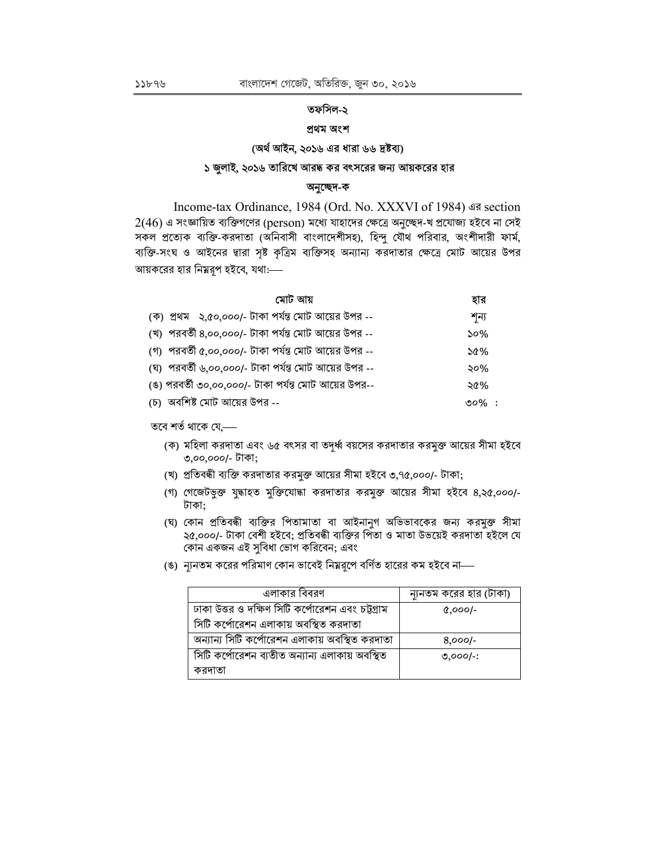## তফসিল-২

## প্ৰথম অংশ

### (অৰ্থ আইন, ২০১৬ এর ধারা ৬৬ দ্রষ্টব্য)

#### ১ জুলাই, ২০১৬ তারিখে আরদ্ধ কর বৎসরের জন্য আয়করের হার

#### অনুচ্ছেদ-ক

Income-tax Ordinance, 1984 (Ord. No. XXXVI of 1984) এর section  $2(46)$  এ সংজ্ঞায়িত ব্যক্তিগণের (person) মধ্যে যাহাদের ক্ষেত্রে অনুচ্ছেদ-খ প্রযোজ্য হইবে না সেই সকল প্রত্যেক ব্যক্তি-করদাতা (অনিবাসী বাংলাদেশীসহ), হিন্দু যৌথ পরিবার, অংশীদারী ফার্ম, ব্যক্তি-সংঘ ও আইনের দ্বারা সৃষ্ট কৃত্রিম ব্যক্তিসহ অন্যান্য করদাতার ক্ষেত্রে মোট আয়ের উপর আয়করের হার নিম্নরূপ হইবে, যথা:----

|  | মোট আয়                                              | হার        |  |
|--|------------------------------------------------------|------------|--|
|  | (ক) প্রথম ্২,৫০,০০০/- টাকা পর্যন্ত মোট আয়ের উপর --  | শন্য       |  |
|  | (খ) পরবর্তী ৪,০০,০০০/- টাকা পর্যন্ত মোট আয়ের উপর -- | 50%        |  |
|  | (গ) পরবর্তী ৫,০০,০০০/- টাকা পর্যন্ত মোট আয়ের উপর -- | $\delta$ % |  |
|  | (ঘ) পরবর্তী ৬,০০,০০০/- টাকা পর্যন্ত মোট আয়ের উপর -- | ২০%        |  |
|  | (ঙ) পরবর্তী ৩০,০০,০০০/- টাকা পর্যন্ত মোট আয়ের উপর-- | ২৫%        |  |
|  | (চ) অবশিষ্ট মোট আয়ের উপর --                         | ৩০% $\,$ : |  |

তবে শর্ত থাকে যে.—

- (ক) মহিলা করদাতা এবং ৬৫ বৎসর বা তদূর্ধ্ব বয়সের করদাতার করমুক্ত আয়ের সীমা হইবে ৩,০০,০০০/- টাকা;
- (খ) প্রতিবন্ধী ব্যক্তি করদাতার করমুক্ত আয়ের সীমা হইবে ৩,৭৫,০০০/- টাকা;
- (গ) গেজেটভুক্ত যুদ্ধাহত মুক্তিযোদ্ধা করদাতার করমুক্ত আয়ের সীমা হইবে ৪,২৫,০০০/-টাকা;
- (ঘ) কোন প্রতিবন্ধী ব্যক্তির পিতামাতা বা আইনানুগ অভিভাবকের জন্য করমুক্ত সীমা ২৫,০০০/- টাকা বেশী হইবে; প্রতিবন্ধী ব্যক্তির পিতা ও মাতা উভয়েই করদাতা হইলে যে কোন একজন এই সুবিধা ভোগ করিবেন; এবং
- (ঙ) ন্যূনতম করের পরিমাণ কোন ভাবেই নিম্নরূপে বর্ণিত হারের কম হইবে না—

| এলাকার বিবরণ                                     | ন্যূনতম করের হার (টাকা) |
|--------------------------------------------------|-------------------------|
| ঢাকা উত্তর ও দক্ষিণ সিটি কর্পোরেশন এবং চট্টগ্রাম | $0,000$ /-              |
| সিটি কর্পোরেশন এলাকায় অবস্থিত করদাতা            |                         |
| অন্যান্য সিটি কর্পোরেশন এলাকায় অবস্থিত করদাতা   | $8,000$ -               |
| সিটি কর্পোরেশন ব্যতীত অন্যান্য এলাকায় অবস্থিত   | $0,000$ -:              |
| করদাতা                                           |                         |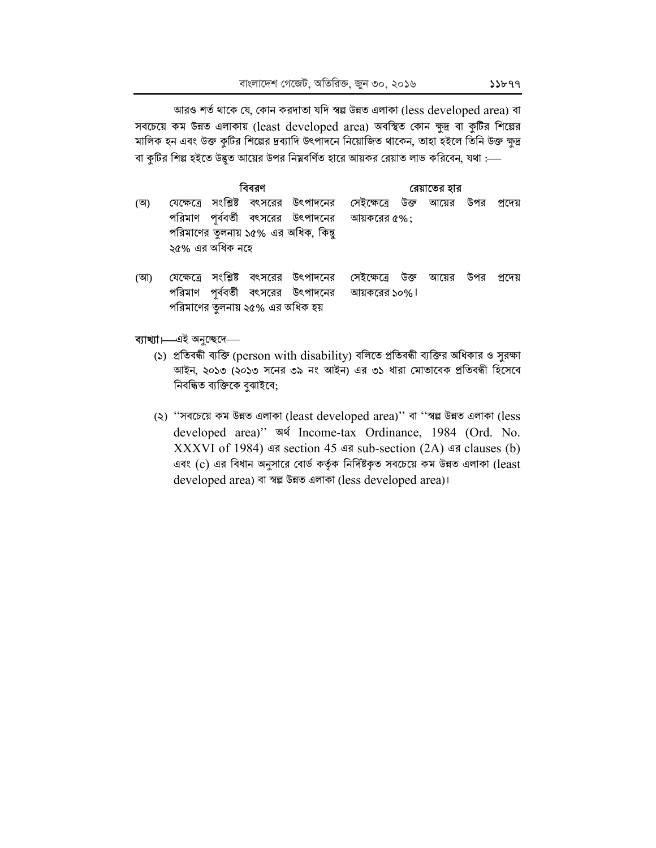আরও শর্ত থাকে যে, কোন করদাতা যদি স্বল্ল উন্নত এলাকা (less developed area) বা সবচেয়ে কম উন্নত এলাকায় (least developed area) অবস্থিত কোন ক্ষুদ্র বা কুটির শিল্পের মালিক হন এবং উক্ত কুটির শিল্পের দ্রব্যাদি উৎপাদনে নিয়োজিত থাকেন, তাহা হইলে তিনি উক্ত ক্ষুদ্র বা কুটির শিল্প হইতে উদ্ভূত আয়ের উপর নিম্নবর্ণিত হারে আয়কর রেয়াত লাভ করিবেন, যথা :---

|     |                      | বিবরণ     | রেয়াতের হার                     |                                                                           |                             |      |       |     |         |
|-----|----------------------|-----------|----------------------------------|---------------------------------------------------------------------------|-----------------------------|------|-------|-----|---------|
| (অ) | যেক্ষেত্ৰে           | সংশ্লিষ্ট |                                  | বৎসরের উৎপাদনের                                                           | সেইক্ষেত্রে                 | উক্ত | আয়ের | উপর | প্ৰদেয় |
|     | ২৫% এর অধিক নহে      |           |                                  | পরিমাণ পূর্ববর্তী বৎসরের উৎপাদনের<br>পরিমাণের তুলনায় ১৫% এর অধিক, কিন্তু | আয়করের ৫%;                 |      |       |     |         |
| (আ) | যেক্ষেত্ৰে<br>পরিমাণ | সংশ্লিষ্ট | পরিমাণের তুলনায় ২৫% এর অধিক হয় | বৎসরের উৎপাদনের<br>পূর্ববর্তী বৎসরের উৎপাদনের                             | সেইক্ষেত্রে<br>আয়করের ১০%। | উক্ত | আয়ের | উপর | প্ৰদেয় |

#### ব্যাখ্যা।—এই অনুচ্ছেদে—

- (১) প্রতিবন্ধী ব্যক্তি (person with disability) বলিতে প্রতিবন্ধী ব্যক্তির অধিকার ও সুরক্ষা আইন, ২০১৩ (২০১৩ সনের ৩৯ নং আইন) এর ৩১ ধারা মোতাবেক প্রতিবন্ধী হিসেবে নিবন্ধিত ব্যক্তিকে বুঝাইবে;
- (২) "সবচেয়ে কম উন্নত এলাকা (least developed area)" বা "স্বল্প উন্নত এলাকা (less developed area)" जयं Income-tax Ordinance, 1984 (Ord. No. XXXVI of 1984) এর section 45 এর sub-section  $(2A)$  এর clauses (b) এবং (c) এর বিধান অনুসারে বোর্ড কর্তৃক নির্দিষ্টকৃত সবচেয়ে কম উন্নত এলাকা (least developed area) বা স্বল্প উন্নত এলাকা (less developed area)।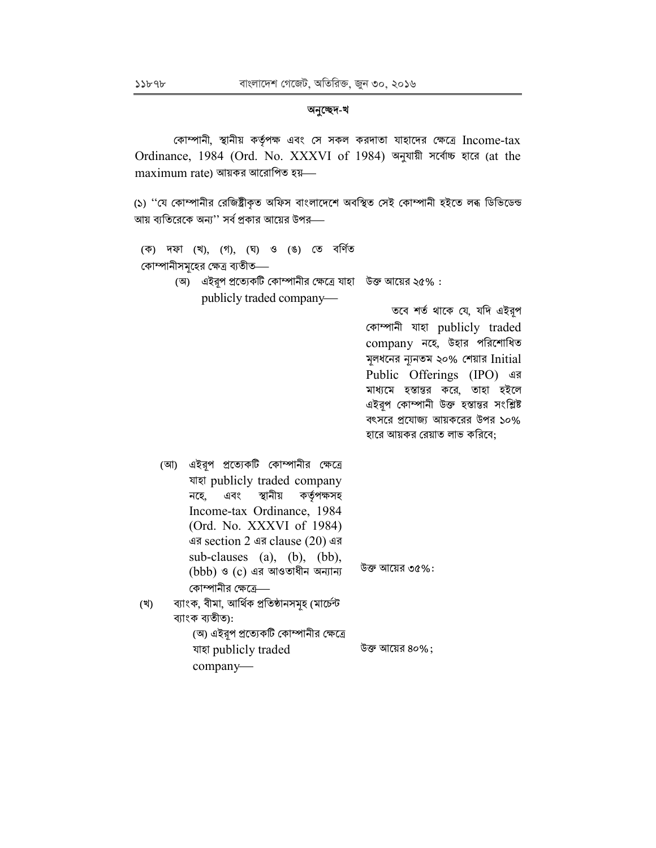#### অনুচ্ছেদ-খ

কোম্পানী, স্থানীয় কর্তৃপক্ষ এবং সে সকল করদাতা যাহাদের ক্ষেত্রে Income-tax Ordinance, 1984 (Ord. No. XXXVI of 1984) অনুযায়ী সর্বোচ্চ হারে (at the  $maximum$  rate) আয়কর আরোপিত হয়—

(১) ''যে কোম্পানীর রেজিষ্ট্রীকৃত অফিস বাংলাদেশে অবস্থিত সেই কোম্পানী হইতে লৰূ ডিভিডেন্ড আয় ব্যতিরেকে অন্য'' সর্ব প্রকার আয়ের উপর—

|                                |                          |  |  | (ক) দফা (খ), (গ), (ঘ) ও (ঙ) তে বৰ্ণিত |                                                              |  |
|--------------------------------|--------------------------|--|--|---------------------------------------|--------------------------------------------------------------|--|
| কোম্পানীসমূহের ক্ষেত্র ব্যতীত— |                          |  |  |                                       |                                                              |  |
|                                |                          |  |  |                                       | (অ) এইরূপ প্রত্যেকটি কোম্পানীর ক্ষেত্রে যাহা উক্ত আয়ের ২৫%: |  |
|                                | publicly traded company— |  |  |                                       |                                                              |  |
|                                |                          |  |  |                                       | $\overline{1273}$ $\sqrt{12}$ $\frac{1}{2}$                  |  |

তবে শর্ত থাকে যে, যদি এইরূপ কোম্পানী যাহা publicly traded company নহে, উহার পরিশোধিত মূলধনের ন্যনতম ২০% শেয়ার Initial Public Offerings (IPO) এর মাধ্যমে হস্তান্তর করে, তাহা হইলে এইরপ কোম্পানী উক্ত হস্তান্তর সংশ্লিষ্ট বৎসরে প্রযোজ্য আয়করের উপর ১০% হারে আয়কর রেয়াত লাভ করিবে;

(আ) এইরূপ প্রত্যেকটি কোম্পানীর ক্ষেত্রে যাহা publicly traded company এবং স্থানীয় কর্তৃপক্ষসহ নহে, Income-tax Ordinance, 1984 (Ord. No. XXXVI of 1984) এর section 2 এর clause  $(20)$  এর sub-clauses (a), (b), (bb), উক্ত আয়ের ৩৫%:  $(bbb)$  ও  $(c)$  এর আওতাধীন অন্যান্য কোম্পানীর ক্ষেত্রে— ব্যাংক, বীমা, আৰ্থিক প্ৰতিষ্ঠানসমূহ (মাৰ্চেন্ট (খ) ব্যাংক ব্যতীত): (অ) এইরপ প্রত্যেকটি কোম্পানীর ক্ষেত্রে যাহা publicly traded

company-

উক্ত আয়ের ৪০%;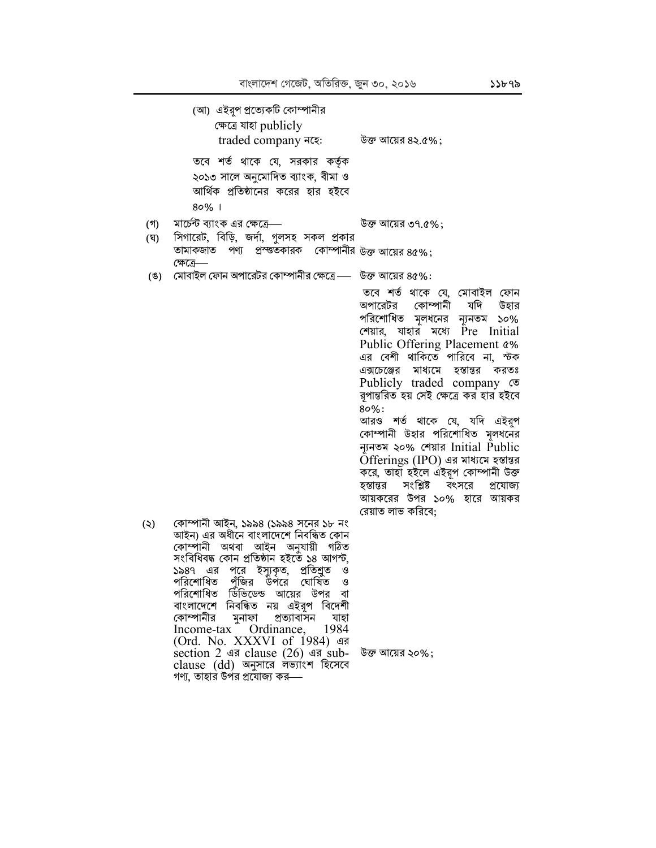|     | (আ) এইরূপ প্রত্যেকটি কোম্পানীর<br>ক্ষেত্ৰে যাহা publicly<br>traded company नद्दः                                                                                                                                                                                                                                                                                                                                                                                                                                                                          | উক্ত আয়ের ৪২.৫%;                                                                                                                                                                                                                                                                                                                                                                                                                                                                                                                                                                                                 |
|-----|-----------------------------------------------------------------------------------------------------------------------------------------------------------------------------------------------------------------------------------------------------------------------------------------------------------------------------------------------------------------------------------------------------------------------------------------------------------------------------------------------------------------------------------------------------------|-------------------------------------------------------------------------------------------------------------------------------------------------------------------------------------------------------------------------------------------------------------------------------------------------------------------------------------------------------------------------------------------------------------------------------------------------------------------------------------------------------------------------------------------------------------------------------------------------------------------|
|     | তবে শর্ত থাকে যে, সরকার কর্তৃক<br>২০১৩ সালে অনুমোদিত ব্যাংক, বীমা ও<br>আর্থিক প্রতিষ্ঠানের করের হার হইবে<br>$80%$                                                                                                                                                                                                                                                                                                                                                                                                                                         |                                                                                                                                                                                                                                                                                                                                                                                                                                                                                                                                                                                                                   |
| (গ) | মার্চেন্ট ব্যাংক এর ক্ষেত্রে—                                                                                                                                                                                                                                                                                                                                                                                                                                                                                                                             | উক্ত আয়ের ৩৭.৫%;                                                                                                                                                                                                                                                                                                                                                                                                                                                                                                                                                                                                 |
| (ঘ) | সিগারেট, বিড়ি, জর্দা, গুলসহ সকল প্রকার<br>পণ্য প্রস্ত্তকারক কোম্পানীর উক্ত আয়ের ৪৫%;<br>তামাকজাত                                                                                                                                                                                                                                                                                                                                                                                                                                                        |                                                                                                                                                                                                                                                                                                                                                                                                                                                                                                                                                                                                                   |
| (8) | ক্ষেত্রে—<br>মোবাইল ফোন অপারেটর কোম্পানীর ক্ষেত্রে — উক্ত আয়ের ৪৫%:                                                                                                                                                                                                                                                                                                                                                                                                                                                                                      |                                                                                                                                                                                                                                                                                                                                                                                                                                                                                                                                                                                                                   |
|     |                                                                                                                                                                                                                                                                                                                                                                                                                                                                                                                                                           | তবে শর্ত থাকে যে, মোবাইল ফোন<br>অপারেটর কোম্পানী<br>যদি উহার<br>পরিশোধিত মূলধনের ন্যূনতম ১০%<br>শেয়ার, যাহার মধ্যে Pre Initial<br>Public Offering Placement &%<br>এর বেশী থাকিতে পারিবে না, স্টক<br>এক্সচেঞ্জের মাধ্যমে হস্তান্তর করতঃ<br>Publicly traded company $\infty$<br>রপান্তরিত হয় সেই ক্ষেত্রে কর হার হইবে<br>$80\%$ :<br>আরও শর্ত থাকে যে, যদি এইরূপ<br>কোম্পানী উহার পরিশোধিত মূলধনের<br>ন্যুনতম ২০% শেয়ার Initial Public<br>Offerings (IPO) এর মাধ্যমে হস্তান্তর<br>করে, তাহা হইলে এইরূপ কোম্পানী উক্ত<br>হস্তান্তর সংশ্লিষ্ট বৎসরে<br>প্ৰযোজ্য<br>আয়করের উপর ১০% হারে আয়কর<br>রেয়াত লাভ করিবে; |
| (5) | কোম্পানী আইন, ১৯৯৪ (১৯৯৪ সনের ১৮ নং<br>আইন) এর অধীনে বাংলাদেশে নিবন্ধিত কোন<br>কোম্পানী অথবা আইন অনুযায়ী গঠিত<br>সংবিধিবদ্ধ কোন প্ৰতিষ্ঠান হইতেঁ ১৪ আগস্ট,<br>পরে ইস্যুকৃত, প্রতিশ্রুত<br>এর<br>১৯৪৭<br>- ও<br>পরিশোধিত পুঁজির উপরে ঘোষিত ও<br>পরিশোধিত ডিভিডেন্ড আয়ের উপর বা<br>বাংলাদেশে নিবন্ধিত নয় এইরূপ বিদেশী<br>কোম্পানীর মুনাফা প্রত্যাবাসন<br>যাহা<br>Income-tax Ordinance, 1984<br>(Ord. No. XXXVI of 1984) এর<br>section 2 এর clause $(26)$ এর sub- উক্ত আয়ের ২০%;<br>clause (dd) অনুসারে লভ্যাংশ হিসেবে<br>গণ্য, তাহার উর্পর প্রযোজ্য কর— |                                                                                                                                                                                                                                                                                                                                                                                                                                                                                                                                                                                                                   |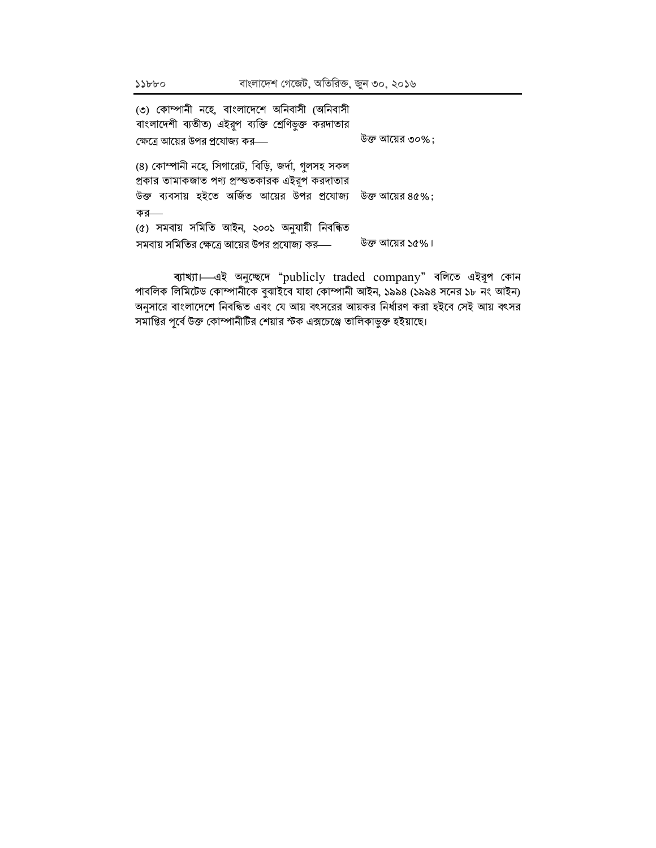বাংলাদেশ গেজেট, অতিরিক্ত, জুন ৩০, ২০১৬

| উক্ত আয়ের ৩০%;                                                                   |
|-----------------------------------------------------------------------------------|
|                                                                                   |
| উক্ত ব্যবসায় হইতে অর্জিত আয়ের উপর প্রযোজ্য  উক্ত আয়ের $8{\mathfrak{a}}\,\%)$ ; |
|                                                                                   |
|                                                                                   |
|                                                                                   |
| উক্ত আয়ের ১৫%।                                                                   |
|                                                                                   |

বাখ্যা - এই অনুচ্ছেদে "publicly traded company" বলিতে এইরূপ কোন পাবলিক লিমিটেড কোম্পানীকে বুঝাইবে যাহা কোম্পানী আইন, ১৯৯৪ (১৯৯৪ সনের ১৮ নং আইন) অনুসারে বাংলাদেশে নিবন্ধিত এবং যে আয় বৎসরের আয়কর নির্ধারণ করা হইবে সেই আয় বৎসর সমাপ্তির পূর্বে উক্ত কোম্পানীটির শেয়ার স্টক এক্সচেঞ্জে তালিকাভুক্ত হইয়াছে।